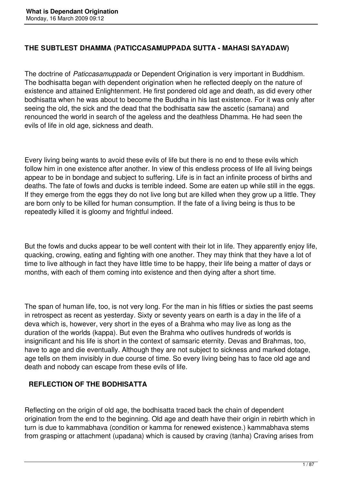## **THE SUBTLEST DHAMMA (PATICCASAMUPPADA SUTTA - MAHASI SAYADAW)**

The doctrine of *Paticcasamuppada* or Dependent Origination is very important in Buddhism. The bodhisatta began with dependent origination when he reflected deeply on the nature of existence and attained Enlightenment. He first pondered old age and death, as did every other bodhisatta when he was about to become the Buddha in his last existence. For it was only after seeing the old, the sick and the dead that the bodhisatta saw the ascetic (samana) and renounced the world in search of the ageless and the deathless Dhamma. He had seen the evils of life in old age, sickness and death.

Every living being wants to avoid these evils of life but there is no end to these evils which follow him in one existence after another. In view of this endless process of life all living beings appear to be in bondage and subject to suffering. Life is in fact an infinite process of births and deaths. The fate of fowls and ducks is terrible indeed. Some are eaten up while still in the eggs. If they emerge from the eggs they do not live long but are killed when they grow up a little. They are born only to be killed for human consumption. If the fate of a living being is thus to be repeatedly killed it is gloomy and frightful indeed.

But the fowls and ducks appear to be well content with their lot in life. They apparently enjoy life, quacking, crowing, eating and fighting with one another. They may think that they have a lot of time to live although in fact they have little time to be happy, their life being a matter of days or months, with each of them coming into existence and then dying after a short time.

The span of human life, too, is not very long. For the man in his fifties or sixties the past seems in retrospect as recent as yesterday. Sixty or seventy years on earth is a day in the life of a deva which is, however, very short in the eyes of a Brahma who may live as long as the duration of the worlds (kappa). But even the Brahma who outlives hundreds of worlds is insignificant and his life is short in the context of samsaric eternity. Devas and Brahmas, too, have to age and die eventually. Although they are not subject to sickness and marked dotage, age tells on them invisibly in due course of time. So every living being has to face old age and death and nobody can escape from these evils of life.

## **REFLECTION OF THE BODHISATTA**

Reflecting on the origin of old age, the bodhisatta traced back the chain of dependent origination from the end to the beginning. Old age and death have their origin in rebirth which in turn is due to kammabhava (condition or kamma for renewed existence.) kammabhava stems from grasping or attachment (upadana) which is caused by craving (tanha) Craving arises from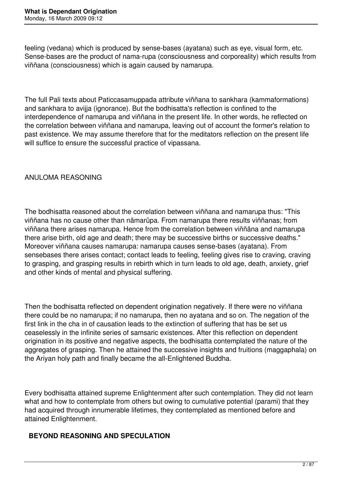feeling (vedana) which is produced by sense-bases (ayatana) such as eye, visual form, etc. Sense-bases are the product of nama-rupa (consciousness and corporeality) which results from viññana (consciousness) which is again caused by namarupa.

The full Pali texts about Paticcasamuppada attribute viññana to sankhara (kammaformations) and sankhara to avijja (ignorance). But the bodhisatta's reflection is confined to the interdependence of namarupa and viññana in the present life. In other words, he reflected on the correlation between viññana and namarupa, leaving out of account the former's relation to past existence. We may assume therefore that for the meditators reflection on the present life will suffice to ensure the successful practice of vipassana.

## ANULOMA REASONING

The bodhisatta reasoned about the correlation between viññana and namarupa thus: "This viññana has no cause other than nämarüpa. From namarupa there results viññanas; from viññana there arises namarupa. Hence from the correlation between viññäna and namarupa there arise birth, old age and death; there may be successive births or successive deaths." Moreover viññana causes namarupa: namarupa causes sense-bases (ayatana). From sensebases there arises contact; contact leads to feeling, feeling gives rise to craving, craving to grasping, and grasping results in rebirth which in turn leads to old age, death, anxiety, grief and other kinds of mental and physical suffering.

Then the bodhisatta reflected on dependent origination negatively. If there were no viññana there could be no namarupa; if no namarupa, then no ayatana and so on. The negation of the first link in the cha in of causation leads to the extinction of suffering that has be set us ceaselessly in the infinite series of samsaric existences. After this reflection on dependent origination in its positive and negative aspects, the bodhisatta contemplated the nature of the aggregates of grasping. Then he attained the successive insights and fruitions (maggaphala) on the Ariyan holy path and finally became the all-Enlightened Buddha.

Every bodhisatta attained supreme Enlightenment after such contemplation. They did not learn what and how to contemplate from others but owing to cumulative potential (parami) that they had acquired through innumerable lifetimes, they contemplated as mentioned before and attained Enlightenment.

### **BEYOND REASONING AND SPECULATION**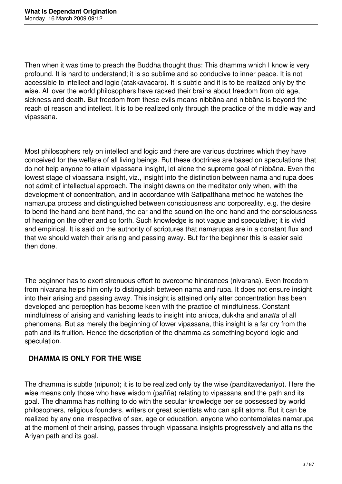Then when it was time to preach the Buddha thought thus: This dhamma which I know is very profound. It is hard to understand; it is so sublime and so conducive to inner peace. It is not accessible to intellect and logic (atakkavacaro). It is subtle and it is to be realized only by the wise. All over the world philosophers have racked their brains about freedom from old age, sickness and death. But freedom from these evils means nibbāna and nibbāna is beyond the reach of reason and intellect. It is to be realized only through the practice of the middle way and vipassana.

Most philosophers rely on intellect and logic and there are various doctrines which they have conceived for the welfare of all living beings. But these doctrines are based on speculations that do not help anyone to attain vipassana insight, let alone the supreme goal of nibbāna. Even the lowest stage of vipassana insight, viz., insight into the distinction between nama and rupa does not admit of intellectual approach. The insight dawns on the meditator only when, with the development of concentration, and in accordance with Satipatthana method he watches the namarupa process and distinguished between consciousness and corporeality, e.g. the desire to bend the hand and bent hand, the ear and the sound on the one hand and the consciousness of hearing on the other and so forth. Such knowledge is not vague and speculative; it is vivid and empirical. It is said on the authority of scriptures that namarupas are in a constant flux and that we should watch their arising and passing away. But for the beginner this is easier said then done.

The beginner has to exert strenuous effort to overcome hindrances (nivarana). Even freedom from nivarana helps him only to distinguish between nama and rupa. It does not ensure insight into their arising and passing away. This insight is attained only after concentration has been developed and perception has become keen with the practice of mindfulness. Constant mindfulness of arising and vanishing leads to insight into anicca, dukkha and an*atta* of all phenomena. But as merely the beginning of lower vipassana, this insight is a far cry from the path and its fruition. Hence the description of the dhamma as something beyond logic and speculation.

## **DHAMMA IS ONLY FOR THE WISE**

The dhamma is subtle (nipuno); it is to be realized only by the wise (panditavedaniyo). Here the wise means only those who have wisdom (pañña) relating to vipassana and the path and its goal. The dhamma has nothing to do with the secular knowledge per se possessed by world philosophers, religious founders, writers or great scientists who can split atoms. But it can be realized by any one irrespective of sex, age or education, anyone who contemplates namarupa at the moment of their arising, passes through vipassana insights progressively and attains the Ariyan path and its goal.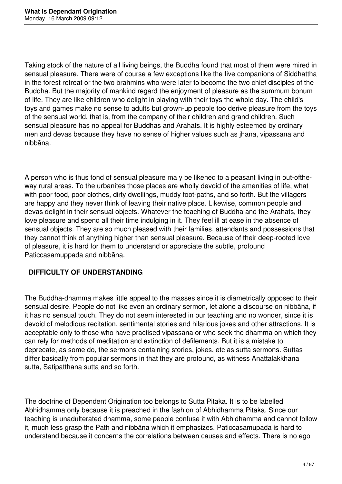Taking stock of the nature of all living beings, the Buddha found that most of them were mired in sensual pleasure. There were of course a few exceptions like the five companions of Siddhattha in the forest retreat or the two brahmins who were later to become the two chief disciples of the Buddha. But the majority of mankind regard the enjoyment of pleasure as the summum bonum of life. They are like children who delight in playing with their toys the whole day. The child's toys and games make no sense to adults but grown-up people too derive pleasure from the toys of the sensual world, that is, from the company of their children and grand children. Such sensual pleasure has no appeal for Buddhas and Arahats. It is highly esteemed by ordinary men and devas because they have no sense of higher values such as jhana, vipassana and nibbāna.

A person who is thus fond of sensual pleasure ma y be likened to a peasant living in out-oftheway rural areas. To the urbanites those places are wholly devoid of the amenities of life, what with poor food, poor clothes, dirty dwellings, muddy foot-paths, and so forth. But the villagers are happy and they never think of leaving their native place. Likewise, common people and devas delight in their sensual objects. Whatever the teaching of Buddha and the Arahats, they love pleasure and spend all their time indulging in it. They feel ill at ease in the absence of sensual objects. They are so much pleased with their families, attendants and possessions that they cannot think of anything higher than sensual pleasure. Because of their deep-rooted love of pleasure, it is hard for them to understand or appreciate the subtle, profound Paticcasamuppada and nibbāna.

## **DIFFICULTY OF UNDERSTANDING**

The Buddha-dhamma makes little appeal to the masses since it is diametrically opposed to their sensual desire. People do not like even an ordinary sermon, let alone a discourse on nibbāna, if it has no sensual touch. They do not seem interested in our teaching and no wonder, since it is devoid of melodious recitation, sentimental stories and hilarious jokes and other attractions. It is acceptable only to those who have practised vipassana or who seek the dhamma on which they can rely for methods of meditation and extinction of defilements. But it is a mistake to deprecate, as some do, the sermons containing stories, jokes, etc as sutta sermons. Suttas differ basically from popular sermons in that they are profound, as witness Anattalakkhana sutta, Satipatthana sutta and so forth.

The doctrine of Dependent Origination too belongs to Sutta Pitaka. It is to be labelled Abhidhamma only because it is preached in the fashion of Abhidhamma Pitaka. Since our teaching is unadulterated dhamma, some people confuse it with Abhidhamma and cannot follow it, much less grasp the Path and nibbāna which it emphasizes. Paticcasamupada is hard to understand because it concerns the correlations between causes and effects. There is no ego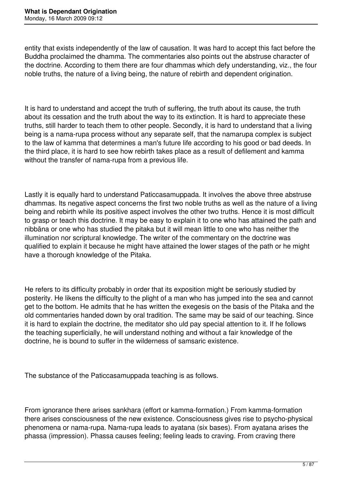entity that exists independently of the law of causation. It was hard to accept this fact before the Buddha proclaimed the dhamma. The commentaries also points out the abstruse character of the doctrine. According to them there are four dhammas which defy understanding, viz., the four noble truths, the nature of a living being, the nature of rebirth and dependent origination.

It is hard to understand and accept the truth of suffering, the truth about its cause, the truth about its cessation and the truth about the way to its extinction. It is hard to appreciate these truths, still harder to teach them to other people. Secondly, it is hard to understand that a living being is a nama-rupa process without any separate self, that the namarupa complex is subject to the law of kamma that determines a man's future life according to his good or bad deeds. In the third place, it is hard to see how rebirth takes place as a result of defilement and kamma without the transfer of nama-rupa from a previous life.

Lastly it is equally hard to understand Paticcasamuppada. It involves the above three abstruse dhammas. Its negative aspect concerns the first two noble truths as well as the nature of a living being and rebirth while its positive aspect involves the other two truths. Hence it is most difficult to grasp or teach this doctrine. It may be easy to explain it to one who has attained the path and nibbāna or one who has studied the pitaka but it will mean little to one who has neither the illumination nor scriptural knowledge. The writer of the commentary on the doctrine was qualified to explain it because he might have attained the lower stages of the path or he might have a thorough knowledge of the Pitaka.

He refers to its difficulty probably in order that its exposition might be seriously studied by posterity. He likens the difficulty to the plight of a man who has jumped into the sea and cannot get to the bottom. He admits that he has written the exegesis on the basis of the Pitaka and the old commentaries handed down by oral tradition. The same may be said of our teaching. Since it is hard to explain the doctrine, the meditator sho uld pay special attention to it. If he follows the teaching superficially, he will understand nothing and without a fair knowledge of the doctrine, he is bound to suffer in the wilderness of samsaric existence.

The substance of the Paticcasamuppada teaching is as follows.

From ignorance there arises sankhara (effort or kamma-formation.) From kamma-formation there arises consciousness of the new existence. Consciousness gives rise to psycho-physical phenomena or nama-rupa. Nama-rupa leads to ayatana (six bases). From ayatana arises the phassa (impression). Phassa causes feeling; feeling leads to craving. From craving there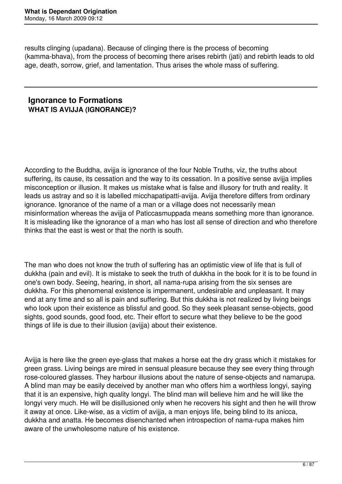results clinging (upadana). Because of clinging there is the process of becoming (kamma-bhava), from the process of becoming there arises rebirth (jati) and rebirth leads to old age, death, sorrow, grief, and lamentation. Thus arises the whole mass of suffering.

## **Ignorance to Formations WHAT IS AVIJJA (IGNORANCE)?**

According to the Buddha, avijja is ignorance of the four Noble Truths, viz, the truths about suffering, its cause, its cessation and the way to its cessation. In a positive sense avijia implies misconception or illusion. It makes us mistake what is false and illusory for truth and reality. It leads us astray and so it is labelled micchapatipatti-avijja. Avijja therefore differs from ordinary ignorance. Ignorance of the name of a man or a village does not necessarily mean misinformation whereas the avijja of Paticcasmuppada means something more than ignorance. It is misleading like the ignorance of a man who has lost all sense of direction and who therefore thinks that the east is west or that the north is south.

The man who does not know the truth of suffering has an optimistic view of life that is full of dukkha (pain and evil). It is mistake to seek the truth of dukkha in the book for it is to be found in one's own body. Seeing, hearing, in short, all nama-rupa arising from the six senses are dukkha. For this phenomenal existence is impermanent, undesirable and unpleasant. It may end at any time and so all is pain and suffering. But this dukkha is not realized by living beings who look upon their existence as blissful and good. So they seek pleasant sense-objects, good sights, good sounds, good food, etc. Their effort to secure what they believe to be the good things of life is due to their illusion (avijja) about their existence.

Avijja is here like the green eye-glass that makes a horse eat the dry grass which it mistakes for green grass. Living beings are mired in sensual pleasure because they see every thing through rose-coloured glasses. They harbour illusions about the nature of sense-objects and namarupa. A blind man may be easily deceived by another man who offers him a worthless longyi, saying that it is an expensive, high quality longyi. The blind man will believe him and he will like the longyi very much. He will be disillusioned only when he recovers his sight and then he will throw it away at once. Like-wise, as a victim of avijja, a man enjoys life, being blind to its anicca, dukkha and anatta. He becomes disenchanted when introspection of nama-rupa makes him aware of the unwholesome nature of his existence.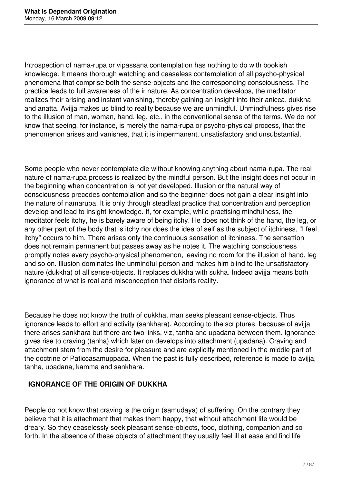Introspection of nama-rupa or vipassana contemplation has nothing to do with bookish knowledge. It means thorough watching and ceaseless contemplation of all psycho-physical phenomena that comprise both the sense-objects and the corresponding consciousness. The practice leads to full awareness of the ir nature. As concentration develops, the meditator realizes their arising and instant vanishing, thereby gaining an insight into their anicca, dukkha and anatta. Avijja makes us blind to reality because we are unmindful. Unmindfulness gives rise to the illusion of man, woman, hand, leg, etc., in the conventional sense of the terms. We do not know that seeing, for instance, is merely the nama-rupa or psycho-physical process, that the phenomenon arises and vanishes, that it is impermanent, unsatisfactory and unsubstantial.

Some people who never contemplate die without knowing anything about nama-rupa. The real nature of nama-rupa process is realized by the mindful person. But the insight does not occur in the beginning when concentration is not yet developed. Illusion or the natural way of consciousness precedes contemplation and so the beginner does not gain a clear insight into the nature of namarupa. It is only through steadfast practice that concentration and perception develop and lead to insight-knowledge. If, for example, while practising mindfulness, the meditator feels itchy, he is barely aware of being itchy. He does not think of the hand, the leg, or any other part of the body that is itchy nor does the idea of self as the subject of itchiness, "I feel itchy" occurs to him. There arises only the continuous sensation of itchiness. The sensattion does not remain permanent but passes away as he notes it. The watching consciousness promptly notes every psycho-physical phenomenon, leaving no room for the illusion of hand, leg and so on. Illusion dominates the unmindful person and makes him blind to the unsatisfactory nature (dukkha) of all sense-objects. It replaces dukkha with sukha. Indeed avijja means both ignorance of what is real and misconception that distorts reality.

Because he does not know the truth of dukkha, man seeks pleasant sense-objects. Thus ignorance leads to effort and activity (sankhara). According to the scriptures, because of avijja there arises sankhara but there are two links, viz, tanha and upadana between them. Ignorance gives rise to craving (tanha) which later on develops into attachment (upadana). Craving and attachment stem from the desire for pleasure and are explicitly mentioned in the middle part of the doctrine of Paticcasamuppada. When the past is fully described, reference is made to avijja, tanha, upadana, kamma and sankhara.

## **IGNORANCE OF THE ORIGIN OF DUKKHA**

People do not know that craving is the origin (samudaya) of suffering. On the contrary they believe that it is attachment that makes them happy, that without attachment life would be dreary. So they ceaselessly seek pleasant sense-objects, food, clothing, companion and so forth. In the absence of these objects of attachment they usually feel ill at ease and find life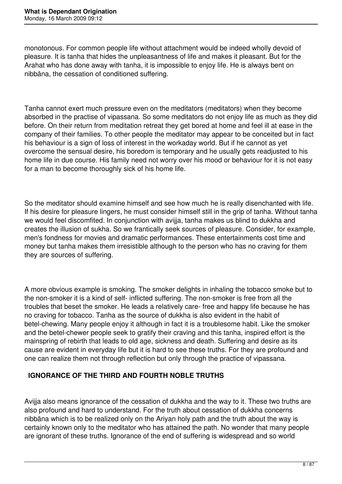monotonous. For common people life without attachment would be indeed wholly devoid of pleasure. It is tanha that hides the unpleasantness of life and makes it pleasant. But for the Arahat who has done away with tanha, it is impossible to enjoy life. He is always bent on nibbāna, the cessation of conditioned suffering.

Tanha cannot exert much pressure even on the meditators (meditators) when they become absorbed in the practise of vipassana. So some meditators do not enjoy life as much as they did before. On their return from meditation retreat they get bored at home and feel ill at ease in the company of their families. To other people the meditator may appear to be conceited but in fact his behaviour is a sign of loss of interest in the workaday world. But if he cannot as yet overcome the sensual desire, his boredom is temporary and he usually gets readjusted to his home life in due course. His family need not worry over his mood or behaviour for it is not easy for a man to become thoroughly sick of his home life.

So the meditator should examine himself and see how much he is really disenchanted with life. If his desire for pleasure lingers, he must consider himself still in the grip of tanha. Without tanha we would feel discomfited. In conjunction with avijja, tanha makes us blind to dukkha and creates the illusion of sukha. So we frantically seek sources of pleasure. Consider, for example, men's fondness for movies and dramatic performances. These entertainments cost time and money but tanha makes them irresistible although to the person who has no craving for them they are sources of suffering.

A more obvious example is smoking. The smoker delights in inhaling the tobacco smoke but to the non-smoker it is a kind of self- inflicted suffering. The non-smoker is free from all the troubles that beset the smoker. He leads a relatively care- free and happy life because he has no craving for tobacco. Tanha as the source of dukkha is also evident in the habit of betel-chewing. Many people enjoy it although in fact it is a troublesome habit. Like the smoker and the betel-chewer people seek to gratify their craving and this tanha, inspired effort is the mainspring of rebirth that leads to old age, sickness and death. Suffering and desire as its cause are evident in everyday life but it is hard to see these truths. For they are profound and one can realize them not through reflection but only through the practice of vipassana.

## **IGNORANCE OF THE THIRD AND FOURTH NOBLE TRUTHS**

Avijja also means ignorance of the cessation of dukkha and the way to it. These two truths are also profound and hard to understand. For the truth about cessation of dukkha concerns nibbāna which is to be realized only on the Ariyan holy path and the truth about the way is certainly known only to the meditator who has attained the path. No wonder that many people are ignorant of these truths. Ignorance of the end of suffering is widespread and so world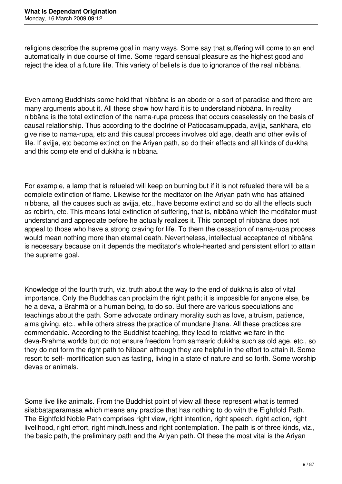religions describe the supreme goal in many ways. Some say that suffering will come to an end automatically in due course of time. Some regard sensual pleasure as the highest good and reject the idea of a future life. This variety of beliefs is due to ignorance of the real nibbāna.

Even among Buddhists some hold that nibbāna is an abode or a sort of paradise and there are many arguments about it. All these show how hard it is to understand nibbāna. In reality nibbāna is the total extinction of the nama-rupa process that occurs ceaselessly on the basis of causal relationship. Thus according to the doctrine of Paticcasamuppada, avijja, sankhara, etc give rise to nama-rupa, etc and this causal process involves old age, death and other evils of life. If avijja, etc become extinct on the Ariyan path, so do their effects and all kinds of dukkha and this complete end of dukkha is nibbāna.

For example, a lamp that is refueled will keep on burning but if it is not refueled there will be a complete extinction of flame. Likewise for the meditator on the Ariyan path who has attained nibbāna, all the causes such as avijja, etc., have become extinct and so do all the effects such as rebirth, etc. This means total extinction of suffering, that is, nibbāna which the meditator must understand and appreciate before he actually realizes it. This concept of nibbāna does not appeal to those who have a strong craving for life. To them the cessation of nama-rupa process would mean nothing more than eternal death. Nevertheless, intellectual acceptance of nibbāna is necessary because on it depends the meditator's whole-hearted and persistent effort to attain the supreme goal.

Knowledge of the fourth truth, viz, truth about the way to the end of dukkha is also of vital importance. Only the Buddhas can proclaim the right path; it is impossible for anyone else, be he a deva, a Brahmä or a human being, to do so. But there are various speculations and teachings about the path. Some advocate ordinary morality such as love, altruism, patience, alms giving, etc., while others stress the practice of mundane jhana. All these practices are commendable. According to the Buddhist teaching, they lead to relative welfare in the deva-Brahma worlds but do not ensure freedom from samsaric dukkha such as old age, etc., so they do not form the right path to Nibban although they are helpful in the effort to attain it. Some resort to self- mortification such as fasting, living in a state of nature and so forth. Some worship devas or animals.

Some live like animals. From the Buddhist point of view all these represent what is termed silabbataparamasa which means any practice that has nothing to do with the Eightfold Path. The Eightfold Noble Path comprises right view, right intention, right speech, right action, right livelihood, right effort, right mindfulness and right contemplation. The path is of three kinds, viz., the basic path, the preliminary path and the Ariyan path. Of these the most vital is the Ariyan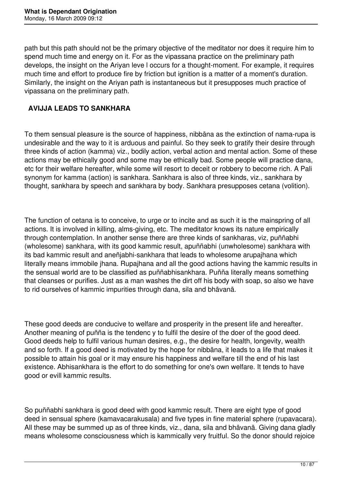path but this path should not be the primary objective of the meditator nor does it require him to spend much time and energy on it. For as the vipassana practice on the preliminary path develops, the insight on the Ariyan leve l occurs for a thought-moment. For example, it requires much time and effort to produce fire by friction but ignition is a matter of a moment's duration. Similarly, the insight on the Ariyan path is instantaneous but it presupposes much practice of vipassana on the preliminary path.

## **AVIJJA LEADS TO SANKHARA**

To them sensual pleasure is the source of happiness, nibbāna as the extinction of nama-rupa is undesirable and the way to it is arduous and painful. So they seek to gratify their desire through three kinds of action (kamma) viz., bodily action, verbal action and mental action. Some of these actions may be ethically good and some may be ethically bad. Some people will practice dana, etc for their welfare hereafter, while some will resort to deceit or robbery to become rich. A Pali synonym for kamma (action) is sankhara. Sankhara is also of three kinds, viz., sankhara by thought, sankhara by speech and sankhara by body. Sankhara presupposes cetana (volition).

The function of cetana is to conceive, to urge or to incite and as such it is the mainspring of all actions. It is involved in killing, alms-giving, etc. The meditator knows its nature empirically through contemplation. In another sense there are three kinds of sankharas, viz, puññabhi (wholesome) sankhara, with its good kammic result, apuññabhi (unwholesome) sankhara with its bad kammic result and aneñjabhi-sankhara that leads to wholesome arupajhana which literally means immobile jhana. Rupajhana and all the good actions having the kammic results in the sensual world are to be classified as puññabhisankhara. Puñña literally means something that cleanses or purifies. Just as a man washes the dirt off his body with soap, so also we have to rid ourselves of kammic impurities through dana, sila and bhāvanā.

These good deeds are conducive to welfare and prosperity in the present life and hereafter. Another meaning of puñña is the tendenc y to fulfil the desire of the doer of the good deed. Good deeds help to fulfil various human desires, e.g., the desire for health, longevity, wealth and so forth. If a good deed is motivated by the hope for nibbāna, it leads to a life that makes it possible to attain his goal or it may ensure his happiness and welfare till the end of his last existence. Abhisankhara is the effort to do something for one's own welfare. It tends to have good or evill kammic results.

So puññabhi sankhara is good deed with good kammic result. There are eight type of good deed in sensual sphere (kamavacarakusala) and five types in fine material sphere (rupavacara). All these may be summed up as of three kinds, viz., dana, sila and bhāvanā. Giving dana gladly means wholesome consciousness which is kammically very fruitful. So the donor should rejoice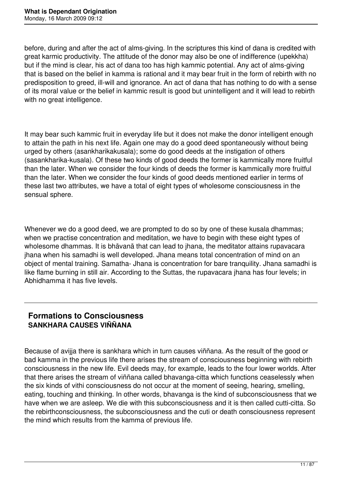before, during and after the act of alms-giving. In the scriptures this kind of dana is credited with great karmic productivity. The attitude of the donor may also be one of indifference (upekkha) but if the mind is clear, his act of dana too has high kammic potential. Any act of alms-giving that is based on the belief in kamma is rational and it may bear fruit in the form of rebirth with no predisposition to greed, ill-will and ignorance. An act of dana that has nothing to do with a sense of its moral value or the belief in kammic result is good but unintelligent and it will lead to rebirth with no great intelligence.

It may bear such kammic fruit in everyday life but it does not make the donor intelligent enough to attain the path in his next life. Again one may do a good deed spontaneously without being urged by others (asankharikakusala); some do good deeds at the instigation of others (sasankharika-kusala). Of these two kinds of good deeds the former is kammically more fruitful than the later. When we consider the four kinds of deeds the former is kammically more fruitful than the later. When we consider the four kinds of good deeds mentioned earlier in terms of these last two attributes, we have a total of eight types of wholesome consciousness in the sensual sphere.

Whenever we do a good deed, we are prompted to do so by one of these kusala dhammas; when we practise concentration and meditation, we have to begin with these eight types of wholesome dhammas. It is bhāvanā that can lead to jhana, the meditator attains rupavacara jhana when his samadhi is well developed. Jhana means total concentration of mind on an object of mental training. Samatha- Jhana is concentration for bare tranquility. Jhana samadhi is like flame burning in still air. According to the Suttas, the rupavacara jhana has four levels; in Abhidhamma it has five levels.

## **Formations to Consciousness SANKHARA CAUSES VIÑÑANA**

Because of avijja there is sankhara which in turn causes viññana. As the result of the good or bad kamma in the previous life there arises the stream of consciousness beginning with rebirth consciousness in the new life. Evil deeds may, for example, leads to the four lower worlds. After that there arises the stream of viññana called bhavanga-citta which functions ceaselessly when the six kinds of vithi consciousness do not occur at the moment of seeing, hearing, smelling, eating, touching and thinking. In other words, bhavanga is the kind of subconsciousness that we have when we are asleep. We die with this subconsciousness and it is then called cutti-citta. So the rebirthconsciousness, the subconsciousness and the cuti or death consciousness represent the mind which results from the kamma of previous life.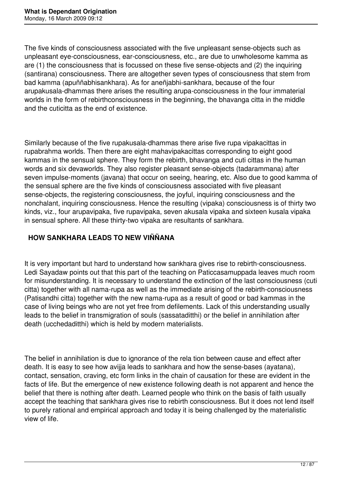The five kinds of consciousness associated with the five unpleasant sense-objects such as unpleasant eye-consciousness, ear-consciousness, etc., are due to unwholesome kamma as are (1) the consciousness that is focussed on these five sense-objects and (2) the inquiring (santirana) consciousness. There are altogether seven types of consciousness that stem from bad kamma (apuññabhisankhara). As for aneñjabhi-sankhara, because of the four arupakusala-dhammas there arises the resulting arupa-consciousness in the four immaterial worlds in the form of rebirthconsciousness in the beginning, the bhavanga citta in the middle and the cuticitta as the end of existence.

Similarly because of the five rupakusala-dhammas there arise five rupa vipakacittas in rupabrahma worlds. Then there are eight mahavipakacittas corresponding to eight good kammas in the sensual sphere. They form the rebirth, bhavanga and cuti cittas in the human words and six devaworlds. They also register pleasant sense-objects (tadarammana) after seven impulse-moments (javana) that occur on seeing, hearing, etc. Also due to good kamma of the sensual sphere are the five kinds of consciousness associated with five pleasant sense-objects, the registering consciousness, the joyful, inquiring consciousness and the nonchalant, inquiring consciousness. Hence the resulting (vipaka) consciousness is of thirty two kinds, viz., four arupavipaka, five rupavipaka, seven akusala vipaka and sixteen kusala vipaka in sensual sphere. All these thirty-two vipaka are resultants of sankhara.

## **HOW SANKHARA LEADS TO NEW VIÑÑANA**

It is very important but hard to understand how sankhara gives rise to rebirth-consciousness. Ledi Sayadaw points out that this part of the teaching on Paticcasamuppada leaves much room for misunderstanding. It is necessary to understand the extinction of the last consciousness (cuti citta) together with all nama-rupa as well as the immediate arising of the rebirth-consciousness (Patisandhi citta) together with the new nama-rupa as a result of good or bad kammas in the case of living beings who are not yet free from defilements. Lack of this understanding usually leads to the belief in transmigration of souls (sassataditthi) or the belief in annihilation after death (ucchedaditthi) which is held by modern materialists.

The belief in annihilation is due to ignorance of the rela tion between cause and effect after death. It is easy to see how avijja leads to sankhara and how the sense-bases (ayatana), contact, sensation, craving, etc form links in the chain of causation for these are evident in the facts of life. But the emergence of new existence following death is not apparent and hence the belief that there is nothing after death. Learned people who think on the basis of faith usually accept the teaching that sankhara gives rise to rebirth consciousness. But it does not lend itself to purely rational and empirical approach and today it is being challenged by the materialistic view of life.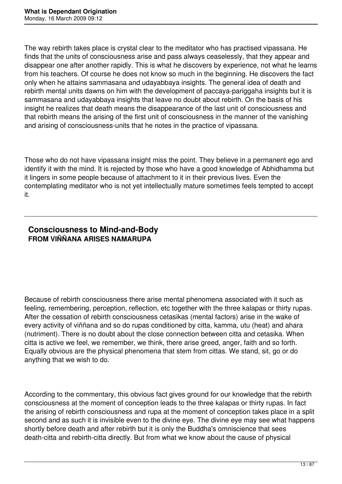The way rebirth takes place is crystal clear to the meditator who has practised vipassana. He finds that the units of consciousness arise and pass always ceaselessly, that they appear and disappear one after another rapidly. This is what he discovers by experience, not what he learns from his teachers. Of course he does not know so much in the beginning. He discovers the fact only when he attains sammasana and udayabbaya insights. The general idea of death and rebirth mental units dawns on him with the development of paccaya-pariggaha insights but it is sammasana and udayabbaya insights that leave no doubt about rebirth. On the basis of his insight he realizes that death means the disappearance of the last unit of consciousness and that rebirth means the arising of the first unit of consciousness in the manner of the vanishing and arising of consciousness-units that he notes in the practice of vipassana.

Those who do not have vipassana insight miss the point. They believe in a permanent ego and identify it with the mind. It is rejected by those who have a good knowledge of Abhidhamma but it lingers in some people because of attachment to it in their previous lives. Even the contemplating meditator who is not yet intellectually mature sometimes feels tempted to accept it.

## **Consciousness to Mind-and-Body FROM VIÑÑANA ARISES NAMARUPA**

Because of rebirth consciousness there arise mental phenomena associated with it such as feeling, remembering, perception, reflection, etc together with the three kalapas or thirty rupas. After the cessation of rebirth consciousness cetasikas (mental factors) arise in the wake of every activity of viññana and so do rupas conditioned by citta, kamma, utu (heat) and ahara (nutriment). There is no doubt about the close connection between citta and cetasika. When citta is active we feel, we remember, we think, there arise greed, anger, faith and so forth. Equally obvious are the physical phenomena that stem from cittas. We stand, sit, go or do anything that we wish to do.

According to the commentary, this obvious fact gives ground for our knowledge that the rebirth consciousness at the moment of conception leads to the three kalapas or thirty rupas. In fact the arising of rebirth consciousness and rupa at the moment of conception takes place in a split second and as such it is invisible even to the divine eye. The divine eye may see what happens shortly before death and after rebirth but it is only the Buddha's omniscience that sees death-citta and rebirth-citta directly. But from what we know about the cause of physical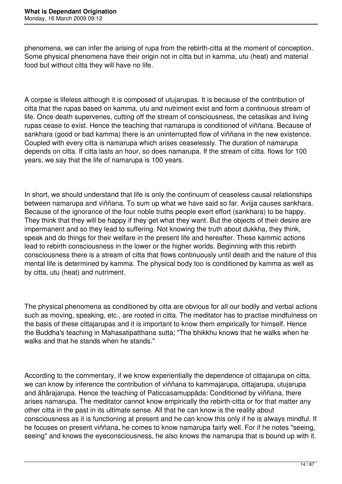phenomena, we can infer the arising of rupa from the rebirth-citta at the moment of conception. Some physical phenomena have their origin not in citta but in kamma, utu (heat) and material food but without citta they will have no life.

A corpse is lifeless although it is composed of utujarupas. It is because of the contribution of citta that the rupas based on kamma, utu and nutriment exist and form a continuous stream of life. Once death supervenes, cutting off the stream of consciousness, the cetasikas and living rupas cease to exist. Hence the teaching that namarupa is conditioned of viññana. Because of sankhara (good or bad kamma) there is an uninterrupted flow of viññana in the new existence. Coupled with every citta is namarupa which arises ceaselessly. The duration of namarupa depends on citta. If citta lasts an hour, so does namarupa. If the stream of citta. flows for 100 years, we say that the life of namarupa is 100 years.

In short, we should understand that life is only the continuum of ceaseless causal relationships between namarupa and viññana. To sum up what we have said so far. Avijja causes sankhara. Because of the ignorance of the four noble truths people exert effort (sankhara) to be happy. They think that they will be happy if they get what they want. But the objects of their desire are impermanent and so they lead to suffering. Not knowing the truth about dukkha, they think, speak and do things for their welfare in the present life and hereafter. These kammic actions lead to rebirth consciousness in the lower or the higher worlds. Beginning with this rebirth consciousness there is a stream of citta that flows continuously until death and the nature of this mental life is determined by kamma. The physical body too is conditioned by kamma as well as by citta, utu (heat) and nutriment.

The physical phenomena as conditioned by citta are obvious for all our bodily and verbal actions such as moving, speaking, etc., are rooted in citta. The meditator has to practise mindfulness on the basis of these cittajarupas and it is important to know them empirically for himself. Hence the Buddha's teaching in Mahasatipatthana sutta; "The bhikkhu knows that he walks when he walks and that he stands when he stands."

According to the commentary, if we know experientially the dependence of cittajarupa on citta, we can know by inference the contribution of viññana to kammajarupa, cittajarupa, utujarupa and ähärajarupa. Hence the teaching of Paticcasamuppäda: Conditioned by viññana, there arises namarupa. The meditator cannot know empirically the rebirth-citta or for that matter any other citta in the past in its ultimate sense. All that he can know is the reality about consciousness as it is functioning at present and he can know this only if he is always mindful. If he focuses on present viññana, he comes to know namarupa fairly well. For if he notes "seeing, seeing" and knows the eyeconsciousness, he also knows the namarupa that is bound up with it.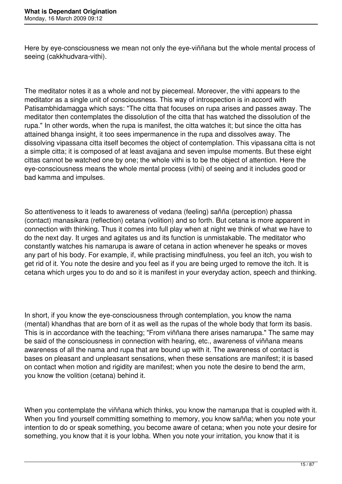Here by eye-consciousness we mean not only the eye-viññana but the whole mental process of seeing (cakkhudvara-vithi).

The meditator notes it as a whole and not by piecemeal. Moreover, the vithi appears to the meditator as a single unit of consciousness. This way of introspection is in accord with Patisambhidamagga which says: "The citta that focuses on rupa arises and passes away. The meditator then contemplates the dissolution of the citta that has watched the dissolution of the rupa." In other words, when the rupa is manifest, the citta watches it; but since the citta has attained bhanga insight, it too sees impermanence in the rupa and dissolves away. The dissolving vipassana citta itself becomes the object of contemplation. This vipassana citta is not a simple citta; it is composed of at least avajjana and seven impulse moments. But these eight cittas cannot be watched one by one; the whole vithi is to be the object of attention. Here the eye-consciousness means the whole mental process (vithi) of seeing and it includes good or bad kamma and impulses.

So attentiveness to it leads to awareness of vedana (feeling) sañña (perception) phassa (contact) manasikara (reflection) cetana (volition) and so forth. But cetana is more apparent in connection with thinking. Thus it comes into full play when at night we think of what we have to do the next day. It urges and agitates us and its function is unmistakable. The meditator who constantly watches his namarupa is aware of cetana in action whenever he speaks or moves any part of his body. For example, if, while practising mindfulness, you feel an itch, you wish to get rid of it. You note the desire and you feel as if you are being urged to remove the itch. It is cetana which urges you to do and so it is manifest in your everyday action, speech and thinking.

In short, if you know the eye-consciousness through contemplation, you know the nama (mental) khandhas that are born of it as well as the rupas of the whole body that form its basis. This is in accordance with the teaching; "From viññana there arises namarupa." The same may be said of the consciousness in connection with hearing, etc., awareness of viññana means awareness of all the nama and rupa that are bound up with it. The awareness of contact is bases on pleasant and unpleasant sensations, when these sensations are manifest; it is based on contact when motion and rigidity are manifest; when you note the desire to bend the arm, you know the volition (cetana) behind it.

When you contemplate the viññana which thinks, you know the namarupa that is coupled with it. When you find yourself committing something to memory, you know sañña; when you note your intention to do or speak something, you become aware of cetana; when you note your desire for something, you know that it is your lobha. When you note your irritation, you know that it is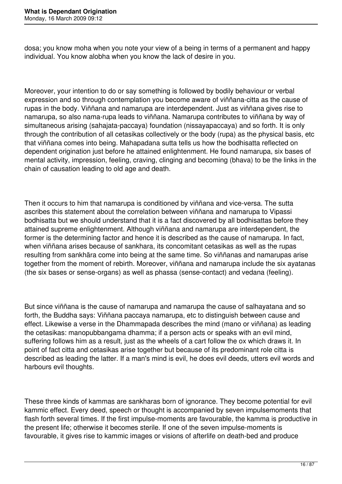dosa; you know moha when you note your view of a being in terms of a permanent and happy individual. You know alobha when you know the lack of desire in you.

Moreover, your intention to do or say something is followed by bodily behaviour or verbal expression and so through contemplation you become aware of viññana-citta as the cause of rupas in the body. Viññana and namarupa are interdependent. Just as viññana gives rise to namarupa, so also nama-rupa leads to viññana. Namarupa contributes to viññana by way of simultaneous arising (sahajata-paccaya) foundation (nissayapaccaya) and so forth. It is only through the contribution of all cetasikas collectively or the body (rupa) as the physical basis, etc that viññana comes into being. Mahapadana sutta tells us how the bodhisatta reflected on dependent origination just before he attained enlightenment. He found namarupa, six bases of mental activity, impression, feeling, craving, clinging and becoming (bhava) to be the links in the chain of causation leading to old age and death.

Then it occurs to him that namarupa is conditioned by viññana and vice-versa. The sutta ascribes this statement about the correlation between viññana and namarupa to Vipassi bodhisatta but we should understand that it is a fact discovered by all bodhisattas before they attained supreme enlightenment. Although viññana and namarupa are interdependent, the former is the determining factor and hence it is described as the cause of namarupa. In fact, when viññana arises because of sankhara, its concomitant cetasikas as well as the rupas resulting from sankhära come into being at the same time. So viññanas and namarupas arise together from the moment of rebirth. Moreover, viññana and namarupa include the six ayatanas (the six bases or sense-organs) as well as phassa (sense-contact) and vedana (feeling).

But since viññana is the cause of namarupa and namarupa the cause of salhayatana and so forth, the Buddha says: Viññana paccaya namarupa, etc to distinguish between cause and effect. Likewise a verse in the Dhammapada describes the mind (mano or viññana) as leading the cetasikas: manopubbangama dhamma; if a person acts or speaks with an evil mind, suffering follows him as a result, just as the wheels of a cart follow the ox which draws it. In point of fact citta and cetasikas arise together but because of its predominant role citta is described as leading the latter. If a man's mind is evil, he does evil deeds, utters evil words and harbours evil thoughts.

These three kinds of kammas are sankharas born of ignorance. They become potential for evil kammic effect. Every deed, speech or thought is accompanied by seven impulsemoments that flash forth several times. If the first impulse-moments are favourable, the kamma is productive in the present life; otherwise it becomes sterile. If one of the seven impulse-moments is favourable, it gives rise to kammic images or visions of afterlife on death-bed and produce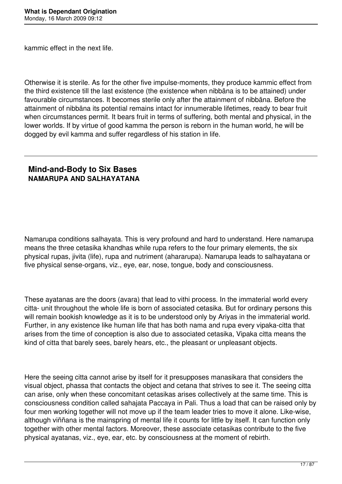kammic effect in the next life.

Otherwise it is sterile. As for the other five impulse-moments, they produce kammic effect from the third existence till the last existence (the existence when nibbāna is to be attained) under favourable circumstances. It becomes sterile only after the attainment of nibbāna. Before the attainment of nibbāna its potential remains intact for innumerable lifetimes, ready to bear fruit when circumstances permit. It bears fruit in terms of suffering, both mental and physical, in the lower worlds. If by virtue of good kamma the person is reborn in the human world, he will be dogged by evil kamma and suffer regardless of his station in life.

## **Mind-and-Body to Six Bases NAMARUPA AND SALHAYATANA**

Namarupa conditions salhayata. This is very profound and hard to understand. Here namarupa means the three cetasika khandhas while rupa refers to the four primary elements, the six physical rupas, jivita (life), rupa and nutriment (ahararupa). Namarupa leads to salhayatana or five physical sense-organs, viz., eye, ear, nose, tongue, body and consciousness.

These ayatanas are the doors (avara) that lead to vithi process. In the immaterial world every citta- unit throughout the whole life is born of associated cetasika. But for ordinary persons this will remain bookish knowledge as it is to be understood only by Ariyas in the immaterial world. Further, in any existence like human life that has both nama and rupa every vipaka-citta that arises from the time of conception is also due to associated cetasika, Vipaka citta means the kind of citta that barely sees, barely hears, etc., the pleasant or unpleasant objects.

Here the seeing citta cannot arise by itself for it presupposes manasikara that considers the visual object, phassa that contacts the object and cetana that strives to see it. The seeing citta can arise, only when these concomitant cetasikas arises collectively at the same time. This is consciousness condition called sahajata Paccaya in Pali. Thus a load that can be raised only by four men working together will not move up if the team leader tries to move it alone. Like-wise, although viññana is the mainspring of mental life it counts for little by itself. It can function only together with other mental factors. Moreover, these associate cetasikas contribute to the five physical ayatanas, viz., eye, ear, etc. by consciousness at the moment of rebirth.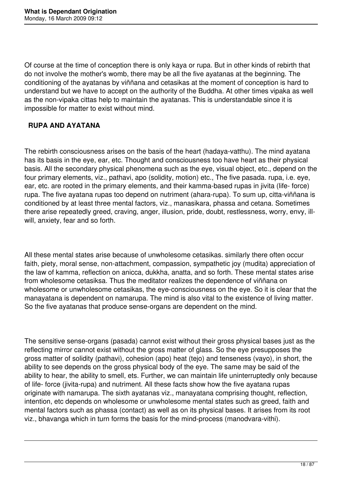Of course at the time of conception there is only kaya or rupa. But in other kinds of rebirth that do not involve the mother's womb, there may be all the five ayatanas at the beginning. The conditioning of the ayatanas by viññana and cetasikas at the moment of conception is hard to understand but we have to accept on the authority of the Buddha. At other times vipaka as well as the non-vipaka cittas help to maintain the ayatanas. This is understandable since it is impossible for matter to exist without mind.

### **RUPA AND AYATANA**

The rebirth consciousness arises on the basis of the heart (hadaya-vatthu). The mind ayatana has its basis in the eye, ear, etc. Thought and consciousness too have heart as their physical basis. All the secondary physical phenomena such as the eye, visual object, etc., depend on the four primary elements, viz., pathavi, apo (solidity, motion) etc., The five pasada. rupa, i.e. eye, ear, etc. are rooted in the primary elements, and their kamma-based rupas in jivita (life- force) rupa. The five ayatana rupas too depend on nutriment (ahara-rupa). To sum up, citta-viññana is conditioned by at least three mental factors, viz., manasikara, phassa and cetana. Sometimes there arise repeatedly greed, craving, anger, illusion, pride, doubt, restlessness, worry, envy, illwill, anxiety, fear and so forth.

All these mental states arise because of unwholesome cetasikas. similarly there often occur faith, piety, moral sense, non-attachment, compassion, sympathetic joy (mudita) appreciation of the law of kamma, reflection on anicca, dukkha, anatta, and so forth. These mental states arise from wholesome cetasiksa. Thus the meditator realizes the dependence of viññana on wholesome or unwholesome cetasikas, the eye-consciousness on the eye. So it is clear that the manayatana is dependent on namarupa. The mind is also vital to the existence of living matter. So the five ayatanas that produce sense-organs are dependent on the mind.

The sensitive sense-organs (pasada) cannot exist without their gross physical bases just as the reflecting mirror cannot exist without the gross matter of glass. So the eye presupposes the gross matter of solidity (pathavi), cohesion (apo) heat (tejo) and tenseness (vayo), in short, the ability to see depends on the gross physical body of the eye. The same may be said of the ability to hear, the ability to smell, ets. Further, we can maintain life uninterruptedly only because of life- force (jivita-rupa) and nutriment. All these facts show how the five ayatana rupas originate with namarupa. The sixth ayatanas viz., manayatana comprising thought, reflection, intention, etc depends on wholesome or unwholesome mental states such as greed, faith and mental factors such as phassa (contact) as well as on its physical bases. It arises from its root viz., bhavanga which in turn forms the basis for the mind-process (manodvara-vithi).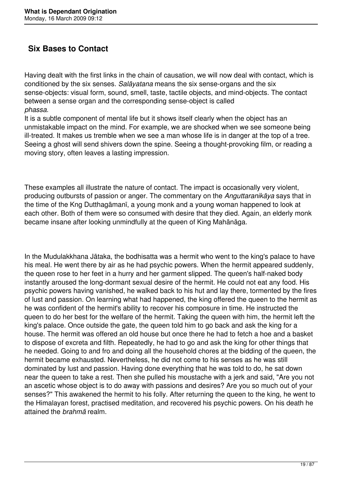# **Six Bases to Contact**

Having dealt with the first links in the chain of causation, we will now deal with contact, which is conditioned by the six senses. *Salāyatana* means the six sense-organs and the six sense-objects: visual form, sound, smell, taste, tactile objects, and mind-objects. The contact between a sense organ and the corresponding sense-object is called *phassa.* 

It is a subtle component of mental life but it shows itself clearly when the object has an unmistakable impact on the mind. For example, we are shocked when we see someone being ill-treated. It makes us tremble when we see a man whose life is in danger at the top of a tree. Seeing a ghost will send shivers down the spine. Seeing a thought-provoking film, or reading a moving story, often leaves a lasting impression.

These examples all illustrate the nature of contact. The impact is occasionally very violent, producing outbursts of passion or anger. The commentary on the *Anguttaranikāya* says that in the time of the Kng Dutthagāmanī, a young monk and a young woman happened to look at each other. Both of them were so consumed with desire that they died. Again, an elderly monk became insane after looking unmindfully at the queen of King Mahānāga.

In the Mudulakkhana Jātaka, the bodhisatta was a hermit who went to the king's palace to have his meal. He went there by air as he had psychic powers. When the hermit appeared suddenly, the queen rose to her feet in a hurry and her garment slipped. The queen's half-naked body instantly aroused the long-dormant sexual desire of the hermit. He could not eat any food. His psychic powers having vanished, he walked back to his hut and lay there, tormented by the fires of lust and passion. On learning what had happened, the king offered the queen to the hermit as he was confident of the hermit's ability to recover his composure in time. He instructed the queen to do her best for the welfare of the hermit. Taking the queen with him, the hermit left the king's palace. Once outside the gate, the queen told him to go back and ask the king for a house. The hermit was offered an old house but once there he had to fetch a hoe and a basket to dispose of excreta and filth. Repeatedly, he had to go and ask the king for other things that he needed. Going to and fro and doing all the household chores at the bidding of the queen, the hermit became exhausted. Nevertheless, he did not come to his senses as he was still dominated by lust and passion. Having done everything that he was told to do, he sat down near the queen to take a rest. Then she pulled his moustache with a jerk and said, "Are you not an ascetic whose object is to do away with passions and desires? Are you so much out of your senses?" This awakened the hermit to his folly. After returning the queen to the king, he went to the Himalayan forest, practised meditation, and recovered his psychic powers. On his death he attained the *brahmā* realm.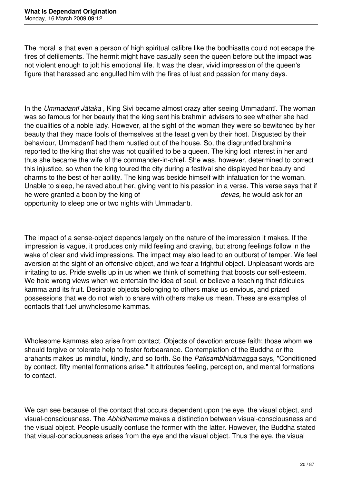The moral is that even a person of high spiritual calibre like the bodhisatta could not escape the fires of defilements. The hermit might have casually seen the queen before but the impact was not violent enough to jolt his emotional life. It was the clear, vivid impression of the queen's figure that harassed and engulfed him with the fires of lust and passion for many days.

In the *Ummadantī Jātaka* , King Sivi became almost crazy after seeing Ummadantī. The woman was so famous for her beauty that the king sent his brahmin advisers to see whether she had the qualities of a noble lady. However, at the sight of the woman they were so bewitched by her beauty that they made fools of themselves at the feast given by their host. Disgusted by their behaviour, Ummadantī had them hustled out of the house. So, the disgruntled brahmins reported to the king that she was not qualified to be a queen. The king lost interest in her and thus she became the wife of the commander-in-chief. She was, however, determined to correct this injustice, so when the king toured the city during a festival she displayed her beauty and charms to the best of her ability. The king was beside himself with infatuation for the woman. Unable to sleep, he raved about her, giving vent to his passion in a verse. This verse says that if he were granted a boon by the king of *devas,* he would ask for an opportunity to sleep one or two nights with Ummadantī.

The impact of a sense-object depends largely on the nature of the impression it makes. If the impression is vague, it produces only mild feeling and craving, but strong feelings follow in the wake of clear and vivid impressions. The impact may also lead to an outburst of temper. We feel aversion at the sight of an offensive object, and we fear a frightful object. Unpleasant words are irritating to us. Pride swells up in us when we think of something that boosts our self-esteem. We hold wrong views when we entertain the idea of soul, or believe a teaching that ridicules kamma and its fruit. Desirable objects belonging to others make us envious, and prized possessions that we do not wish to share with others make us mean. These are examples of contacts that fuel unwholesome kammas.

Wholesome kammas also arise from contact. Objects of devotion arouse faith; those whom we should forgive or tolerate help to foster forbearance. Contemplation of the Buddha or the arahants makes us mindful, kindly, and so forth. So the *Patisambhidāmagga* says, "Conditioned by contact, fifty mental formations arise." It attributes feeling, perception, and mental formations to contact.

We can see because of the contact that occurs dependent upon the eye, the visual object, and visual-consciousness. The *Abhidhamma* makes a distinction between visual-consciousness and the visual object. People usually confuse the former with the latter. However, the Buddha stated that visual-consciousness arises from the eye and the visual object. Thus the eye, the visual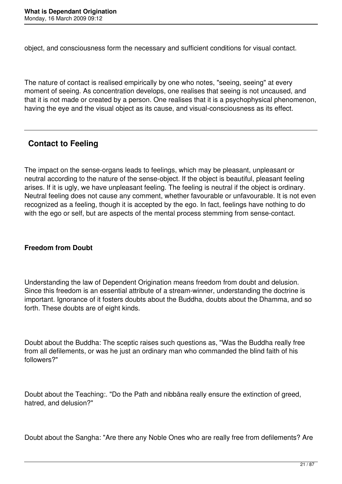object, and consciousness form the necessary and sufficient conditions for visual contact.

The nature of contact is realised empirically by one who notes, "seeing, seeing" at every moment of seeing. As concentration develops, one realises that seeing is not uncaused, and that it is not made or created by a person. One realises that it is a psychophysical phenomenon, having the eye and the visual object as its cause, and visual-consciousness as its effect.

# **Contact to Feeling**

The impact on the sense-organs leads to feelings, which may be pleasant, unpleasant or neutral according to the nature of the sense-object. If the object is beautiful, pleasant feeling arises. If it is ugly, we have unpleasant feeling. The feeling is neutral if the object is ordinary. Neutral feeling does not cause any comment, whether favourable or unfavourable. It is not even recognized as a feeling, though it is accepted by the ego. In fact, feelings have nothing to do with the ego or self, but are aspects of the mental process stemming from sense-contact.

### **Freedom from Doubt**

Understanding the law of Dependent Origination means freedom from doubt and delusion. Since this freedom is an essential attribute of a stream-winner, understanding the doctrine is important. Ignorance of it fosters doubts about the Buddha, doubts about the Dhamma, and so forth. These doubts are of eight kinds.

Doubt about the Buddha: The sceptic raises such questions as, "Was the Buddha really free from all defilements, or was he just an ordinary man who commanded the blind faith of his followers?"

Doubt about the Teaching:. "Do the Path and nibbāna really ensure the extinction of greed, hatred, and delusion?"

Doubt about the Sangha: "Are there any Noble Ones who are really free from defilements? Are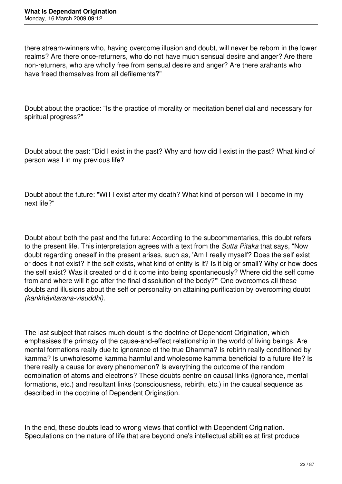there stream-winners who, having overcome illusion and doubt, will never be reborn in the lower realms? Are there once-returners, who do not have much sensual desire and anger? Are there non-returners, who are wholly free from sensual desire and anger? Are there arahants who have freed themselves from all defilements?"

Doubt about the practice: "Is the practice of morality or meditation beneficial and necessary for spiritual progress?"

Doubt about the past: "Did I exist in the past? Why and how did I exist in the past? What kind of person was I in my previous life?

Doubt about the future: "Will I exist after my death? What kind of person will I become in my next life?"

Doubt about both the past and the future: According to the subcommentaries, this doubt refers to the present life. This interpretation agrees with a text from the *Sutta Pitaka* that says, "Now doubt regarding oneself in the present arises, such as, 'Am I really myself? Does the self exist or does it not exist? If the self exists, what kind of entity is it? Is it big or small? Why or how does the self exist? Was it created or did it come into being spontaneously? Where did the self come from and where will it go after the final dissolution of the body?'" One overcomes all these doubts and illusions about the self or personality on attaining purification by overcoming doubt *(kankhāvitarana-visuddhi).* 

The last subject that raises much doubt is the doctrine of Dependent Origination, which emphasises the primacy of the cause-and-effect relationship in the world of living beings. Are mental formations really due to ignorance of the true Dhamma? Is rebirth really conditioned by kamma? Is unwholesome kamma harmful and wholesome kamma beneficial to a future life? Is there really a cause for every phenomenon? Is everything the outcome of the random combination of atoms and electrons? These doubts centre on causal links (ignorance, mental formations, etc.) and resultant links (consciousness, rebirth, etc.) in the causal sequence as described in the doctrine of Dependent Origination.

In the end, these doubts lead to wrong views that conflict with Dependent Origination. Speculations on the nature of life that are beyond one's intellectual abilities at first produce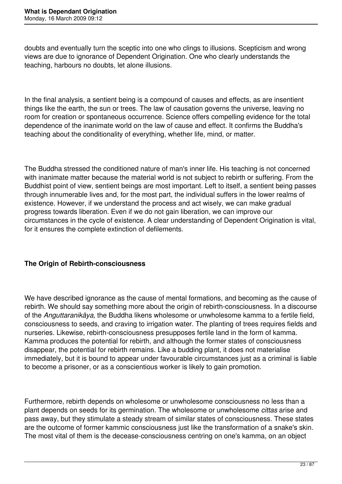doubts and eventually turn the sceptic into one who clings to illusions. Scepticism and wrong views are due to ignorance of Dependent Origination. One who clearly understands the teaching, harbours no doubts, let alone illusions.

In the final analysis, a sentient being is a compound of causes and effects, as are insentient things like the earth, the sun or trees. The law of causation governs the universe, leaving no room for creation or spontaneous occurrence. Science offers compelling evidence for the total dependence of the inanimate world on the law of cause and effect. It confirms the Buddha's teaching about the conditionality of everything, whether life, mind, or matter.

The Buddha stressed the conditioned nature of man's inner life. His teaching is not concerned with inanimate matter because the material world is not subject to rebirth or suffering. From the Buddhist point of view, sentient beings are most important. Left to itself, a sentient being passes through innumerable lives and, for the most part, the individual suffers in the lower realms of existence. However, if we understand the process and act wisely, we can make gradual progress towards liberation. Even if we do not gain liberation, we can improve our circumstances in the cycle of existence. A clear understanding of Dependent Origination is vital, for it ensures the complete extinction of defilements.

### **The Origin of Rebirth-consciousness**

We have described ignorance as the cause of mental formations, and becoming as the cause of rebirth. We should say something more about the origin of rebirth-consciousness. In a discourse of the *Anguttaranikāya,* the Buddha likens wholesome or unwholesome kamma to a fertile field, consciousness to seeds, and craving to irrigation water. The planting of trees requires fields and nurseries. Likewise, rebirth-consciousness presupposes fertile land in the form of kamma. Kamma produces the potential for rebirth, and although the former states of consciousness disappear, the potential for rebirth remains. Like a budding plant, it does not materialise immediately, but it is bound to appear under favourable circumstances just as a criminal is liable to become a prisoner, or as a conscientious worker is likely to gain promotion.

Furthermore, rebirth depends on wholesome or unwholesome consciousness no less than a plant depends on seeds for its germination. The wholesome or unwholesome *cittas* arise and pass away, but they stimulate a steady stream of similar states of consciousness. These states are the outcome of former kammic consciousness just like the transformation of a snake's skin. The most vital of them is the decease-consciousness centring on one's kamma, on an object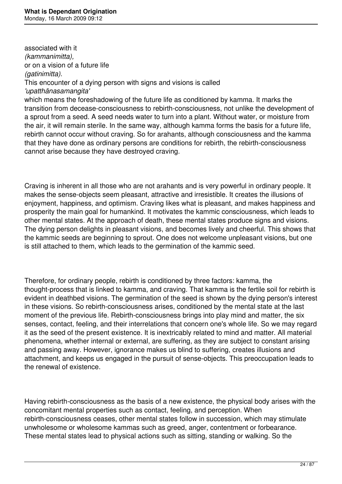associated with it *(kammanimitta),*  or on a vision of a future life *(gatinimitta).* 

This encounter of a dying person with signs and visions is called *'upatthānasamangita'* 

which means the foreshadowing of the future life as conditioned by kamma. It marks the transition from decease-consciousness to rebirth-consciousness, not unlike the development of a sprout from a seed. A seed needs water to turn into a plant. Without water, or moisture from the air, it will remain sterile. In the same way, although kamma forms the basis for a future life, rebirth cannot occur without craving. So for arahants, although consciousness and the kamma that they have done as ordinary persons are conditions for rebirth, the rebirth-consciousness cannot arise because they have destroyed craving.

Craving is inherent in all those who are not arahants and is very powerful in ordinary people. It makes the sense-objects seem pleasant, attractive and irresistible. It creates the illusions of enjoyment, happiness, and optimism. Craving likes what is pleasant, and makes happiness and prosperity the main goal for humankind. It motivates the kammic consciousness, which leads to other mental states. At the approach of death, these mental states produce signs and visions. The dying person delights in pleasant visions, and becomes lively and cheerful. This shows that the kammic seeds are beginning to sprout. One does not welcome unpleasant visions, but one is still attached to them, which leads to the germination of the kammic seed.

Therefore, for ordinary people, rebirth is conditioned by three factors: kamma, the thought-process that is linked to kamma, and craving. That kamma is the fertile soil for rebirth is evident in deathbed visions. The germination of the seed is shown by the dying person's interest in these visions. So rebirth-consciousness arises, conditioned by the mental state at the last moment of the previous life. Rebirth-consciousness brings into play mind and matter, the six senses, contact, feeling, and their interrelations that concern one's whole life. So we may regard it as the seed of the present existence. It is inextricably related to mind and matter. All material phenomena, whether internal or external, are suffering, as they are subject to constant arising and passing away. However, ignorance makes us blind to suffering, creates illusions and attachment, and keeps us engaged in the pursuit of sense-objects. This preoccupation leads to the renewal of existence.

Having rebirth-consciousness as the basis of a new existence, the physical body arises with the concomitant mental properties such as contact, feeling, and perception. When rebirth-consciousness ceases, other mental states follow in succession, which may stimulate unwholesome or wholesome kammas such as greed, anger, contentment or forbearance. These mental states lead to physical actions such as sitting, standing or walking. So the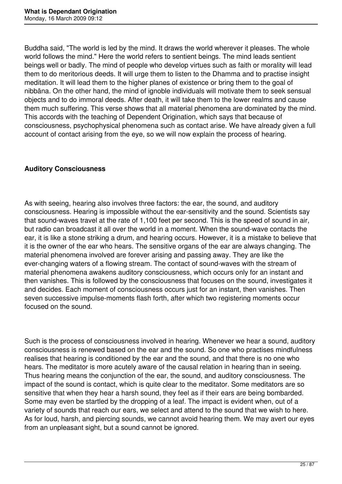Buddha said, "The world is led by the mind. It draws the world wherever it pleases. The whole world follows the mind." Here the world refers to sentient beings. The mind leads sentient beings well or badly. The mind of people who develop virtues such as faith or morality will lead them to do meritorious deeds. It will urge them to listen to the Dhamma and to practise insight meditation. It will lead them to the higher planes of existence or bring them to the goal of nibbāna. On the other hand, the mind of ignoble individuals will motivate them to seek sensual objects and to do immoral deeds. After death, it will take them to the lower realms and cause them much suffering. This verse shows that all material phenomena are dominated by the mind. This accords with the teaching of Dependent Origination, which says that because of consciousness, psychophysical phenomena such as contact arise. We have already given a full account of contact arising from the eye, so we will now explain the process of hearing.

## **Auditory Consciousness**

As with seeing, hearing also involves three factors: the ear, the sound, and auditory consciousness. Hearing is impossible without the ear-sensitivity and the sound. Scientists say that sound-waves travel at the rate of 1,100 feet per second. This is the speed of sound in air, but radio can broadcast it all over the world in a moment. When the sound-wave contacts the ear, it is like a stone striking a drum, and hearing occurs. However, it is a mistake to believe that it is the owner of the ear who hears. The sensitive organs of the ear are always changing. The material phenomena involved are forever arising and passing away. They are like the ever-changing waters of a flowing stream. The contact of sound-waves with the stream of material phenomena awakens auditory consciousness, which occurs only for an instant and then vanishes. This is followed by the consciousness that focuses on the sound, investigates it and decides. Each moment of consciousness occurs just for an instant, then vanishes. Then seven successive impulse-moments flash forth, after which two registering moments occur focused on the sound.

Such is the process of consciousness involved in hearing. Whenever we hear a sound, auditory consciousness is renewed based on the ear and the sound. So one who practises mindfulness realises that hearing is conditioned by the ear and the sound, and that there is no one who hears. The meditator is more acutely aware of the causal relation in hearing than in seeing. Thus hearing means the conjunction of the ear, the sound, and auditory consciousness. The impact of the sound is contact, which is quite clear to the meditator. Some meditators are so sensitive that when they hear a harsh sound, they feel as if their ears are being bombarded. Some may even be startled by the dropping of a leaf. The impact is evident when, out of a variety of sounds that reach our ears, we select and attend to the sound that we wish to here. As for loud, harsh, and piercing sounds, we cannot avoid hearing them. We may avert our eyes from an unpleasant sight, but a sound cannot be ignored.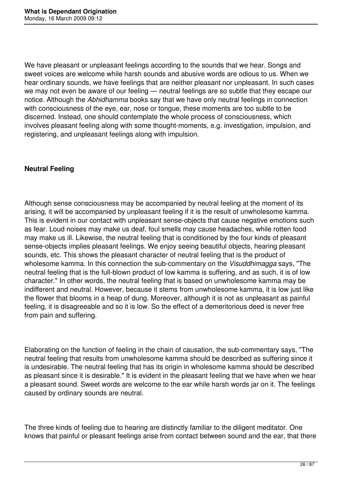We have pleasant or unpleasant feelings according to the sounds that we hear. Songs and sweet voices are welcome while harsh sounds and abusive words are odious to us. When we hear ordinary sounds, we have feelings that are neither pleasant nor unpleasant. In such cases we may not even be aware of our feeling — neutral feelings are so subtle that they escape our notice. Although the *Abhidhamma* books say that we have only neutral feelings in connection with consciousness of the eye, ear, nose or tongue, these moments are too subtle to be discerned. Instead, one should contemplate the whole process of consciousness, which involves pleasant feeling along with some thought-moments, e.g. investigation, impulsion, and registering, and unpleasant feelings along with impulsion.

## **Neutral Feeling**

Although sense consciousness may be accompanied by neutral feeling at the moment of its arising, it will be accompanied by unpleasant feeling if it is the result of unwholesome kamma. This is evident in our contact with unpleasant sense-objects that cause negative emotions such as fear. Loud noises may make us deaf, foul smells may cause headaches, while rotten food may make us ill. Likewise, the neutral feeling that is conditioned by the four kinds of pleasant sense-objects implies pleasant feelings. We enjoy seeing beautiful objects, hearing pleasant sounds, etc. This shows the pleasant character of neutral feeling that is the product of wholesome kamma. In this connection the sub-commentary on the *Visuddhimagga* says, "The neutral feeling that is the full-blown product of low kamma is suffering, and as such, it is of low character." In other words, the neutral feeling that is based on unwholesome kamma may be indifferent and neutral. However, because it stems from unwholesome kamma, it is low just like the flower that blooms in a heap of dung. Moreover, although it is not as unpleasant as painful feeling, it is disagreeable and so it is low. So the effect of a demeritorious deed is never free from pain and suffering.

Elaborating on the function of feeling in the chain of causation, the sub-commentary says, "The neutral feeling that results from unwholesome kamma should be described as suffering since it is undesirable. The neutral feeling that has its origin in wholesome kamma should be described as pleasant since it is desirable." It is evident in the pleasant feeling that we have when we hear a pleasant sound. Sweet words are welcome to the ear while harsh words jar on it. The feelings caused by ordinary sounds are neutral.

The three kinds of feeling due to hearing are distinctly familiar to the diligent meditator. One knows that painful or pleasant feelings arise from contact between sound and the ear, that there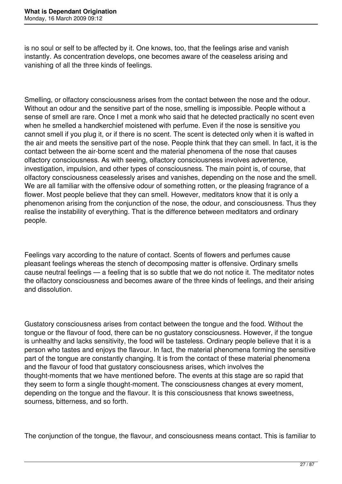is no soul or self to be affected by it. One knows, too, that the feelings arise and vanish instantly. As concentration develops, one becomes aware of the ceaseless arising and vanishing of all the three kinds of feelings.

Smelling, or olfactory consciousness arises from the contact between the nose and the odour. Without an odour and the sensitive part of the nose, smelling is impossible. People without a sense of smell are rare. Once I met a monk who said that he detected practically no scent even when he smelled a handkerchief moistened with perfume. Even if the nose is sensitive you cannot smell if you plug it, or if there is no scent. The scent is detected only when it is wafted in the air and meets the sensitive part of the nose. People think that they can smell. In fact, it is the contact between the air-borne scent and the material phenomena of the nose that causes olfactory consciousness. As with seeing, olfactory consciousness involves advertence, investigation, impulsion, and other types of consciousness. The main point is, of course, that olfactory consciousness ceaselessly arises and vanishes, depending on the nose and the smell. We are all familiar with the offensive odour of something rotten, or the pleasing fragrance of a flower. Most people believe that they can smell. However, meditators know that it is only a phenomenon arising from the conjunction of the nose, the odour, and consciousness. Thus they realise the instability of everything. That is the difference between meditators and ordinary people.

Feelings vary according to the nature of contact. Scents of flowers and perfumes cause pleasant feelings whereas the stench of decomposing matter is offensive. Ordinary smells cause neutral feelings — a feeling that is so subtle that we do not notice it. The meditator notes the olfactory consciousness and becomes aware of the three kinds of feelings, and their arising and dissolution.

Gustatory consciousness arises from contact between the tongue and the food. Without the tongue or the flavour of food, there can be no gustatory consciousness. However, if the tongue is unhealthy and lacks sensitivity, the food will be tasteless. Ordinary people believe that it is a person who tastes and enjoys the flavour. In fact, the material phenomena forming the sensitive part of the tongue are constantly changing. It is from the contact of these material phenomena and the flavour of food that gustatory consciousness arises, which involves the thought-moments that we have mentioned before. The events at this stage are so rapid that they seem to form a single thought-moment. The consciousness changes at every moment, depending on the tongue and the flavour. It is this consciousness that knows sweetness, sourness, bitterness, and so forth.

The conjunction of the tongue, the flavour, and consciousness means contact. This is familiar to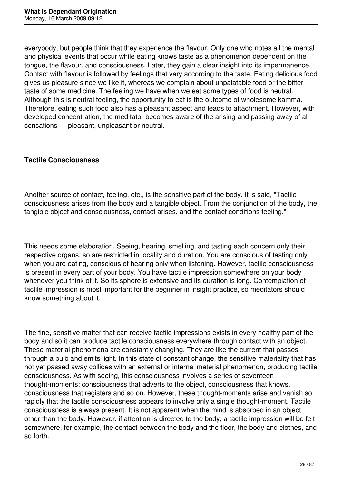everybody, but people think that they experience the flavour. Only one who notes all the mental and physical events that occur while eating knows taste as a phenomenon dependent on the tongue, the flavour, and consciousness. Later, they gain a clear insight into its impermanence. Contact with flavour is followed by feelings that vary according to the taste. Eating delicious food gives us pleasure since we like it, whereas we complain about unpalatable food or the bitter taste of some medicine. The feeling we have when we eat some types of food is neutral. Although this is neutral feeling, the opportunity to eat is the outcome of wholesome kamma. Therefore, eating such food also has a pleasant aspect and leads to attachment. However, with developed concentration, the meditator becomes aware of the arising and passing away of all sensations — pleasant, unpleasant or neutral.

### **Tactile Consciousness**

Another source of contact, feeling, etc., is the sensitive part of the body. It is said, "Tactile consciousness arises from the body and a tangible object. From the conjunction of the body, the tangible object and consciousness, contact arises, and the contact conditions feeling."

This needs some elaboration. Seeing, hearing, smelling, and tasting each concern only their respective organs, so are restricted in locality and duration. You are conscious of tasting only when you are eating, conscious of hearing only when listening. However, tactile consciousness is present in every part of your body. You have tactile impression somewhere on your body whenever you think of it. So its sphere is extensive and its duration is long. Contemplation of tactile impression is most important for the beginner in insight practice, so meditators should know something about it.

The fine, sensitive matter that can receive tactile impressions exists in every healthy part of the body and so it can produce tactile consciousness everywhere through contact with an object. These material phenomena are constantly changing. They are like the current that passes through a bulb and emits light. In this state of constant change, the sensitive materiality that has not yet passed away collides with an external or internal material phenomenon, producing tactile consciousness. As with seeing, this consciousness involves a series of seventeen thought-moments: consciousness that adverts to the object, consciousness that knows, consciousness that registers and so on. However, these thought-moments arise and vanish so rapidly that the tactile consciousness appears to involve only a single thought-moment. Tactile consciousness is always present. It is not apparent when the mind is absorbed in an object other than the body. However, if attention is directed to the body, a tactile impression will be felt somewhere, for example, the contact between the body and the floor, the body and clothes, and so forth.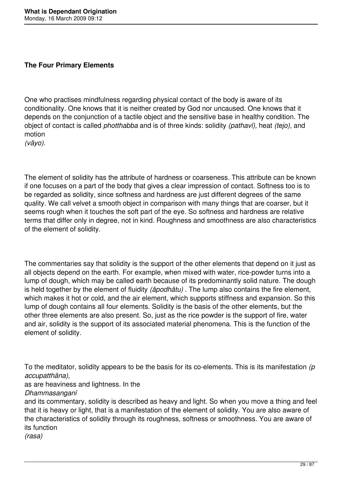### **The Four Primary Elements**

One who practises mindfulness regarding physical contact of the body is aware of its conditionality. One knows that it is neither created by God nor uncaused. One knows that it depends on the conjunction of a tactile object and the sensitive base in healthy condition. The object of contact is called *photthabba* and is of three kinds: solidity *(pathavī),* heat *(tejo),* and motion

*(vāyo).* 

The element of solidity has the attribute of hardness or coarseness. This attribute can be known if one focuses on a part of the body that gives a clear impression of contact. Softness too is to be regarded as solidity, since softness and hardness are just different degrees of the same quality. We call velvet a smooth object in comparison with many things that are coarser, but it seems rough when it touches the soft part of the eye. So softness and hardness are relative terms that differ only in degree, not in kind. Roughness and smoothness are also characteristics of the element of solidity.

The commentaries say that solidity is the support of the other elements that depend on it just as all objects depend on the earth. For example, when mixed with water, rice-powder turns into a lump of dough, which may be called earth because of its predominantly solid nature. The dough is held together by the element of fluidity *(āpodhātu)* . The lump also contains the fire element, which makes it hot or cold, and the air element, which supports stiffness and expansion. So this lump of dough contains all four elements. Solidity is the basis of the other elements, but the other three elements are also present. So, just as the rice powder is the support of fire, water and air, solidity is the support of its associated material phenomena. This is the function of the element of solidity.

To the meditator, solidity appears to be the basis for its co-elements. This is its manifestation *(p accupatthāna),* 

as are heaviness and lightness. In the

*Dhammasanganī* 

and its commentary, solidity is described as heavy and light. So when you move a thing and feel that it is heavy or light, that is a manifestation of the element of solidity. You are also aware of the characteristics of solidity through its roughness, softness or smoothness. You are aware of its function

*(rasa)*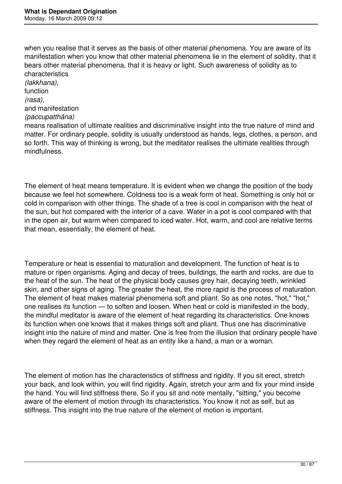when you realise that it serves as the basis of other material phenomena. You are aware of its manifestation when you know that other material phenomena lie in the element of solidity, that it bears other material phenomena, that it is heavy or light. Such awareness of solidity as to characteristics

*(lakkhana),*  function *(rasa),*  and manifestation *(paccupatthāna)*  means realisation of ultimate realities and discriminative insight into the true nature of mind and matter. For ordinary people, solidity is usually understood as hands, legs, clothes, a person, and so forth. This way of thinking is wrong, but the meditator realises the ultimate realities through mindfulness.

The element of heat means temperature. It is evident when we change the position of the body because we feel hot somewhere. Coldness too is a weak form of heat. Something is only hot or cold in comparison with other things. The shade of a tree is cool in comparison with the heat of the sun, but hot compared with the interior of a cave. Water in a pot is cool compared with that in the open air, but warm when compared to iced water. Hot, warm, and cool are relative terms that mean, essentially, the element of heat.

Temperature or heat is essential to maturation and development. The function of heat is to mature or ripen organisms. Aging and decay of trees, buildings, the earth and rocks, are due to the heat of the sun. The heat of the physical body causes grey hair, decaying teeth, wrinkled skin, and other signs of aging. The greater the heat, the more rapid is the process of maturation. The element of heat makes material phenomena soft and pliant. So as one notes, "hot," "hot," one realises its function — to soften and loosen. When heat or cold is manifested in the body, the mindful meditator is aware of the element of heat regarding its characteristics. One knows its function when one knows that it makes things soft and pliant. Thus one has discriminative insight into the nature of mind and matter. One is free from the illusion that ordinary people have when they regard the element of heat as an entity like a hand, a man or a woman.

The element of motion has the characteristics of stiffness and rigidity. If you sit erect, stretch your back, and look within, you will find rigidity. Again, stretch your arm and fix your mind inside the hand. You will find stiffness there. So if you sit and note mentally, "sitting," you become aware of the element of motion through its characteristics. You know it not as self, but as stiffness. This insight into the true nature of the element of motion is important.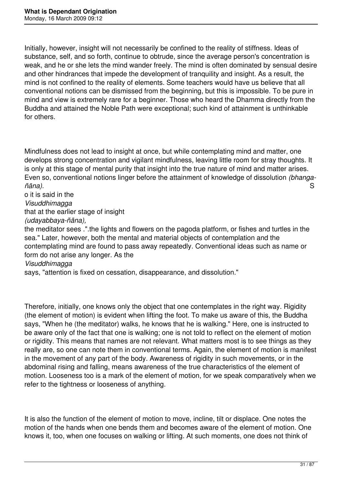Initially, however, insight will not necessarily be confined to the reality of stiffness. Ideas of substance, self, and so forth, continue to obtrude, since the average person's concentration is weak, and he or she lets the mind wander freely. The mind is often dominated by sensual desire and other hindrances that impede the development of tranquility and insight. As a result, the mind is not confined to the reality of elements. Some teachers would have us believe that all conventional notions can be dismissed from the beginning, but this is impossible. To be pure in mind and view is extremely rare for a beginner. Those who heard the Dhamma directly from the Buddha and attained the Noble Path were exceptional; such kind of attainment is unthinkable for others.

Mindfulness does not lead to insight at once, but while contemplating mind and matter, one develops strong concentration and vigilant mindfulness, leaving little room for stray thoughts. It is only at this stage of mental purity that insight into the true nature of mind and matter arises. Even so, conventional notions linger before the attainment of knowledge of dissolution *(bhangañāna).* Santa analysis et al. Analysis et al. Analysis et al. Analysis et al. Analysis et al. S

o it is said in the *Visuddhimagga*  that at the earlier stage of insight *(udayabbaya-ñāna),*  the meditator sees .".the lights and flowers on the pagoda platform, or fishes and turtles in the sea." Later, however, both the mental and material objects of contemplation and the contemplating mind are found to pass away repeatedly. Conventional ideas such as name or form do not arise any longer. As the *Visuddhimagga* 

says, "attention is fixed on cessation, disappearance, and dissolution."

Therefore, initially, one knows only the object that one contemplates in the right way. Rigidity (the element of motion) is evident when lifting the foot. To make us aware of this, the Buddha says, "When he (the meditator) walks, he knows that he is walking." Here, one is instructed to be aware only of the fact that one is walking; one is not told to reflect on the element of motion or rigidity. This means that names are not relevant. What matters most is to see things as they really are, so one can note them in conventional terms. Again, the element of motion is manifest in the movement of any part of the body. Awareness of rigidity in such movements, or in the abdominal rising and falling, means awareness of the true characteristics of the element of motion. Looseness too is a mark of the element of motion, for we speak comparatively when we refer to the tightness or looseness of anything.

It is also the function of the element of motion to move, incline, tilt or displace. One notes the motion of the hands when one bends them and becomes aware of the element of motion. One knows it, too, when one focuses on walking or lifting. At such moments, one does not think of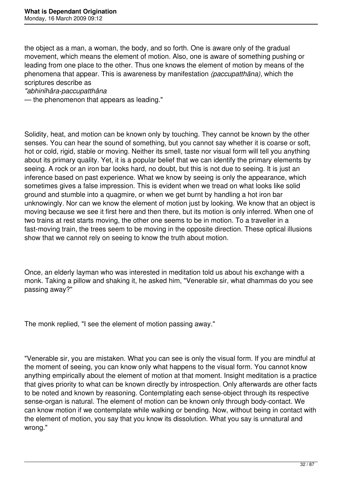the object as a man, a woman, the body, and so forth. One is aware only of the gradual movement, which means the element of motion. Also, one is aware of something pushing or leading from one place to the other. Thus one knows the element of motion by means of the phenomena that appear. This is awareness by manifestation *(paccupatthāna),* which the scriptures describe as

#### *"abhinīhāra-paccupatthāna*

— the phenomenon that appears as leading."

Solidity, heat, and motion can be known only by touching. They cannot be known by the other senses. You can hear the sound of something, but you cannot say whether it is coarse or soft, hot or cold, rigid, stable or moving. Neither its smell, taste nor visual form will tell you anything about its primary quality. Yet, it is a popular belief that we can identify the primary elements by seeing. A rock or an iron bar looks hard, no doubt, but this is not due to seeing. It is just an inference based on past experience. What we know by seeing is only the appearance, which sometimes gives a false impression. This is evident when we tread on what looks like solid ground and stumble into a quagmire, or when we get burnt by handling a hot iron bar unknowingly. Nor can we know the element of motion just by looking. We know that an object is moving because we see it first here and then there, but its motion is only inferred. When one of two trains at rest starts moving, the other one seems to be in motion. To a traveller in a fast-moving train, the trees seem to be moving in the opposite direction. These optical illusions show that we cannot rely on seeing to know the truth about motion.

Once, an elderly layman who was interested in meditation told us about his exchange with a monk. Taking a pillow and shaking it, he asked him, "Venerable sir, what dhammas do you see passing away?"

The monk replied, "I see the element of motion passing away."

"Venerable sir, you are mistaken. What you can see is only the visual form. If you are mindful at the moment of seeing, you can know only what happens to the visual form. You cannot know anything empirically about the element of motion at that moment. Insight meditation is a practice that gives priority to what can be known directly by introspection. Only afterwards are other facts to be noted and known by reasoning. Contemplating each sense-object through its respective sense-organ is natural. The element of motion can be known only through body-contact. We can know motion if we contemplate while walking or bending. Now, without being in contact with the element of motion, you say that you know its dissolution. What you say is unnatural and wrong."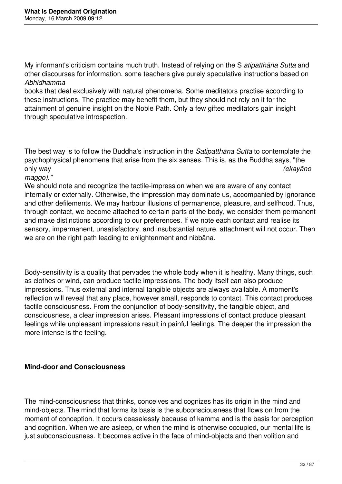My informant's criticism contains much truth. Instead of relying on the S *atipatthāna Sutta* and other discourses for information, some teachers give purely speculative instructions based on *Abhidhamma* 

books that deal exclusively with natural phenomena. Some meditators practise according to these instructions. The practice may benefit them, but they should not rely on it for the attainment of genuine insight on the Noble Path. Only a few gifted meditators gain insight through speculative introspection.

The best way is to follow the Buddha's instruction in the *Satipatthāna Sutta* to contemplate the psychophysical phenomena that arise from the six senses. This is, as the Buddha says, "the only way *(ekayāno*

*maggo)."* 

We should note and recognize the tactile-impression when we are aware of any contact internally or externally. Otherwise, the impression may dominate us, accompanied by ignorance and other defilements. We may harbour illusions of permanence, pleasure, and selfhood. Thus, through contact, we become attached to certain parts of the body, we consider them permanent and make distinctions according to our preferences. If we note each contact and realise its sensory, impermanent, unsatisfactory, and insubstantial nature, attachment will not occur. Then we are on the right path leading to enlightenment and nibbāna.

Body-sensitivity is a quality that pervades the whole body when it is healthy. Many things, such as clothes or wind, can produce tactile impressions. The body itself can also produce impressions. Thus external and internal tangible objects are always available. A moment's reflection will reveal that any place, however small, responds to contact. This contact produces tactile consciousness. From the conjunction of body-sensitivity, the tangible object, and consciousness, a clear impression arises. Pleasant impressions of contact produce pleasant feelings while unpleasant impressions result in painful feelings. The deeper the impression the more intense is the feeling.

#### **Mind-door and Consciousness**

The mind-consciousness that thinks, conceives and cognizes has its origin in the mind and mind-objects. The mind that forms its basis is the subconsciousness that flows on from the moment of conception. It occurs ceaselessly because of kamma and is the basis for perception and cognition. When we are asleep, or when the mind is otherwise occupied, our mental life is just subconsciousness. It becomes active in the face of mind-objects and then volition and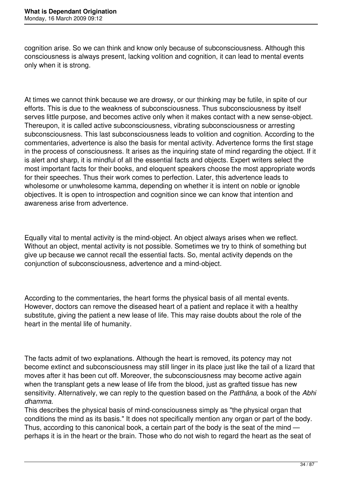cognition arise. So we can think and know only because of subconsciousness. Although this consciousness is always present, lacking volition and cognition, it can lead to mental events only when it is strong.

At times we cannot think because we are drowsy, or our thinking may be futile, in spite of our efforts. This is due to the weakness of subconsciousness. Thus subconsciousness by itself serves little purpose, and becomes active only when it makes contact with a new sense-object. Thereupon, it is called active subconsciousness, vibrating subconsciousness or arresting subconsciousness. This last subconsciousness leads to volition and cognition. According to the commentaries, advertence is also the basis for mental activity. Advertence forms the first stage in the process of consciousness. It arises as the inquiring state of mind regarding the object. If it is alert and sharp, it is mindful of all the essential facts and objects. Expert writers select the most important facts for their books, and eloquent speakers choose the most appropriate words for their speeches. Thus their work comes to perfection. Later, this advertence leads to wholesome or unwholesome kamma, depending on whether it is intent on noble or ignoble objectives. It is open to introspection and cognition since we can know that intention and awareness arise from advertence.

Equally vital to mental activity is the mind-object. An object always arises when we reflect. Without an object, mental activity is not possible. Sometimes we try to think of something but give up because we cannot recall the essential facts. So, mental activity depends on the conjunction of subconsciousness, advertence and a mind-object.

According to the commentaries, the heart forms the physical basis of all mental events. However, doctors can remove the diseased heart of a patient and replace it with a healthy substitute, giving the patient a new lease of life. This may raise doubts about the role of the heart in the mental life of humanity.

The facts admit of two explanations. Although the heart is removed, its potency may not become extinct and subconsciousness may still linger in its place just like the tail of a lizard that moves after it has been cut off. Moreover, the subconsciousness may become active again when the transplant gets a new lease of life from the blood, just as grafted tissue has new sensitivity. Alternatively, we can reply to the question based on the *Patthāna,* a book of the *Abhi dhamma.* 

This describes the physical basis of mind-consciousness simply as "the physical organ that conditions the mind as its basis." It does not specifically mention any organ or part of the body. Thus, according to this canonical book, a certain part of the body is the seat of the mind perhaps it is in the heart or the brain. Those who do not wish to regard the heart as the seat of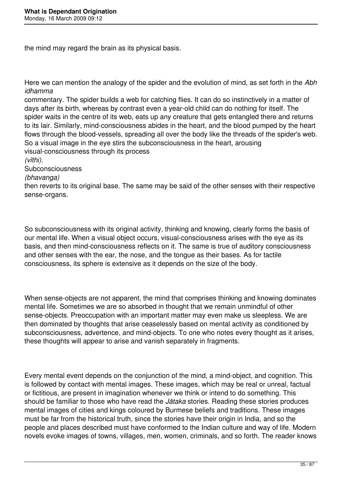the mind may regard the brain as its physical basis.

Here we can mention the analogy of the spider and the evolution of mind, as set forth in the *Abh idhamma* 

commentary. The spider builds a web for catching flies. It can do so instinctively in a matter of days after its birth, whereas by contrast even a year-old child can do nothing for itself. The spider waits in the centre of its web, eats up any creature that gets entangled there and returns to its lair. Similarly, mind-consciousness abides in the heart, and the blood pumped by the heart flows through the blood-vessels, spreading all over the body like the threads of the spider's web. So a visual image in the eye stirs the subconsciousness in the heart, arousing visual-consciousness through its process

*(vīthi).* 

Subconsciousness

#### *(bhavanga)*

then reverts to its original base. The same may be said of the other senses with their respective sense-organs.

So subconsciousness with its original activity, thinking and knowing, clearly forms the basis of our mental life. When a visual object occurs, visual-consciousness arises with the eye as its basis, and then mind-consciousness reflects on it. The same is true of auditory consciousness and other senses with the ear, the nose, and the tongue as their bases. As for tactile consciousness, its sphere is extensive as it depends on the size of the body.

When sense-objects are not apparent, the mind that comprises thinking and knowing dominates mental life. Sometimes we are so absorbed in thought that we remain unmindful of other sense-objects. Preoccupation with an important matter may even make us sleepless. We are then dominated by thoughts that arise ceaselessly based on mental activity as conditioned by subconsciousness, advertence, and mind-objects. To one who notes every thought as it arises, these thoughts will appear to arise and vanish separately in fragments.

Every mental event depends on the conjunction of the mind, a mind-object, and cognition. This is followed by contact with mental images. These images, which may be real or unreal, factual or fictitious, are present in imagination whenever we think or intend to do something. This should be familiar to those who have read the *Jātaka* stories. Reading these stories produces mental images of cities and kings coloured by Burmese beliefs and traditions. These images must be far from the historical truth, since the stories have their origin in India, and so the people and places described must have conformed to the Indian culture and way of life. Modern novels evoke images of towns, villages, men, women, criminals, and so forth. The reader knows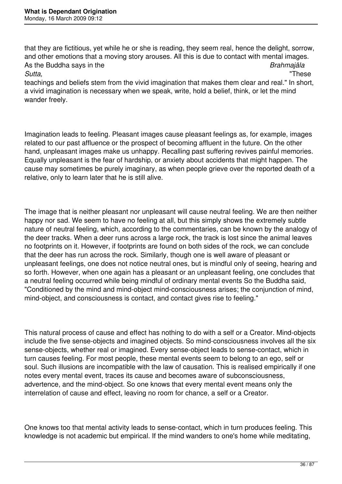that they are fictitious, yet while he or she is reading, they seem real, hence the delight, sorrow, and other emotions that a moving story arouses. All this is due to contact with mental images. As the Buddha says in the *Brahmajāla Sutta,* "These

teachings and beliefs stem from the vivid imagination that makes them clear and real." In short, a vivid imagination is necessary when we speak, write, hold a belief, think, or let the mind wander freely.

Imagination leads to feeling. Pleasant images cause pleasant feelings as, for example, images related to our past affluence or the prospect of becoming affluent in the future. On the other hand, unpleasant images make us unhappy. Recalling past suffering revives painful memories. Equally unpleasant is the fear of hardship, or anxiety about accidents that might happen. The cause may sometimes be purely imaginary, as when people grieve over the reported death of a relative, only to learn later that he is still alive.

The image that is neither pleasant nor unpleasant will cause neutral feeling. We are then neither happy nor sad. We seem to have no feeling at all, but this simply shows the extremely subtle nature of neutral feeling, which, according to the commentaries, can be known by the analogy of the deer tracks. When a deer runs across a large rock, the track is lost since the animal leaves no footprints on it. However, if footprints are found on both sides of the rock, we can conclude that the deer has run across the rock. Similarly, though one is well aware of pleasant or unpleasant feelings, one does not notice neutral ones, but is mindful only of seeing, hearing and so forth. However, when one again has a pleasant or an unpleasant feeling, one concludes that a neutral feeling occurred while being mindful of ordinary mental events So the Buddha said, "Conditioned by the mind and mind-object mind-consciousness arises; the conjunction of mind, mind-object, and consciousness is contact, and contact gives rise to feeling."

This natural process of cause and effect has nothing to do with a self or a Creator. Mind-objects include the five sense-objects and imagined objects. So mind-consciousness involves all the six sense-objects, whether real or imagined. Every sense-object leads to sense-contact, which in turn causes feeling. For most people, these mental events seem to belong to an ego, self or soul. Such illusions are incompatible with the law of causation. This is realised empirically if one notes every mental event, traces its cause and becomes aware of subconsciousness, advertence, and the mind-object. So one knows that every mental event means only the interrelation of cause and effect, leaving no room for chance, a self or a Creator.

One knows too that mental activity leads to sense-contact, which in turn produces feeling. This knowledge is not academic but empirical. If the mind wanders to one's home while meditating,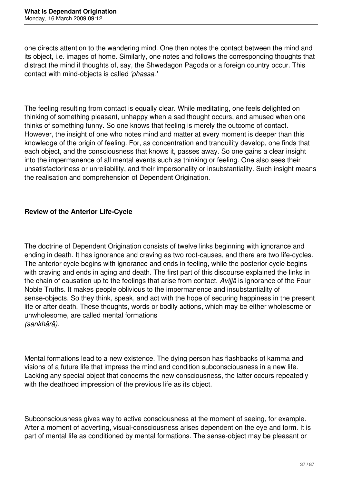one directs attention to the wandering mind. One then notes the contact between the mind and its object, i.e. images of home. Similarly, one notes and follows the corresponding thoughts that distract the mind if thoughts of, say, the Shwedagon Pagoda or a foreign country occur. This contact with mind-objects is called *'phassa.'* 

The feeling resulting from contact is equally clear. While meditating, one feels delighted on thinking of something pleasant, unhappy when a sad thought occurs, and amused when one thinks of something funny. So one knows that feeling is merely the outcome of contact. However, the insight of one who notes mind and matter at every moment is deeper than this knowledge of the origin of feeling. For, as concentration and tranquility develop, one finds that each object, and the consciousness that knows it, passes away. So one gains a clear insight into the impermanence of all mental events such as thinking or feeling. One also sees their unsatisfactoriness or unreliability, and their impersonality or insubstantiality. Such insight means the realisation and comprehension of Dependent Origination.

## **Review of the Anterior Life-Cycle**

The doctrine of Dependent Origination consists of twelve links beginning with ignorance and ending in death. It has ignorance and craving as two root-causes, and there are two life-cycles. The anterior cycle begins with ignorance and ends in feeling, while the posterior cycle begins with craving and ends in aging and death. The first part of this discourse explained the links in the chain of causation up to the feelings that arise from contact. *Avijjā* is ignorance of the Four Noble Truths. It makes people oblivious to the impermanence and insubstantiality of sense-objects. So they think, speak, and act with the hope of securing happiness in the present life or after death. These thoughts, words or bodily actions, which may be either wholesome or unwholesome, are called mental formations *(sankhārā).* 

Mental formations lead to a new existence. The dying person has flashbacks of kamma and visions of a future life that impress the mind and condition subconsciousness in a new life. Lacking any special object that concerns the new consciousness, the latter occurs repeatedly with the deathbed impression of the previous life as its object.

Subconsciousness gives way to active consciousness at the moment of seeing, for example. After a moment of adverting, visual-consciousness arises dependent on the eye and form. It is part of mental life as conditioned by mental formations. The sense-object may be pleasant or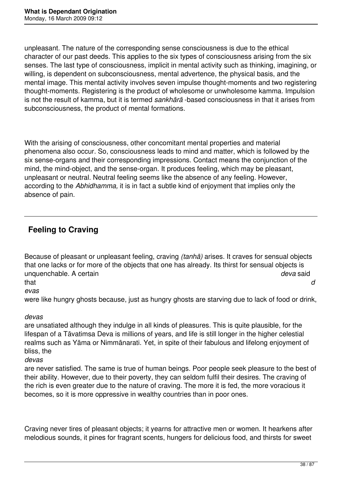unpleasant. The nature of the corresponding sense consciousness is due to the ethical character of our past deeds. This applies to the six types of consciousness arising from the six senses. The last type of consciousness, implicit in mental activity such as thinking, imagining, or willing, is dependent on subconsciousness, mental advertence, the physical basis, and the mental image. This mental activity involves seven impulse thought-moments and two registering thought-moments. Registering is the product of wholesome or unwholesome kamma. Impulsion is not the result of kamma, but it is termed *sankhārā* -based consciousness in that it arises from subconsciousness, the product of mental formations.

With the arising of consciousness, other concomitant mental properties and material phenomena also occur. So, consciousness leads to mind and matter, which is followed by the six sense-organs and their corresponding impressions. Contact means the conjunction of the mind, the mind-object, and the sense-organ. It produces feeling, which may be pleasant, unpleasant or neutral. Neutral feeling seems like the absence of any feeling. However, according to the *Abhidhamma,* it is in fact a subtle kind of enjoyment that implies only the absence of pain.

## **Feeling to Craving**

Because of pleasant or unpleasant feeling, craving *(tanhā)* arises. It craves for sensual objects that one lacks or for more of the objects that one has already. Its thirst for sensual objects is unquenchable. A certain *deva* said that *d*

*evas* 

were like hungry ghosts because, just as hungry ghosts are starving due to lack of food or drink,

*devas* 

are unsatiated although they indulge in all kinds of pleasures. This is quite plausible, for the lifespan of a Tāvatimsa Deva is millions of years, and life is still longer in the higher celestial realms such as Yāma or Nimmānarati. Yet, in spite of their fabulous and lifelong enjoyment of bliss, the

*devas* 

are never satisfied. The same is true of human beings. Poor people seek pleasure to the best of their ability. However, due to their poverty, they can seldom fulfil their desires. The craving of the rich is even greater due to the nature of craving. The more it is fed, the more voracious it becomes, so it is more oppressive in wealthy countries than in poor ones.

Craving never tires of pleasant objects; it yearns for attractive men or women. It hearkens after melodious sounds, it pines for fragrant scents, hungers for delicious food, and thirsts for sweet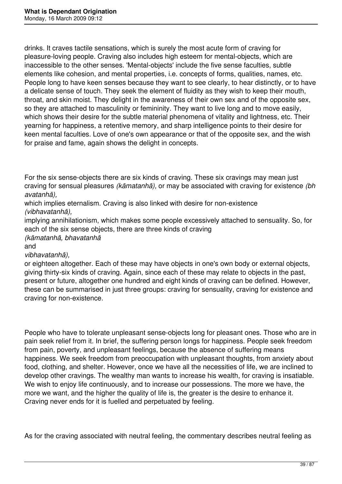drinks. It craves tactile sensations, which is surely the most acute form of craving for pleasure-loving people. Craving also includes high esteem for mental-objects, which are inaccessible to the other senses. 'Mental-objects' include the five sense faculties, subtle elements like cohesion, and mental properties, i.e. concepts of forms, qualities, names, etc. People long to have keen senses because they want to see clearly, to hear distinctly, or to have a delicate sense of touch. They seek the element of fluidity as they wish to keep their mouth, throat, and skin moist. They delight in the awareness of their own sex and of the opposite sex, so they are attached to masculinity or femininity. They want to live long and to move easily, which shows their desire for the subtle material phenomena of vitality and lightness, etc. Their yearning for happiness, a retentive memory, and sharp intelligence points to their desire for keen mental faculties. Love of one's own appearance or that of the opposite sex, and the wish for praise and fame, again shows the delight in concepts.

For the six sense-objects there are six kinds of craving. These six cravings may mean just craving for sensual pleasures *(kāmatanhā),* or may be associated with craving for existence *(bh avatanhā),* 

which implies eternalism. Craving is also linked with desire for non-existence *(vibhavatanhā),* 

implying annihilationism, which makes some people excessively attached to sensuality. So, for each of the six sense objects, there are three kinds of craving

*(kāmatanhā, bhavatanhā* 

and

*vibhavatanhā),* 

or eighteen altogether. Each of these may have objects in one's own body or external objects, giving thirty-six kinds of craving. Again, since each of these may relate to objects in the past, present or future, altogether one hundred and eight kinds of craving can be defined. However, these can be summarised in just three groups: craving for sensuality, craving for existence and craving for non-existence.

People who have to tolerate unpleasant sense-objects long for pleasant ones. Those who are in pain seek relief from it. In brief, the suffering person longs for happiness. People seek freedom from pain, poverty, and unpleasant feelings, because the absence of suffering means happiness. We seek freedom from preoccupation with unpleasant thoughts, from anxiety about food, clothing, and shelter. However, once we have all the necessities of life, we are inclined to develop other cravings. The wealthy man wants to increase his wealth, for craving is insatiable. We wish to enjoy life continuously, and to increase our possessions. The more we have, the more we want, and the higher the quality of life is, the greater is the desire to enhance it. Craving never ends for it is fuelled and perpetuated by feeling.

As for the craving associated with neutral feeling, the commentary describes neutral feeling as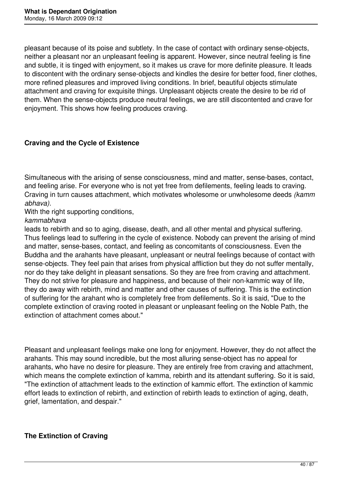pleasant because of its poise and subtlety. In the case of contact with ordinary sense-objects, neither a pleasant nor an unpleasant feeling is apparent. However, since neutral feeling is fine and subtle, it is tinged with enjoyment, so it makes us crave for more definite pleasure. It leads to discontent with the ordinary sense-objects and kindles the desire for better food, finer clothes, more refined pleasures and improved living conditions. In brief, beautiful objects stimulate attachment and craving for exquisite things. Unpleasant objects create the desire to be rid of them. When the sense-objects produce neutral feelings, we are still discontented and crave for enjoyment. This shows how feeling produces craving.

### **Craving and the Cycle of Existence**

Simultaneous with the arising of sense consciousness, mind and matter, sense-bases, contact, and feeling arise. For everyone who is not yet free from defilements, feeling leads to craving. Craving in turn causes attachment, which motivates wholesome or unwholesome deeds *(kamm abhava).* 

With the right supporting conditions,

*kammabhava* 

leads to rebirth and so to aging, disease, death, and all other mental and physical suffering. Thus feelings lead to suffering in the cycle of existence. Nobody can prevent the arising of mind and matter, sense-bases, contact, and feeling as concomitants of consciousness. Even the Buddha and the arahants have pleasant, unpleasant or neutral feelings because of contact with sense-objects. They feel pain that arises from physical affliction but they do not suffer mentally, nor do they take delight in pleasant sensations. So they are free from craving and attachment. They do not strive for pleasure and happiness, and because of their non-kammic way of life, they do away with rebirth, mind and matter and other causes of suffering. This is the extinction of suffering for the arahant who is completely free from defilements. So it is said, "Due to the complete extinction of craving rooted in pleasant or unpleasant feeling on the Noble Path, the extinction of attachment comes about."

Pleasant and unpleasant feelings make one long for enjoyment. However, they do not affect the arahants. This may sound incredible, but the most alluring sense-object has no appeal for arahants, who have no desire for pleasure. They are entirely free from craving and attachment, which means the complete extinction of kamma, rebirth and its attendant suffering. So it is said, "The extinction of attachment leads to the extinction of kammic effort. The extinction of kammic effort leads to extinction of rebirth, and extinction of rebirth leads to extinction of aging, death, grief, lamentation, and despair."

## **The Extinction of Craving**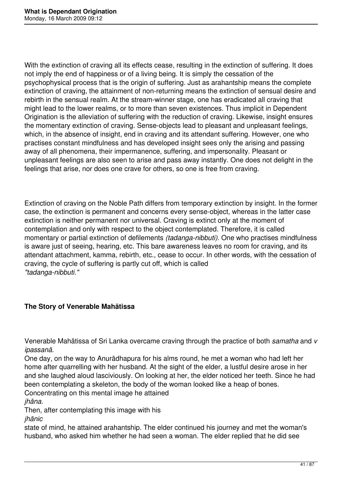With the extinction of craving all its effects cease, resulting in the extinction of suffering. It does not imply the end of happiness or of a living being. It is simply the cessation of the psychophysical process that is the origin of suffering. Just as arahantship means the complete extinction of craving, the attainment of non-returning means the extinction of sensual desire and rebirth in the sensual realm. At the stream-winner stage, one has eradicated all craving that might lead to the lower realms, or to more than seven existences. Thus implicit in Dependent Origination is the alleviation of suffering with the reduction of craving. Likewise, insight ensures the momentary extinction of craving. Sense-objects lead to pleasant and unpleasant feelings, which, in the absence of insight, end in craving and its attendant suffering. However, one who practises constant mindfulness and has developed insight sees only the arising and passing away of all phenomena, their impermanence, suffering, and impersonality. Pleasant or unpleasant feelings are also seen to arise and pass away instantly. One does not delight in the feelings that arise, nor does one crave for others, so one is free from craving.

Extinction of craving on the Noble Path differs from temporary extinction by insight. In the former case, the extinction is permanent and concerns every sense-object, whereas in the latter case extinction is neither permanent nor universal. Craving is extinct only at the moment of contemplation and only with respect to the object contemplated. Therefore, it is called momentary or partial extinction of defilements *(tadanga-nibbuti).* One who practises mindfulness is aware just of seeing, hearing, etc. This bare awareness leaves no room for craving, and its attendant attachment, kamma, rebirth, etc., cease to occur. In other words, with the cessation of craving, the cycle of suffering is partly cut off, which is called *"tadanga-nibbuti."* 

### **The Story of Venerable Mahātissa**

Venerable Mahātissa of Sri Lanka overcame craving through the practice of both *samatha* and *v ipassanā.* 

One day, on the way to Anurādhapura for his alms round, he met a woman who had left her home after quarrelling with her husband. At the sight of the elder, a lustful desire arose in her and she laughed aloud lasciviously. On looking at her, the elder noticed her teeth. Since he had been contemplating a skeleton, the body of the woman looked like a heap of bones. Concentrating on this mental image he attained

*jhāna.* 

Then, after contemplating this image with his *jhānic* 

state of mind, he attained arahantship. The elder continued his journey and met the woman's husband, who asked him whether he had seen a woman. The elder replied that he did see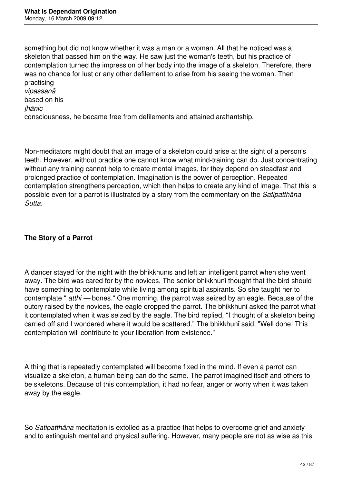something but did not know whether it was a man or a woman. All that he noticed was a skeleton that passed him on the way. He saw just the woman's teeth, but his practice of contemplation turned the impression of her body into the image of a skeleton. Therefore, there was no chance for lust or any other defilement to arise from his seeing the woman. Then practising *vipassanā*  based on his

#### *jhānic*

consciousness, he became free from defilements and attained arahantship.

Non-meditators might doubt that an image of a skeleton could arise at the sight of a person's teeth. However, without practice one cannot know what mind-training can do. Just concentrating without any training cannot help to create mental images, for they depend on steadfast and prolonged practice of contemplation. Imagination is the power of perception. Repeated contemplation strengthens perception, which then helps to create any kind of image. That this is possible even for a parrot is illustrated by a story from the commentary on the *Satipatthāna Sutta.* 

### **The Story of a Parrot**

A dancer stayed for the night with the bhikkhunīs and left an intelligent parrot when she went away. The bird was cared for by the novices. The senior bhikkhunī thought that the bird should have something to contemplate while living among spiritual aspirants. So she taught her to contemplate " *atthi —* bones." One morning, the parrot was seized by an eagle. Because of the outcry raised by the novices, the eagle dropped the parrot. The bhikkhunī asked the parrot what it contemplated when it was seized by the eagle. The bird replied, "I thought of a skeleton being carried off and I wondered where it would be scattered." The bhikkhunī said, "Well done! This contemplation will contribute to your liberation from existence."

A thing that is repeatedly contemplated will become fixed in the mind. If even a parrot can visualize a skeleton, a human being can do the same. The parrot imagined itself and others to be skeletons. Because of this contemplation, it had no fear, anger or worry when it was taken away by the eagle.

So *Satipatthāna* meditation is extolled as a practice that helps to overcome grief and anxiety and to extinguish mental and physical suffering. However, many people are not as wise as this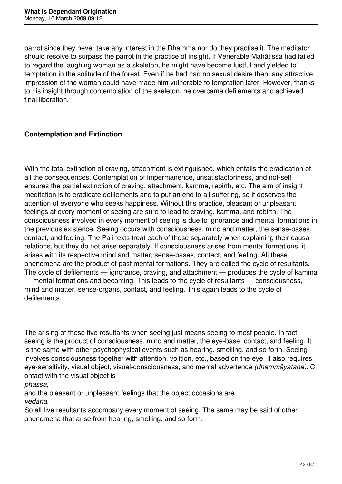parrot since they never take any interest in the Dhamma nor do they practise it. The meditator should resolve to surpass the parrot in the practice of insight. If Venerable Mahātissa had failed to regard the laughing woman as a skeleton, he might have become lustful and yielded to temptation in the solitude of the forest. Even if he had had no sexual desire then, any attractive impression of the woman could have made him vulnerable to temptation later. However, thanks to his insight through contemplation of the skeleton, he overcame defilements and achieved final liberation.

### **Contemplation and Extinction**

With the total extinction of craving, attachment is extinguished, which entails the eradication of all the consequences. Contemplation of impermanence, unsatisfactoriness, and not-self ensures the partial extinction of craving, attachment, kamma, rebirth, etc. The aim of insight meditation is to eradicate defilements and to put an end to all suffering, so it deserves the attention of everyone who seeks happiness. Without this practice, pleasant or unpleasant feelings at every moment of seeing are sure to lead to craving, kamma, and rebirth. The consciousness involved in every moment of seeing is due to ignorance and mental formations in the previous existence. Seeing occurs with consciousness, mind and matter, the sense-bases, contact, and feeling. The Pali texts treat each of these separately when explaining their causal relations, but they do not arise separately. If consciousness arises from mental formations, it arises with its respective mind and matter, sense-bases, contact, and feeling. All these phenomena are the product of past mental formations. They are called the cycle of resultants. The cycle of defilements — ignorance, craving, and attachment — produces the cycle of kamma — mental formations and becoming. This leads to the cycle of resultants — consciousness, mind and matter, sense-organs, contact, and feeling. This again leads to the cycle of defilements.

The arising of these five resultants when seeing just means seeing to most people. In fact, seeing is the product of consciousness, mind and matter, the eye-base, contact, and feeling. It is the same with other psychophysical events such as hearing, smelling, and so forth. Seeing involves consciousness together with attention, volition, etc., based on the eye. It also requires eye-sensitivity, visual object, visual-consciousness, and mental advertence *(dhammāyatana).* C ontact with the visual object is

*phassa,* 

and the pleasant or unpleasant feelings that the object occasions are *vedanā.* 

So all five resultants accompany every moment of seeing. The same may be said of other phenomena that arise from hearing, smelling, and so forth.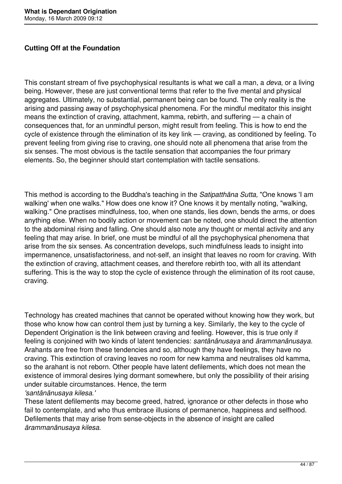### **Cutting Off at the Foundation**

This constant stream of five psychophysical resultants is what we call a man, a *deva,* or a living being. However, these are just conventional terms that refer to the five mental and physical aggregates. Ultimately, no substantial, permanent being can be found. The only reality is the arising and passing away of psychophysical phenomena. For the mindful meditator this insight means the extinction of craving, attachment, kamma, rebirth, and suffering — a chain of consequences that, for an unmindful person, might result from feeling. This is how to end the cycle of existence through the elimination of its key link — craving, as conditioned by feeling. To prevent feeling from giving rise to craving, one should note all phenomena that arise from the six senses. The most obvious is the tactile sensation that accompanies the four primary elements. So, the beginner should start contemplation with tactile sensations.

This method is according to the Buddha's teaching in the *Satipatthāna Sutta,* "One knows 'I am walking' when one walks." How does one know it? One knows it by mentally noting, "walking, walking." One practises mindfulness, too, when one stands, lies down, bends the arms, or does anything else. When no bodily action or movement can be noted, one should direct the attention to the abdominal rising and falling. One should also note any thought or mental activity and any feeling that may arise. In brief, one must be mindful of all the psychophysical phenomena that arise from the six senses. As concentration develops, such mindfulness leads to insight into impermanence, unsatisfactoriness, and not-self, an insight that leaves no room for craving. With the extinction of craving, attachment ceases, and therefore rebirth too, with all its attendant suffering. This is the way to stop the cycle of existence through the elimination of its root cause, craving.

Technology has created machines that cannot be operated without knowing how they work, but those who know how can control them just by turning a key. Similarly, the key to the cycle of Dependent Origination is the link between craving and feeling. However, this is true only if feeling is conjoined with two kinds of latent tendencies: *santānānusaya* and *ārammanānusaya.*  Arahants are free from these tendencies and so, although they have feelings, they have no craving. This extinction of craving leaves no room for new kamma and neutralises old kamma, so the arahant is not reborn. Other people have latent defilements, which does not mean the existence of immoral desires lying dormant somewhere, but only the possibility of their arising under suitable circumstances. Hence, the term

*'santānānusaya kilesa.'* 

These latent defilements may become greed, hatred, ignorance or other defects in those who fail to contemplate, and who thus embrace illusions of permanence, happiness and selfhood. Defilements that may arise from sense-objects in the absence of insight are called *ārammanānusaya kilesa.*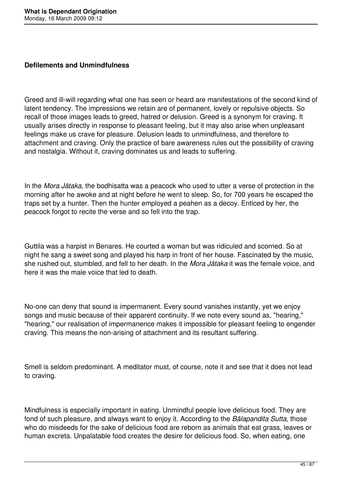### **Defilements and Unmindfulness**

Greed and ill-will regarding what one has seen or heard are manifestations of the second kind of latent tendency. The impressions we retain are of permanent, lovely or repulsive objects. So recall of those images leads to greed, hatred or delusion. Greed is a synonym for craving. It usually arises directly in response to pleasant feeling, but it may also arise when unpleasant feelings make us crave for pleasure. Delusion leads to unmindfulness, and therefore to attachment and craving. Only the practice of bare awareness rules out the possibility of craving and nostalgia. Without it, craving dominates us and leads to suffering.

In the *Mora Jātaka,* the bodhisatta was a peacock who used to utter a verse of protection in the morning after he awoke and at night before he went to sleep. So, for 700 years he escaped the traps set by a hunter. Then the hunter employed a peahen as a decoy. Enticed by her, the peacock forgot to recite the verse and so fell into the trap.

Guttila was a harpist in Benares. He courted a woman but was ridiculed and scorned. So at night he sang a sweet song and played his harp in front of her house. Fascinated by the music, she rushed out, stumbled, and fell to her death. In the *Mora Jātaka* it was the female voice, and here it was the male voice that led to death.

No-one can deny that sound is impermanent. Every sound vanishes instantly, yet we enjoy songs and music because of their apparent continuity. If we note every sound as, "hearing," "hearing," our realisation of impermanence makes it impossible for pleasant feeling to engender craving. This means the non-arising of attachment and its resultant suffering.

Smell is seldom predominant. A meditator must, of course, note it and see that it does not lead to craving.

Mindfulness is especially important in eating. Unmindful people love delicious food. They are fond of such pleasure, and always want to enjoy it. According to the *Bālapandita Sutta,* those who do misdeeds for the sake of delicious food are reborn as animals that eat grass, leaves or human excreta. Unpalatable food creates the desire for delicious food. So, when eating, one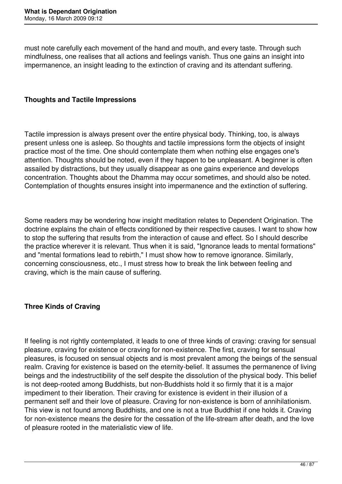must note carefully each movement of the hand and mouth, and every taste. Through such mindfulness, one realises that all actions and feelings vanish. Thus one gains an insight into impermanence, an insight leading to the extinction of craving and its attendant suffering.

### **Thoughts and Tactile Impressions**

Tactile impression is always present over the entire physical body. Thinking, too, is always present unless one is asleep. So thoughts and tactile impressions form the objects of insight practice most of the time. One should contemplate them when nothing else engages one's attention. Thoughts should be noted, even if they happen to be unpleasant. A beginner is often assailed by distractions, but they usually disappear as one gains experience and develops concentration. Thoughts about the Dhamma may occur sometimes, and should also be noted. Contemplation of thoughts ensures insight into impermanence and the extinction of suffering.

Some readers may be wondering how insight meditation relates to Dependent Origination. The doctrine explains the chain of effects conditioned by their respective causes. I want to show how to stop the suffering that results from the interaction of cause and effect. So I should describe the practice wherever it is relevant. Thus when it is said, "Ignorance leads to mental formations" and "mental formations lead to rebirth," I must show how to remove ignorance. Similarly, concerning consciousness, etc., I must stress how to break the link between feeling and craving, which is the main cause of suffering.

### **Three Kinds of Craving**

If feeling is not rightly contemplated, it leads to one of three kinds of craving: craving for sensual pleasure, craving for existence or craving for non-existence. The first, craving for sensual pleasures, is focused on sensual objects and is most prevalent among the beings of the sensual realm. Craving for existence is based on the eternity-belief. It assumes the permanence of living beings and the indestructibility of the self despite the dissolution of the physical body. This belief is not deep-rooted among Buddhists, but non-Buddhists hold it so firmly that it is a major impediment to their liberation. Their craving for existence is evident in their illusion of a permanent self and their love of pleasure. Craving for non-existence is born of annihilationism. This view is not found among Buddhists, and one is not a true Buddhist if one holds it. Craving for non-existence means the desire for the cessation of the life-stream after death, and the love of pleasure rooted in the materialistic view of life.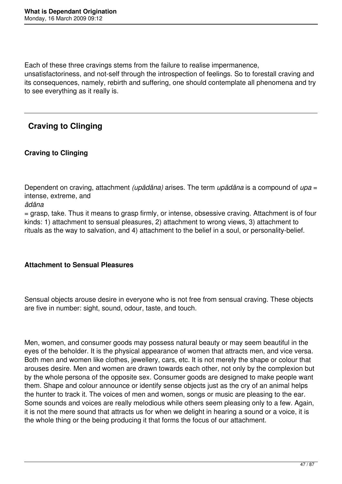Each of these three cravings stems from the failure to realise impermanence,

unsatisfactoriness, and not-self through the introspection of feelings. So to forestall craving and its consequences, namely, rebirth and suffering, one should contemplate all phenomena and try to see everything as it really is.

# **Craving to Clinging**

## **Craving to Clinging**

Dependent on craving, attachment *(upādāna)* arises. The term *upādāna* is a compound of *upa* = intense, extreme, and

*ādāna* 

= grasp, take. Thus it means to grasp firmly, or intense, obsessive craving. Attachment is of four kinds: 1) attachment to sensual pleasures, 2) attachment to wrong views, 3) attachment to rituals as the way to salvation, and 4) attachment to the belief in a soul, or personality-belief.

## **Attachment to Sensual Pleasures**

Sensual objects arouse desire in everyone who is not free from sensual craving. These objects are five in number: sight, sound, odour, taste, and touch.

Men, women, and consumer goods may possess natural beauty or may seem beautiful in the eyes of the beholder. It is the physical appearance of women that attracts men, and vice versa. Both men and women like clothes, jewellery, cars, etc. It is not merely the shape or colour that arouses desire. Men and women are drawn towards each other, not only by the complexion but by the whole persona of the opposite sex. Consumer goods are designed to make people want them. Shape and colour announce or identify sense objects just as the cry of an animal helps the hunter to track it. The voices of men and women, songs or music are pleasing to the ear. Some sounds and voices are really melodious while others seem pleasing only to a few. Again, it is not the mere sound that attracts us for when we delight in hearing a sound or a voice, it is the whole thing or the being producing it that forms the focus of our attachment.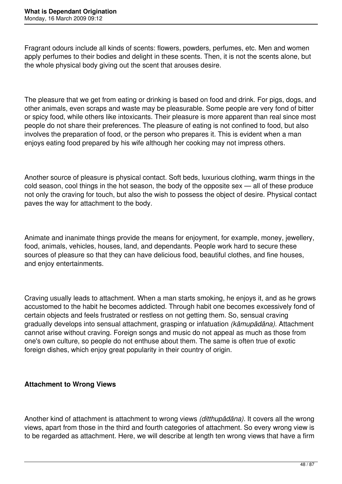Fragrant odours include all kinds of scents: flowers, powders, perfumes, etc. Men and women apply perfumes to their bodies and delight in these scents. Then, it is not the scents alone, but the whole physical body giving out the scent that arouses desire.

The pleasure that we get from eating or drinking is based on food and drink. For pigs, dogs, and other animals, even scraps and waste may be pleasurable. Some people are very fond of bitter or spicy food, while others like intoxicants. Their pleasure is more apparent than real since most people do not share their preferences. The pleasure of eating is not confined to food, but also involves the preparation of food, or the person who prepares it. This is evident when a man enjoys eating food prepared by his wife although her cooking may not impress others.

Another source of pleasure is physical contact. Soft beds, luxurious clothing, warm things in the cold season, cool things in the hot season, the body of the opposite sex — all of these produce not only the craving for touch, but also the wish to possess the object of desire. Physical contact paves the way for attachment to the body.

Animate and inanimate things provide the means for enjoyment, for example, money, jewellery, food, animals, vehicles, houses, land, and dependants. People work hard to secure these sources of pleasure so that they can have delicious food, beautiful clothes, and fine houses, and enjoy entertainments.

Craving usually leads to attachment. When a man starts smoking, he enjoys it, and as he grows accustomed to the habit he becomes addicted. Through habit one becomes excessively fond of certain objects and feels frustrated or restless on not getting them. So, sensual craving gradually develops into sensual attachment, grasping or infatuation *(kāmupādāna).* Attachment cannot arise without craving. Foreign songs and music do not appeal as much as those from one's own culture, so people do not enthuse about them. The same is often true of exotic foreign dishes, which enjoy great popularity in their country of origin.

## **Attachment to Wrong Views**

Another kind of attachment is attachment to wrong views *(ditthupādāna).* It covers all the wrong views, apart from those in the third and fourth categories of attachment. So every wrong view is to be regarded as attachment. Here, we will describe at length ten wrong views that have a firm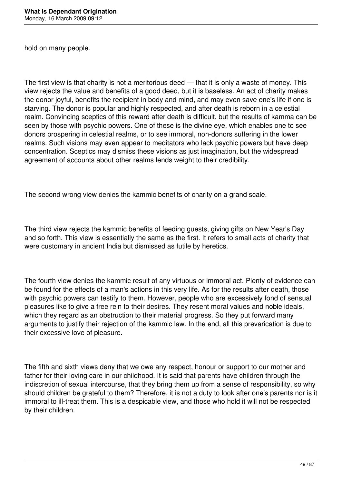hold on many people.

The first view is that charity is not a meritorious deed — that it is only a waste of money. This view rejects the value and benefits of a good deed, but it is baseless. An act of charity makes the donor joyful, benefits the recipient in body and mind, and may even save one's life if one is starving. The donor is popular and highly respected, and after death is reborn in a celestial realm. Convincing sceptics of this reward after death is difficult, but the results of kamma can be seen by those with psychic powers. One of these is the divine eye, which enables one to see donors prospering in celestial realms, or to see immoral, non-donors suffering in the lower realms. Such visions may even appear to meditators who lack psychic powers but have deep concentration. Sceptics may dismiss these visions as just imagination, but the widespread agreement of accounts about other realms lends weight to their credibility.

The second wrong view denies the kammic benefits of charity on a grand scale.

The third view rejects the kammic benefits of feeding guests, giving gifts on New Year's Day and so forth. This view is essentially the same as the first. It refers to small acts of charity that were customary in ancient India but dismissed as futile by heretics.

The fourth view denies the kammic result of any virtuous or immoral act. Plenty of evidence can be found for the effects of a man's actions in this very life. As for the results after death, those with psychic powers can testify to them. However, people who are excessively fond of sensual pleasures like to give a free rein to their desires. They resent moral values and noble ideals, which they regard as an obstruction to their material progress. So they put forward many arguments to justify their rejection of the kammic law. In the end, all this prevarication is due to their excessive love of pleasure.

The fifth and sixth views deny that we owe any respect, honour or support to our mother and father for their loving care in our childhood. It is said that parents have children through the indiscretion of sexual intercourse, that they bring them up from a sense of responsibility, so why should children be grateful to them? Therefore, it is not a duty to look after one's parents nor is it immoral to ill-treat them. This is a despicable view, and those who hold it will not be respected by their children.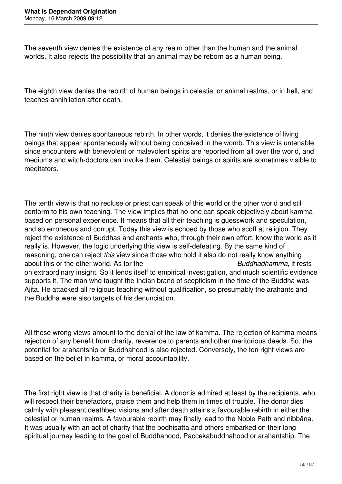The seventh view denies the existence of any realm other than the human and the animal worlds. It also rejects the possibility that an animal may be reborn as a human being.

The eighth view denies the rebirth of human beings in celestial or animal realms, or in hell, and teaches annihilation after death.

The ninth view denies spontaneous rebirth. In other words, it denies the existence of living beings that appear spontaneously without being conceived in the womb. This view is untenable since encounters with benevolent or malevolent spirits are reported from all over the world, and mediums and witch-doctors can invoke them. Celestial beings or spirits are sometimes visible to meditators.

The tenth view is that no recluse or priest can speak of this world or the other world and still conform to his own teaching. The view implies that no-one can speak objectively about kamma based on personal experience. It means that all their teaching is guesswork and speculation, and so erroneous and corrupt. Today this view is echoed by those who scoff at religion. They reject the existence of Buddhas and arahants who, through their own effort, know the world as it really is. However, the logic underlying this view is self-defeating. By the same kind of reasoning, one can reject *this* view since those who hold it also do not really know anything about this or the other world. As for the *Buddhadhamma,* it rests on extraordinary insight. So it lends itself to empirical investigation, and much scientific evidence supports it. The man who taught the Indian brand of scepticism in the time of the Buddha was Ajita. He attacked all religious teaching without qualification, so presumably the arahants and the Buddha were also targets of his denunciation.

All these wrong views amount to the denial of the law of kamma. The rejection of kamma means rejection of any benefit from charity, reverence to parents and other meritorious deeds. So, the potential for arahantship or Buddhahood is also rejected. Conversely, the ten right views are based on the belief in kamma, or moral accountability.

The first right view is that charity is beneficial. A donor is admired at least by the recipients, who will respect their benefactors, praise them and help them in times of trouble. The donor dies calmly with pleasant deathbed visions and after death attains a favourable rebirth in either the celestial or human realms. A favourable rebirth may finally lead to the Noble Path and nibbāna. It was usually with an act of charity that the bodhisatta and others embarked on their long spiritual journey leading to the goal of Buddhahood, Paccekabuddhahood or arahantship. The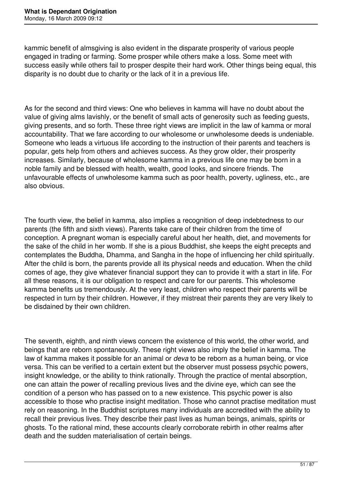kammic benefit of almsgiving is also evident in the disparate prosperity of various people engaged in trading or farming. Some prosper while others make a loss. Some meet with success easily while others fail to prosper despite their hard work. Other things being equal, this disparity is no doubt due to charity or the lack of it in a previous life.

As for the second and third views: One who believes in kamma will have no doubt about the value of giving alms lavishly, or the benefit of small acts of generosity such as feeding guests, giving presents, and so forth. These three right views are implicit in the law of kamma or moral accountability. That we fare according to our wholesome or unwholesome deeds is undeniable. Someone who leads a virtuous life according to the instruction of their parents and teachers is popular, gets help from others and achieves success. As they grow older, their prosperity increases. Similarly, because of wholesome kamma in a previous life one may be born in a noble family and be blessed with health, wealth, good looks, and sincere friends. The unfavourable effects of unwholesome kamma such as poor health, poverty, ugliness, etc., are also obvious.

The fourth view, the belief in kamma, also implies a recognition of deep indebtedness to our parents (the fifth and sixth views). Parents take care of their children from the time of conception. A pregnant woman is especially careful about her health, diet, and movements for the sake of the child in her womb. If she is a pious Buddhist, she keeps the eight precepts and contemplates the Buddha, Dhamma, and Sangha in the hope of influencing her child spiritually. After the child is born, the parents provide all its physical needs and education. When the child comes of age, they give whatever financial support they can to provide it with a start in life. For all these reasons, it is our obligation to respect and care for our parents. This wholesome kamma benefits us tremendously. At the very least, children who respect their parents will be respected in turn by their children. However, if they mistreat their parents they are very likely to be disdained by their own children.

The seventh, eighth, and ninth views concern the existence of this world, the other world, and beings that are reborn spontaneously. These right views also imply the belief in kamma. The law of kamma makes it possible for an animal or *deva* to be reborn as a human being, or vice versa. This can be verified to a certain extent but the observer must possess psychic powers, insight knowledge, or the ability to think rationally. Through the practice of mental absorption, one can attain the power of recalling previous lives and the divine eye, which can see the condition of a person who has passed on to a new existence. This psychic power is also accessible to those who practise insight meditation. Those who cannot practise meditation must rely on reasoning. In the Buddhist scriptures many individuals are accredited with the ability to recall their previous lives. They describe their past lives as human beings, animals, spirits or ghosts. To the rational mind, these accounts clearly corroborate rebirth in other realms after death and the sudden materialisation of certain beings.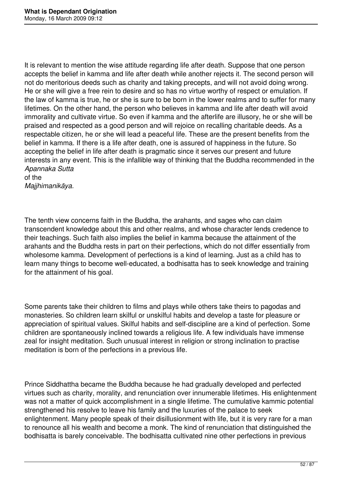It is relevant to mention the wise attitude regarding life after death. Suppose that one person accepts the belief in kamma and life after death while another rejects it. The second person will not do meritorious deeds such as charity and taking precepts, and will not avoid doing wrong. He or she will give a free rein to desire and so has no virtue worthy of respect or emulation. If the law of kamma is true, he or she is sure to be born in the lower realms and to suffer for many lifetimes. On the other hand, the person who believes in kamma and life after death will avoid immorality and cultivate virtue. So even if kamma and the afterlife are illusory, he or she will be praised and respected as a good person and will rejoice on recalling charitable deeds. As a respectable citizen, he or she will lead a peaceful life. These are the present benefits from the belief in kamma. If there is a life after death, one is assured of happiness in the future. So accepting the belief in life after death is pragmatic since it serves our present and future interests in any event. This is the infallible way of thinking that the Buddha recommended in the *Apannaka Sutta*  of the

*Majjhimanikāya.* 

The tenth view concerns faith in the Buddha, the arahants, and sages who can claim transcendent knowledge about this and other realms, and whose character lends credence to their teachings. Such faith also implies the belief in kamma because the attainment of the arahants and the Buddha rests in part on their perfections, which do not differ essentially from wholesome kamma. Development of perfections is a kind of learning. Just as a child has to learn many things to become well-educated, a bodhisatta has to seek knowledge and training for the attainment of his goal.

Some parents take their children to films and plays while others take theirs to pagodas and monasteries. So children learn skilful or unskilful habits and develop a taste for pleasure or appreciation of spiritual values. Skilful habits and self-discipline are a kind of perfection. Some children are spontaneously inclined towards a religious life. A few individuals have immense zeal for insight meditation. Such unusual interest in religion or strong inclination to practise meditation is born of the perfections in a previous life.

Prince Siddhattha became the Buddha because he had gradually developed and perfected virtues such as charity, morality, and renunciation over innumerable lifetimes. His enlightenment was not a matter of quick accomplishment in a single lifetime. The cumulative kammic potential strengthened his resolve to leave his family and the luxuries of the palace to seek enlightenment. Many people speak of their disillusionment with life, but it is very rare for a man to renounce all his wealth and become a monk. The kind of renunciation that distinguished the bodhisatta is barely conceivable. The bodhisatta cultivated nine other perfections in previous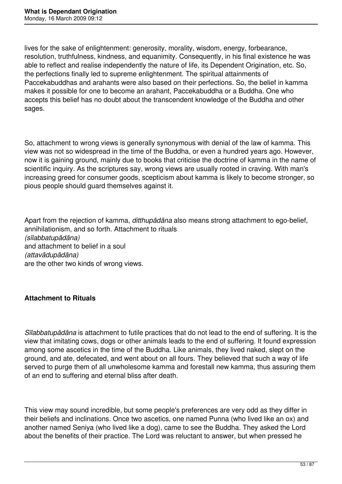lives for the sake of enlightenment: generosity, morality, wisdom, energy, forbearance, resolution, truthfulness, kindness, and equanimity. Consequently, in his final existence he was able to reflect and realise independently the nature of life, its Dependent Origination, etc. So, the perfections finally led to supreme enlightenment. The spiritual attainments of Paccekabuddhas and arahants were also based on their perfections. So, the belief in kamma makes it possible for one to become an arahant, Paccekabuddha or a Buddha. One who accepts this belief has no doubt about the transcendent knowledge of the Buddha and other sages.

So, attachment to wrong views is generally synonymous with denial of the law of kamma. This view was not so widespread in the time of the Buddha, or even a hundred years ago. However, now it is gaining ground, mainly due to books that criticise the doctrine of kamma in the name of scientific inquiry. As the scriptures say, wrong views are usually rooted in craving. With man's increasing greed for consumer goods, scepticism about kamma is likely to become stronger, so pious people should guard themselves against it.

Apart from the rejection of kamma, *ditthupādāna* also means strong attachment to ego-belief, annihilationism, and so forth. Attachment to rituals *(sīlabbatupādāna)*  and attachment to belief in a soul *(attavādupādāna)*  are the other two kinds of wrong views.

### **Attachment to Rituals**

*Sīlabbatupādāna* is attachment to futile practices that do not lead to the end of suffering. It is the view that imitating cows, dogs or other animals leads to the end of suffering. It found expression among some ascetics in the time of the Buddha. Like animals, they lived naked, slept on the ground, and ate, defecated, and went about on all fours. They believed that such a way of life served to purge them of all unwholesome kamma and forestall new kamma, thus assuring them of an end to suffering and eternal bliss after death.

This view may sound incredible, but some people's preferences are very odd as they differ in their beliefs and inclinations. Once two ascetics, one named Punna (who lived like an ox) and another named Seniya (who lived like a dog), came to see the Buddha. They asked the Lord about the benefits of their practice. The Lord was reluctant to answer, but when pressed he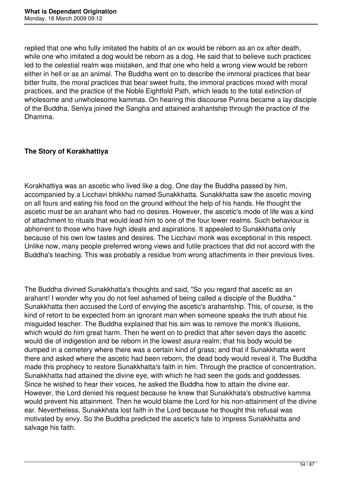replied that one who fully imitated the habits of an ox would be reborn as an ox after death, while one who imitated a dog would be reborn as a dog. He said that to believe such practices led to the celestial realm was mistaken, and that one who held a wrong view would be reborn either in hell or as an animal. The Buddha went on to describe the immoral practices that bear bitter fruits, the moral practices that bear sweet fruits, the immoral practices mixed with moral practices, and the practice of the Noble Eightfold Path, which leads to the total extinction of wholesome and unwholesome kammas. On hearing this discourse Punna became a lay disciple of the Buddha. Seniya joined the Sangha and attained arahantship through the practice of the Dhamma.

### **The Story of Korakhattiya**

Korakhattiya was an ascetic who lived like a dog. One day the Buddha passed by him, accompanied by a Licchavi bhikkhu named Sunakkhatta. Sunakkhatta saw the ascetic moving on all fours and eating his food on the ground without the help of his hands. He thought the ascetic must be an arahant who had no desires. However, the ascetic's mode of life was a kind of attachment to rituals that would lead him to one of the four lower realms. Such behaviour is abhorrent to those who have high ideals and aspirations. It appealed to Sunakkhatta only because of his own low tastes and desires. The Licchavi monk was exceptional in this respect. Unlike now, many people preferred wrong views and futile practices that did not accord with the Buddha's teaching. This was probably a residue from wrong attachments in their previous lives.

The Buddha divined Sunakkhatta's thoughts and said, "So you regard that ascetic as an arahant! I wonder why you do not feel ashamed of being called a disciple of the Buddha." Sunakkhatta then accused the Lord of envying the ascetic's arahantship. This, of course, is the kind of retort to be expected from an ignorant man when someone speaks the truth about his misguided teacher. The Buddha explained that his aim was to remove the monk's illusions, which would do him great harm. Then he went on to predict that after seven days the ascetic would die of indigestion and be reborn in the lowest *asura* realm; that his body would be dumped in a cemetery where there was a certain kind of grass; and that if Sunakkhatta went there and asked where the ascetic had been reborn, the dead body would reveal it. The Buddha made this prophecy to restore Sunakkhatta's faith in him. Through the practice of concentration, Sunakkhatta had attained the divine eye, with which he had seen the gods and goddesses. Since he wished to hear their voices, he asked the Buddha how to attain the divine ear. However, the Lord denied his request because he knew that Sunakkhata's obstructive kamma would prevent his attainment. Then he would blame the Lord for his non-attainment of the divine ear. Nevertheless, Sunakkhata lost faith in the Lord because he thought this refusal was motivated by envy. So the Buddha predicted the ascetic's fate to impress Sunakkhatta and salvage his faith.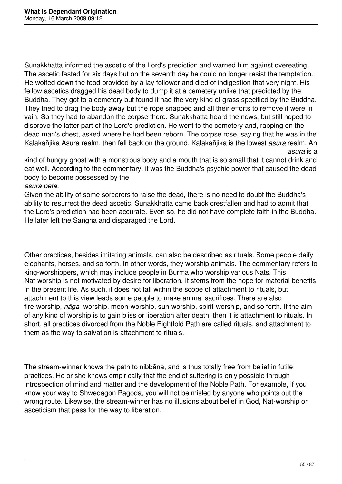Sunakkhatta informed the ascetic of the Lord's prediction and warned him against overeating. The ascetic fasted for six days but on the seventh day he could no longer resist the temptation. He wolfed down the food provided by a lay follower and died of indigestion that very night. His fellow ascetics dragged his dead body to dump it at a cemetery unlike that predicted by the Buddha. They got to a cemetery but found it had the very kind of grass specified by the Buddha. They tried to drag the body away but the rope snapped and all their efforts to remove it were in vain. So they had to abandon the corpse there. Sunakkhatta heard the news, but still hoped to disprove the latter part of the Lord's prediction. He went to the cemetery and, rapping on the dead man's chest, asked where he had been reborn. The corpse rose, saying that he was in the Kalakañjika Asura realm, then fell back on the ground. Kalakañjika is the lowest *asura* realm. An *asura* is a

kind of hungry ghost with a monstrous body and a mouth that is so small that it cannot drink and eat well. According to the commentary, it was the Buddha's psychic power that caused the dead body to become possessed by the

*asura peta.* 

Given the ability of some sorcerers to raise the dead, there is no need to doubt the Buddha's ability to resurrect the dead ascetic. Sunakkhatta came back crestfallen and had to admit that the Lord's prediction had been accurate. Even so, he did not have complete faith in the Buddha. He later left the Sangha and disparaged the Lord.

Other practices, besides imitating animals, can also be described as rituals. Some people deify elephants, horses, and so forth. In other words, they worship animals. The commentary refers to king-worshippers, which may include people in Burma who worship various Nats. This Nat-worship is not motivated by desire for liberation. It stems from the hope for material benefits in the present life. As such, it does not fall within the scope of attachment to rituals, but attachment to this view leads some people to make animal sacrifices. There are also fire-worship, *nāga* -worship, moon-worship, sun-worship, spirit-worship, and so forth. If the aim of any kind of worship is to gain bliss or liberation after death, then it is attachment to rituals. In short, all practices divorced from the Noble Eightfold Path are called rituals, and attachment to them as the way to salvation is attachment to rituals.

The stream-winner knows the path to nibbāna, and is thus totally free from belief in futile practices. He or she knows empirically that the end of suffering is only possible through introspection of mind and matter and the development of the Noble Path. For example, if you know your way to Shwedagon Pagoda, you will not be misled by anyone who points out the wrong route. Likewise, the stream-winner has no illusions about belief in God, Nat-worship or asceticism that pass for the way to liberation.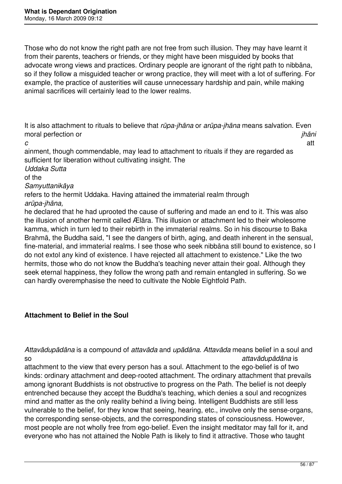Those who do not know the right path are not free from such illusion. They may have learnt it from their parents, teachers or friends, or they might have been misguided by books that advocate wrong views and practices. Ordinary people are ignorant of the right path to nibbāna, so if they follow a misguided teacher or wrong practice, they will meet with a lot of suffering. For example, the practice of austerities will cause unnecessary hardship and pain, while making animal sacrifices will certainly lead to the lower realms.

It is also attachment to rituals to believe that *rūpa-jhāna* or *arūpa-jhāna* means salvation. Even moral perfection or *jhāni*

*c* att ainment, though commendable, may lead to attachment to rituals if they are regarded as sufficient for liberation without cultivating insight. The

*Uddaka Sutta* 

of the

*Samyuttanikāya* 

refers to the hermit Uddaka. Having attained the immaterial realm through *arūpa-jhāna,* 

he declared that he had uprooted the cause of suffering and made an end to it. This was also the illusion of another hermit called Ælāra. This illusion or attachment led to their wholesome kamma, which in turn led to their rebirth in the immaterial realms. So in his discourse to Baka Brahmā, the Buddha said, "I see the dangers of birth, aging, and death inherent in the sensual, fine-material, and immaterial realms. I see those who seek nibbāna still bound to existence, so I do not extol any kind of existence. I have rejected all attachment to existence." Like the two hermits, those who do not know the Buddha's teaching never attain their goal. Although they seek eternal happiness, they follow the wrong path and remain entangled in suffering. So we can hardly overemphasise the need to cultivate the Noble Eightfold Path.

## **Attachment to Belief in the Soul**

*Attavādupādāna* is a compound of *attavāda* and *upādāna. Attavāda* means belief in a soul and so *attavādupādāna* is

attachment to the view that every person has a soul. Attachment to the ego-belief is of two kinds: ordinary attachment and deep-rooted attachment. The ordinary attachment that prevails among ignorant Buddhists is not obstructive to progress on the Path. The belief is not deeply entrenched because they accept the Buddha's teaching, which denies a soul and recognizes mind and matter as the only reality behind a living being. Intelligent Buddhists are still less vulnerable to the belief, for they know that seeing, hearing, etc., involve only the sense-organs, the corresponding sense-objects, and the corresponding states of consciousness. However, most people are not wholly free from ego-belief. Even the insight meditator may fall for it, and everyone who has not attained the Noble Path is likely to find it attractive. Those who taught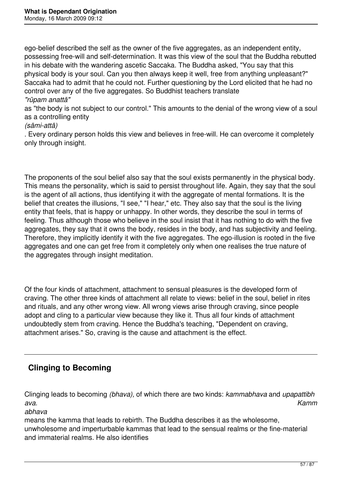ego-belief described the self as the owner of the five aggregates, as an independent entity, possessing free-will and self-determination. It was this view of the soul that the Buddha rebutted in his debate with the wandering ascetic Saccaka. The Buddha asked, "You say that this physical body is your soul. Can you then always keep it well, free from anything unpleasant?" Saccaka had to admit that he could not. Further questioning by the Lord elicited that he had no control over any of the five aggregates. So Buddhist teachers translate *"rūpam anattā"* 

as "the body is not subject to our control." This amounts to the denial of the wrong view of a soul as a controlling entity

### *(sāmi-attā)*

. Every ordinary person holds this view and believes in free-will. He can overcome it completely only through insight.

The proponents of the soul belief also say that the soul exists permanently in the physical body. This means the personality, which is said to persist throughout life. Again, they say that the soul is the agent of all actions, thus identifying it with the aggregate of mental formations. It is the belief that creates the illusions, "I see," "I hear," etc. They also say that the soul is the living entity that feels, that is happy or unhappy. In other words, they describe the soul in terms of feeling. Thus although those who believe in the soul insist that it has nothing to do with the five aggregates, they say that it owns the body, resides in the body, and has subjectivity and feeling. Therefore, they implicitly identify it with the five aggregates. The ego-illusion is rooted in the five aggregates and one can get free from it completely only when one realises the true nature of the aggregates through insight meditation.

Of the four kinds of attachment, attachment to sensual pleasures is the developed form of craving. The other three kinds of attachment all relate to views: belief in the soul, belief in rites and rituals, and any other wrong view. All wrong views arise through craving, since people adopt and cling to a particular view because they like it. Thus all four kinds of attachment undoubtedly stem from craving. Hence the Buddha's teaching, "Dependent on craving, attachment arises." So, craving is the cause and attachment is the effect.

## **Clinging to Becoming**

Clinging leads to becoming *(bhava),* of which there are two kinds: *kammabhava* and *upapattibh ava. Kamm*

*abhava* 

means the kamma that leads to rebirth. The Buddha describes it as the wholesome, unwholesome and imperturbable kammas that lead to the sensual realms or the fine-material and immaterial realms. He also identifies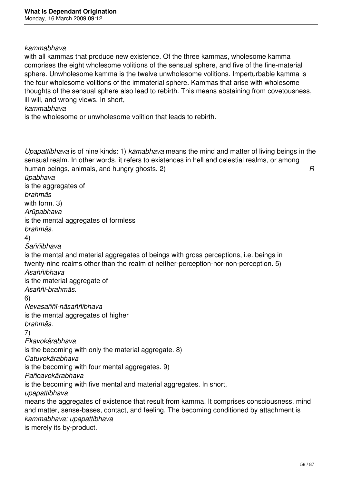#### *kammabhava*

with all kammas that produce new existence. Of the three kammas, wholesome kamma comprises the eight wholesome volitions of the sensual sphere, and five of the fine-material sphere. Unwholesome kamma is the twelve unwholesome volitions. Imperturbable kamma is the four wholesome volitions of the immaterial sphere. Kammas that arise with wholesome thoughts of the sensual sphere also lead to rebirth. This means abstaining from covetousness, ill-will, and wrong views. In short,

### *kammabhava*

is the wholesome or unwholesome volition that leads to rebirth.

*Upapattibhava* is of nine kinds: 1) *kāmabhava* means the mind and matter of living beings in the sensual realm. In other words, it refers to existences in hell and celestial realms, or among human beings, animals, and hungry ghosts. 2) *R*

*ūpabhava*  is the aggregates of *brahmās*  with form. 3) *Arūpabhava*  is the mental aggregates of formless *brahmās.*  4) *Saññībhava*  is the mental and material aggregates of beings with gross perceptions, i.e. beings in twenty-nine realms other than the realm of neither-perception-nor-non-perception. 5) *Asaññībhava*  is the material aggregate of *Asaññī-brahmās.*  6) *Nevasaññī-nāsaññībhava*  is the mental aggregates of higher *brahmās.*  7) *Ekavokārabhava*  is the becoming with only the material aggregate. 8) *Catuvokārabhava*  is the becoming with four mental aggregates. 9) *Pañcavokārabhava*  is the becoming with five mental and material aggregates. In short, *upapattibhava*  means the aggregates of existence that result from kamma. It comprises consciousness, mind and matter, sense-bases, contact, and feeling. The becoming conditioned by attachment is *kammabhava; upapattibhava* 

is merely its by-product.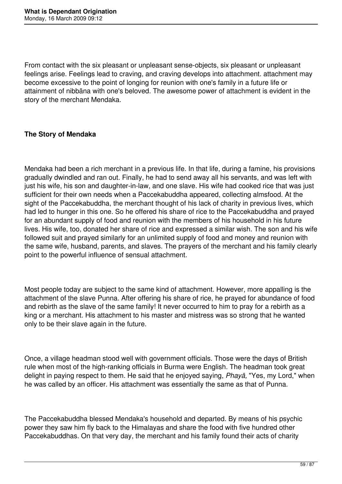From contact with the six pleasant or unpleasant sense-objects, six pleasant or unpleasant feelings arise. Feelings lead to craving, and craving develops into attachment. attachment may become excessive to the point of longing for reunion with one's family in a future life or attainment of nibbāna with one's beloved. The awesome power of attachment is evident in the story of the merchant Mendaka.

### **The Story of Mendaka**

Mendaka had been a rich merchant in a previous life. In that life, during a famine, his provisions gradually dwindled and ran out. Finally, he had to send away all his servants, and was left with just his wife, his son and daughter-in-law, and one slave. His wife had cooked rice that was just sufficient for their own needs when a Paccekabuddha appeared, collecting almsfood. At the sight of the Paccekabuddha, the merchant thought of his lack of charity in previous lives, which had led to hunger in this one. So he offered his share of rice to the Paccekabuddha and prayed for an abundant supply of food and reunion with the members of his household in his future lives. His wife, too, donated her share of rice and expressed a similar wish. The son and his wife followed suit and prayed similarly for an unlimited supply of food and money and reunion with the same wife, husband, parents, and slaves. The prayers of the merchant and his family clearly point to the powerful influence of sensual attachment.

Most people today are subject to the same kind of attachment. However, more appalling is the attachment of the slave Punna. After offering his share of rice, he prayed for abundance of food and rebirth as the slave of the same family! It never occurred to him to pray for a rebirth as a king or a merchant. His attachment to his master and mistress was so strong that he wanted only to be their slave again in the future.

Once, a village headman stood well with government officials. Those were the days of British rule when most of the high-ranking officials in Burma were English. The headman took great delight in paying respect to them. He said that he enjoyed saying, *Phayā,* "Yes, my Lord," when he was called by an officer. His attachment was essentially the same as that of Punna.

The Paccekabuddha blessed Mendaka's household and departed. By means of his psychic power they saw him fly back to the Himalayas and share the food with five hundred other Paccekabuddhas. On that very day, the merchant and his family found their acts of charity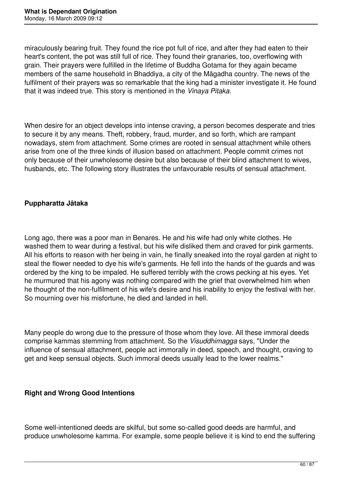miraculously bearing fruit. They found the rice pot full of rice, and after they had eaten to their heart's content, the pot was still full of rice. They found their granaries, too, overflowing with grain. Their prayers were fulfilled in the lifetime of Buddha Gotama for they again became members of the same household in Bhaddiya, a city of the Māgadha country. The news of the fulfilment of their prayers was so remarkable that the king had a minister investigate it. He found that it was indeed true. This story is mentioned in the *Vinaya Pitaka.* 

When desire for an object develops into intense craving, a person becomes desperate and tries to secure it by any means. Theft, robbery, fraud, murder, and so forth, which are rampant nowadays, stem from attachment. Some crimes are rooted in sensual attachment while others arise from one of the three kinds of illusion based on attachment. People commit crimes not only because of their unwholesome desire but also because of their blind attachment to wives, husbands, etc. The following story illustrates the unfavourable results of sensual attachment.

### **Puppharatta Jātaka**

Long ago, there was a poor man in Benares. He and his wife had only white clothes. He washed them to wear during a festival, but his wife disliked them and craved for pink garments. All his efforts to reason with her being in vain, he finally sneaked into the royal garden at night to steal the flower needed to dye his wife's garments. He fell into the hands of the guards and was ordered by the king to be impaled. He suffered terribly with the crows pecking at his eyes. Yet he murmured that his agony was nothing compared with the grief that overwhelmed him when he thought of the non-fulfilment of his wife's desire and his inability to enjoy the festival with her. So mourning over his misfortune, he died and landed in hell.

Many people do wrong due to the pressure of those whom they love. All these immoral deeds comprise kammas stemming from attachment. So the *Visuddhimagga* says, "Under the influence of sensual attachment, people act immorally in deed, speech, and thought, craving to get and keep sensual objects. Such immoral deeds usually lead to the lower realms."

### **Right and Wrong Good Intentions**

Some well-intentioned deeds are skilful, but some so-called good deeds are harmful, and produce unwholesome kamma. For example, some people believe it is kind to end the suffering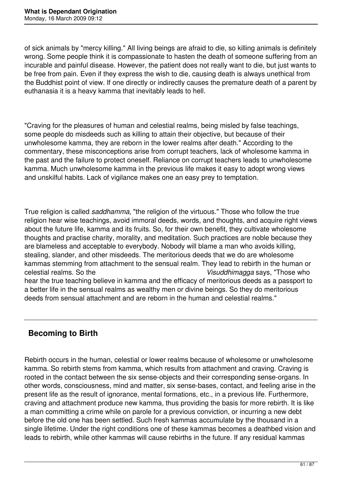of sick animals by "mercy killing." All living beings are afraid to die, so killing animals is definitely wrong. Some people think it is compassionate to hasten the death of someone suffering from an incurable and painful disease. However, the patient does not really want to die, but just wants to be free from pain. Even if they express the wish to die, causing death is always unethical from the Buddhist point of view. If one directly or indirectly causes the premature death of a parent by euthanasia it is a heavy kamma that inevitably leads to hell.

"Craving for the pleasures of human and celestial realms, being misled by false teachings, some people do misdeeds such as killing to attain their objective, but because of their unwholesome kamma, they are reborn in the lower realms after death." According to the commentary, these misconceptions arise from corrupt teachers, lack of wholesome kamma in the past and the failure to protect oneself. Reliance on corrupt teachers leads to unwholesome kamma. Much unwholesome kamma in the previous life makes it easy to adopt wrong views and unskilful habits. Lack of vigilance makes one an easy prey to temptation.

True religion is called *saddhamma,* "the religion of the virtuous." Those who follow the true religion hear wise teachings, avoid immoral deeds, words, and thoughts, and acquire right views about the future life, kamma and its fruits. So, for their own benefit, they cultivate wholesome thoughts and practise charity, morality, and meditation. Such practices are noble because they are blameless and acceptable to everybody. Nobody will blame a man who avoids killing, stealing, slander, and other misdeeds. The meritorious deeds that we do are wholesome kammas stemming from attachment to the sensual realm. They lead to rebirth in the human or celestial realms. So the *Visuddhimagga* says, "Those who hear the true teaching believe in kamma and the efficacy of meritorious deeds as a passport to a better life in the sensual realms as wealthy men or divine beings. So they do meritorious deeds from sensual attachment and are reborn in the human and celestial realms."

## **Becoming to Birth**

Rebirth occurs in the human, celestial or lower realms because of wholesome or unwholesome kamma. So rebirth stems from kamma, which results from attachment and craving. Craving is rooted in the contact between the six sense-objects and their corresponding sense-organs. In other words, consciousness, mind and matter, six sense-bases, contact, and feeling arise in the present life as the result of ignorance, mental formations, etc., in a previous life. Furthermore, craving and attachment produce new kamma, thus providing the basis for more rebirth. It is like a man committing a crime while on parole for a previous conviction, or incurring a new debt before the old one has been settled. Such fresh kammas accumulate by the thousand in a single lifetime. Under the right conditions one of these kammas becomes a deathbed vision and leads to rebirth, while other kammas will cause rebirths in the future. If any residual kammas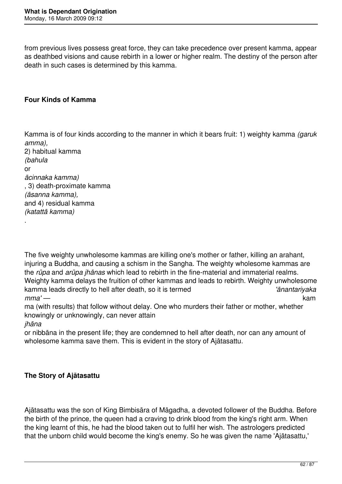from previous lives possess great force, they can take precedence over present kamma, appear as deathbed visions and cause rebirth in a lower or higher realm. The destiny of the person after death in such cases is determined by this kamma.

### **Four Kinds of Kamma**

Kamma is of four kinds according to the manner in which it bears fruit: 1) weighty kamma *(garuk amma),* 

2) habitual kamma *(bahula*  or *ācinnaka kamma)*  , 3) death-proximate kamma *(āsanna kamma),*  and 4) residual kamma *(katattā kamma)*  .

The five weighty unwholesome kammas are killing one's mother or father, killing an arahant, injuring a Buddha, and causing a schism in the Sangha. The weighty wholesome kammas are the *rūpa* and *arūpa jhānas* which lead to rebirth in the fine-material and immaterial realms. Weighty kamma delays the fruition of other kammas and leads to rebirth. Weighty unwholesome kamma leads directly to hell after death, so it is termed *'ānantariyaka mma' —* kam

ma (with results) that follow without delay. One who murders their father or mother, whether knowingly or unknowingly, can never attain

*jhāna* 

or nibbāna in the present life; they are condemned to hell after death, nor can any amount of wholesome kamma save them. This is evident in the story of Ajātasattu.

### **The Story of Ajātasattu**

Ajātasattu was the son of King Bimbisāra of Māgadha, a devoted follower of the Buddha. Before the birth of the prince, the queen had a craving to drink blood from the king's right arm. When the king learnt of this, he had the blood taken out to fulfil her wish. The astrologers predicted that the unborn child would become the king's enemy. So he was given the name 'Ajātasattu,'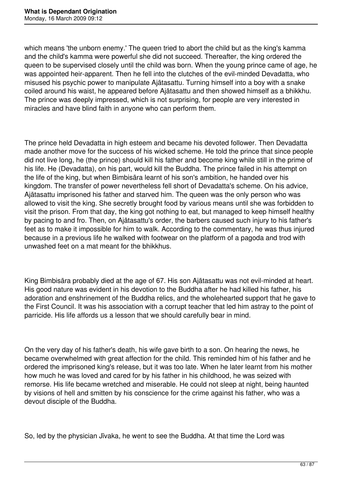which means 'the unborn enemy.' The queen tried to abort the child but as the king's kamma and the child's kamma were powerful she did not succeed. Thereafter, the king ordered the queen to be supervised closely until the child was born. When the young prince came of age, he was appointed heir-apparent. Then he fell into the clutches of the evil-minded Devadatta, who misused his psychic power to manipulate Ajātasattu. Turning himself into a boy with a snake coiled around his waist, he appeared before Ajātasattu and then showed himself as a bhikkhu. The prince was deeply impressed, which is not surprising, for people are very interested in miracles and have blind faith in anyone who can perform them.

The prince held Devadatta in high esteem and became his devoted follower. Then Devadatta made another move for the success of his wicked scheme. He told the prince that since people did not live long, he (the prince) should kill his father and become king while still in the prime of his life. He (Devadatta), on his part, would kill the Buddha. The prince failed in his attempt on the life of the king, but when Bimbisāra learnt of his son's ambition, he handed over his kingdom. The transfer of power nevertheless fell short of Devadatta's scheme. On his advice, Ajātasattu imprisoned his father and starved him. The queen was the only person who was allowed to visit the king. She secretly brought food by various means until she was forbidden to visit the prison. From that day, the king got nothing to eat, but managed to keep himself healthy by pacing to and fro. Then, on Ajātasattu's order, the barbers caused such injury to his father's feet as to make it impossible for him to walk. According to the commentary, he was thus injured because in a previous life he walked with footwear on the platform of a pagoda and trod with unwashed feet on a mat meant for the bhikkhus.

King Bimbisāra probably died at the age of 67. His son Ajātasattu was not evil-minded at heart. His good nature was evident in his devotion to the Buddha after he had killed his father, his adoration and enshrinement of the Buddha relics, and the wholehearted support that he gave to the First Council. It was his association with a corrupt teacher that led him astray to the point of parricide. His life affords us a lesson that we should carefully bear in mind.

On the very day of his father's death, his wife gave birth to a son. On hearing the news, he became overwhelmed with great affection for the child. This reminded him of his father and he ordered the imprisoned king's release, but it was too late. When he later learnt from his mother how much he was loved and cared for by his father in his childhood, he was seized with remorse. His life became wretched and miserable. He could not sleep at night, being haunted by visions of hell and smitten by his conscience for the crime against his father, who was a devout disciple of the Buddha.

So, led by the physician Jīvaka, he went to see the Buddha. At that time the Lord was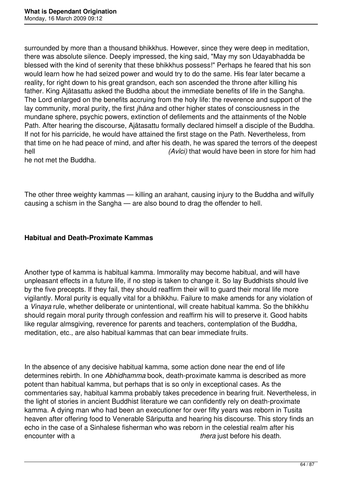surrounded by more than a thousand bhikkhus. However, since they were deep in meditation, there was absolute silence. Deeply impressed, the king said, "May my son Udayabhadda be blessed with the kind of serenity that these bhikkhus possess!" Perhaps he feared that his son would learn how he had seized power and would try to do the same. His fear later became a reality, for right down to his great grandson, each son ascended the throne after killing his father. King Ajātasattu asked the Buddha about the immediate benefits of life in the Sangha. The Lord enlarged on the benefits accruing from the holy life: the reverence and support of the lay community, moral purity, the first *jhāna* and other higher states of consciousness in the mundane sphere, psychic powers, extinction of defilements and the attainments of the Noble Path. After hearing the discourse, Ajātasattu formally declared himself a disciple of the Buddha. If not for his parricide, he would have attained the first stage on the Path. Nevertheless, from that time on he had peace of mind, and after his death, he was spared the terrors of the deepest hell **hell (Avici)** that would have been in store for him had

he not met the Buddha.

The other three weighty kammas — killing an arahant, causing injury to the Buddha and wilfully causing a schism in the Sangha — are also bound to drag the offender to hell.

### **Habitual and Death-Proximate Kammas**

Another type of kamma is habitual kamma. Immorality may become habitual, and will have unpleasant effects in a future life, if no step is taken to change it. So lay Buddhists should live by the five precepts. If they fail, they should reaffirm their will to guard their moral life more vigilantly. Moral purity is equally vital for a bhikkhu. Failure to make amends for any violation of a *Vinaya* rule, whether deliberate or unintentional, will create habitual kamma. So the bhikkhu should regain moral purity through confession and reaffirm his will to preserve it. Good habits like regular almsgiving, reverence for parents and teachers, contemplation of the Buddha, meditation, etc., are also habitual kammas that can bear immediate fruits.

In the absence of any decisive habitual kamma, some action done near the end of life determines rebirth. In one *Abhidhamma* book, death-proximate kamma is described as more potent than habitual kamma, but perhaps that is so only in exceptional cases. As the commentaries say, habitual kamma probably takes precedence in bearing fruit. Nevertheless, in the light of stories in ancient Buddhist literature we can confidently rely on death-proximate kamma. A dying man who had been an executioner for over fifty years was reborn in Tusita heaven after offering food to Venerable Sāriputta and hearing his discourse. This story finds an echo in the case of a Sinhalese fisherman who was reborn in the celestial realm after his encounter with a *thera* just before his death.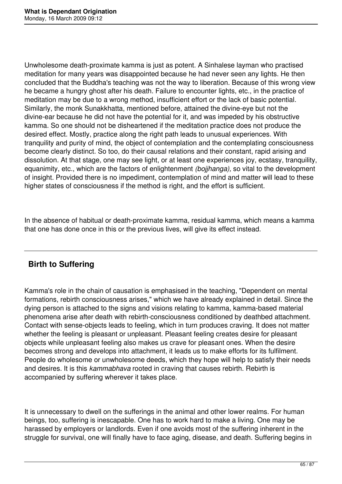Unwholesome death-proximate kamma is just as potent. A Sinhalese layman who practised meditation for many years was disappointed because he had never seen any lights. He then concluded that the Buddha's teaching was not the way to liberation. Because of this wrong view he became a hungry ghost after his death. Failure to encounter lights, etc., in the practice of meditation may be due to a wrong method, insufficient effort or the lack of basic potential. Similarly, the monk Sunakkhatta, mentioned before, attained the divine-eye but not the divine-ear because he did not have the potential for it, and was impeded by his obstructive kamma. So one should not be disheartened if the meditation practice does not produce the desired effect. Mostly, practice along the right path leads to unusual experiences. With tranquility and purity of mind, the object of contemplation and the contemplating consciousness become clearly distinct. So too, do their causal relations and their constant, rapid arising and dissolution. At that stage, one may see light, or at least one experiences joy, ecstasy, tranquility, equanimity, etc., which are the factors of enlightenment *(bojjhanga),* so vital to the development of insight. Provided there is no impediment, contemplation of mind and matter will lead to these higher states of consciousness if the method is right, and the effort is sufficient.

In the absence of habitual or death-proximate kamma, residual kamma, which means a kamma that one has done once in this or the previous lives, will give its effect instead.

# **Birth to Suffering**

Kamma's role in the chain of causation is emphasised in the teaching, "Dependent on mental formations, rebirth consciousness arises," which we have already explained in detail. Since the dying person is attached to the signs and visions relating to kamma, kamma-based material phenomena arise after death with rebirth-consciousness conditioned by deathbed attachment. Contact with sense-objects leads to feeling, which in turn produces craving. It does not matter whether the feeling is pleasant or unpleasant. Pleasant feeling creates desire for pleasant objects while unpleasant feeling also makes us crave for pleasant ones. When the desire becomes strong and develops into attachment, it leads us to make efforts for its fulfilment. People do wholesome or unwholesome deeds, which they hope will help to satisfy their needs and desires. It is this *kammabhava* rooted in craving that causes rebirth. Rebirth is accompanied by suffering wherever it takes place.

It is unnecessary to dwell on the sufferings in the animal and other lower realms. For human beings, too, suffering is inescapable. One has to work hard to make a living. One may be harassed by employers or landlords. Even if one avoids most of the suffering inherent in the struggle for survival, one will finally have to face aging, disease, and death. Suffering begins in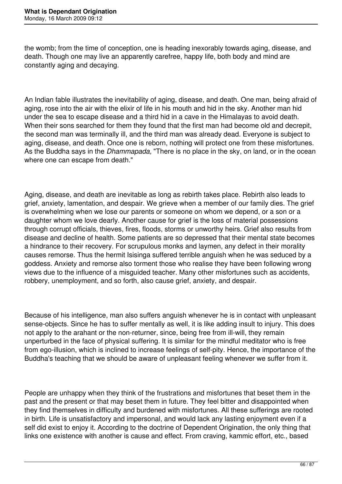the womb; from the time of conception, one is heading inexorably towards aging, disease, and death. Though one may live an apparently carefree, happy life, both body and mind are constantly aging and decaying.

An Indian fable illustrates the inevitability of aging, disease, and death. One man, being afraid of aging, rose into the air with the elixir of life in his mouth and hid in the sky. Another man hid under the sea to escape disease and a third hid in a cave in the Himalayas to avoid death. When their sons searched for them they found that the first man had become old and decrepit, the second man was terminally ill, and the third man was already dead. Everyone is subject to aging, disease, and death. Once one is reborn, nothing will protect one from these misfortunes. As the Buddha says in the *Dhammapada,* "There is no place in the sky, on land, or in the ocean where one can escape from death."

Aging, disease, and death are inevitable as long as rebirth takes place. Rebirth also leads to grief, anxiety, lamentation, and despair. We grieve when a member of our family dies. The grief is overwhelming when we lose our parents or someone on whom we depend, or a son or a daughter whom we love dearly. Another cause for grief is the loss of material possessions through corrupt officials, thieves, fires, floods, storms or unworthy heirs. Grief also results from disease and decline of health. Some patients are so depressed that their mental state becomes a hindrance to their recovery. For scrupulous monks and laymen, any defect in their morality causes remorse. Thus the hermit Isisinga suffered terrible anguish when he was seduced by a goddess. Anxiety and remorse also torment those who realise they have been following wrong views due to the influence of a misguided teacher. Many other misfortunes such as accidents, robbery, unemployment, and so forth, also cause grief, anxiety, and despair.

Because of his intelligence, man also suffers anguish whenever he is in contact with unpleasant sense-objects. Since he has to suffer mentally as well, it is like adding insult to injury. This does not apply to the arahant or the non-returner, since, being free from ill-will, they remain unperturbed in the face of physical suffering. It is similar for the mindful meditator who is free from ego-illusion, which is inclined to increase feelings of self-pity. Hence, the importance of the Buddha's teaching that we should be aware of unpleasant feeling whenever we suffer from it.

People are unhappy when they think of the frustrations and misfortunes that beset them in the past and the present or that may beset them in future. They feel bitter and disappointed when they find themselves in difficulty and burdened with misfortunes. All these sufferings are rooted in birth. Life is unsatisfactory and impersonal, and would lack any lasting enjoyment even if a self did exist to enjoy it. According to the doctrine of Dependent Origination, the only thing that links one existence with another is cause and effect. From craving, kammic effort, etc., based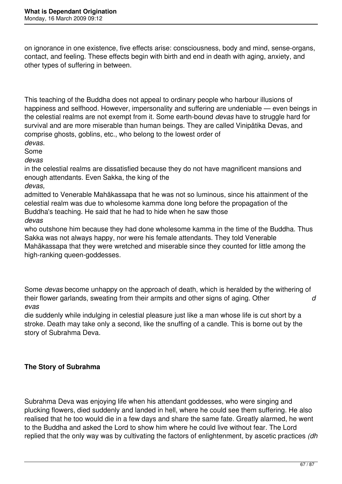on ignorance in one existence, five effects arise: consciousness, body and mind, sense-organs, contact, and feeling. These effects begin with birth and end in death with aging, anxiety, and other types of suffering in between.

This teaching of the Buddha does not appeal to ordinary people who harbour illusions of happiness and selfhood. However, impersonality and suffering are undeniable — even beings in the celestial realms are not exempt from it. Some earth-bound *devas* have to struggle hard for survival and are more miserable than human beings. They are called Vinipātika Devas, and comprise ghosts, goblins, etc., who belong to the lowest order of *devas.* 

Some

*devas* 

in the celestial realms are dissatisfied because they do not have magnificent mansions and enough attendants. Even Sakka, the king of the

*devas,* 

admitted to Venerable Mahākassapa that he was not so luminous, since his attainment of the celestial realm was due to wholesome kamma done long before the propagation of the Buddha's teaching. He said that he had to hide when he saw those *devas* 

who outshone him because they had done wholesome kamma in the time of the Buddha. Thus Sakka was not always happy, nor were his female attendants. They told Venerable Mahākassapa that they were wretched and miserable since they counted for little among the high-ranking queen-goddesses.

Some *devas* become unhappy on the approach of death, which is heralded by the withering of their flower garlands, sweating from their armpits and other signs of aging. Other *d evas* 

die suddenly while indulging in celestial pleasure just like a man whose life is cut short by a stroke. Death may take only a second, like the snuffing of a candle. This is borne out by the story of Subrahma Deva.

## **The Story of Subrahma**

Subrahma Deva was enjoying life when his attendant goddesses, who were singing and plucking flowers, died suddenly and landed in hell, where he could see them suffering. He also realised that he too would die in a few days and share the same fate. Greatly alarmed, he went to the Buddha and asked the Lord to show him where he could live without fear. The Lord replied that the only way was by cultivating the factors of enlightenment, by ascetic practices *(dh*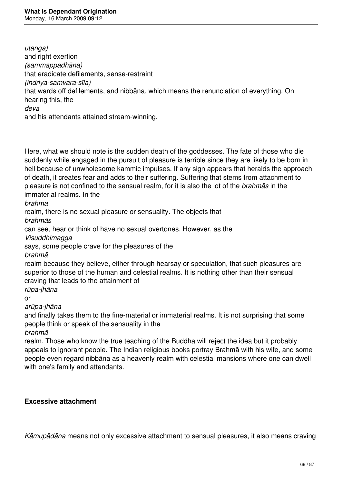*utanga)*  and right exertion *(sammappadhāna)*  that eradicate defilements, sense-restraint *(indriya-samvara-sīla)*  that wards off defilements, and nibbāna, which means the renunciation of everything. On hearing this, the *deva*  and his attendants attained stream-winning.

Here, what we should note is the sudden death of the goddesses. The fate of those who die suddenly while engaged in the pursuit of pleasure is terrible since they are likely to be born in hell because of unwholesome kammic impulses. If any sign appears that heralds the approach of death, it creates fear and adds to their suffering. Suffering that stems from attachment to pleasure is not confined to the sensual realm, for it is also the lot of the *brahmās* in the immaterial realms. In the

*brahmā* 

realm, there is no sexual pleasure or sensuality. The objects that *brahmās* 

can see, hear or think of have no sexual overtones. However, as the

*Visuddhimagga* 

says, some people crave for the pleasures of the

*brahmā* 

realm because they believe, either through hearsay or speculation, that such pleasures are superior to those of the human and celestial realms. It is nothing other than their sensual craving that leads to the attainment of

*rūpa-jhāna* 

or

*arūpa-jhāna* 

and finally takes them to the fine-material or immaterial realms. It is not surprising that some people think or speak of the sensuality in the

*brahmā* 

realm. Those who know the true teaching of the Buddha will reject the idea but it probably appeals to ignorant people. The Indian religious books portray Brahmā with his wife, and some people even regard nibbāna as a heavenly realm with celestial mansions where one can dwell with one's family and attendants.

### **Excessive attachment**

*Kāmupādāna* means not only excessive attachment to sensual pleasures, it also means craving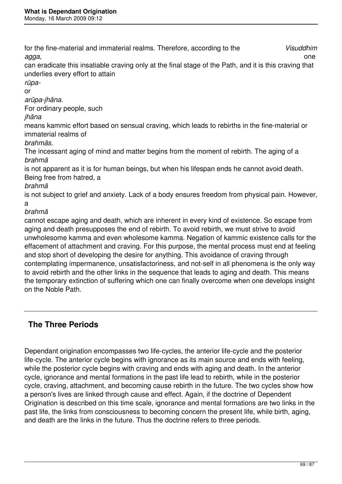for the fine-material and immaterial realms. Therefore, according to the *Visuddhim agga,* one

can eradicate this insatiable craving only at the final stage of the Path, and it is this craving that underlies every effort to attain

*rūpa-*

or

*arūpa-jhāna.* 

For ordinary people, such

*jhāna* 

means kammic effort based on sensual craving, which leads to rebirths in the fine-material or immaterial realms of

*brahmās.* 

The incessant aging of mind and matter begins from the moment of rebirth. The aging of a *brahmā* 

is not apparent as it is for human beings, but when his lifespan ends he cannot avoid death. Being free from hatred, a

*brahmā* 

is not subject to grief and anxiety. Lack of a body ensures freedom from physical pain. However, a

*brahmā* 

cannot escape aging and death, which are inherent in every kind of existence. So escape from aging and death presupposes the end of rebirth. To avoid rebirth, we must strive to avoid unwholesome kamma and even wholesome kamma. Negation of kammic existence calls for the effacement of attachment and craving. For this purpose, the mental process must end at feeling and stop short of developing the desire for anything. This avoidance of craving through contemplating impermanence, unsatisfactoriness, and not-self in all phenomena is the only way to avoid rebirth and the other links in the sequence that leads to aging and death. This means the temporary extinction of suffering which one can finally overcome when one develops insight on the Noble Path.

# **The Three Periods**

Dependant origination encompasses two life-cycles, the anterior life-cycle and the posterior life-cycle. The anterior cycle begins with ignorance as its main source and ends with feeling, while the posterior cycle begins with craving and ends with aging and death. In the anterior cycle, ignorance and mental formations in the past life lead to rebirth, while in the posterior cycle, craving, attachment, and becoming cause rebirth in the future. The two cycles show how a person's lives are linked through cause and effect. Again, if the doctrine of Dependent Origination is described on this time scale, ignorance and mental formations are two links in the past life, the links from consciousness to becoming concern the present life, while birth, aging, and death are the links in the future. Thus the doctrine refers to three periods.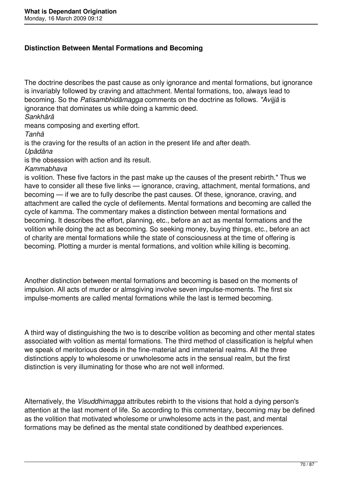### **Distinction Between Mental Formations and Becoming**

The doctrine describes the past cause as only ignorance and mental formations, but ignorance is invariably followed by craving and attachment. Mental formations, too, always lead to becoming. So the *Patisambhidāmagga* comments on the doctrine as follows. *"Avijjā* is ignorance that dominates us while doing a kammic deed.

*Sankhārā* 

means composing and exerting effort.

*Tanhā* 

is the craving for the results of an action in the present life and after death.

*Upādāna* 

is the obsession with action and its result.

*Kammabhava* 

is volition. These five factors in the past make up the causes of the present rebirth." Thus we have to consider all these five links — ignorance, craving, attachment, mental formations, and becoming — if we are to fully describe the past causes. Of these, ignorance, craving, and attachment are called the cycle of defilements. Mental formations and becoming are called the cycle of kamma. The commentary makes a distinction between mental formations and becoming. It describes the effort, planning, etc., before an act as mental formations and the volition while doing the act as becoming. So seeking money, buying things, etc., before an act of charity are mental formations while the state of consciousness at the time of offering is becoming. Plotting a murder is mental formations, and volition while killing is becoming.

Another distinction between mental formations and becoming is based on the moments of impulsion. All acts of murder or almsgiving involve seven impulse-moments. The first six impulse-moments are called mental formations while the last is termed becoming.

A third way of distinguishing the two is to describe volition as becoming and other mental states associated with volition as mental formations. The third method of classification is helpful when we speak of meritorious deeds in the fine-material and immaterial realms. All the three distinctions apply to wholesome or unwholesome acts in the sensual realm, but the first distinction is very illuminating for those who are not well informed.

Alternatively, the *Visuddhimagga* attributes rebirth to the visions that hold a dying person's attention at the last moment of life. So according to this commentary, becoming may be defined as the volition that motivated wholesome or unwholesome acts in the past, and mental formations may be defined as the mental state conditioned by deathbed experiences.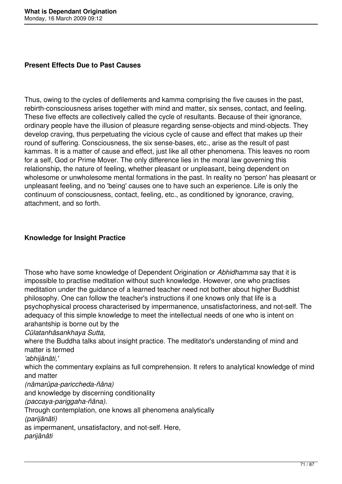### **Present Effects Due to Past Causes**

Thus, owing to the cycles of defilements and kamma comprising the five causes in the past, rebirth-consciousness arises together with mind and matter, six senses, contact, and feeling. These five effects are collectively called the cycle of resultants. Because of their ignorance, ordinary people have the illusion of pleasure regarding sense-objects and mind-objects. They develop craving, thus perpetuating the vicious cycle of cause and effect that makes up their round of suffering. Consciousness, the six sense-bases, etc., arise as the result of past kammas. It is a matter of cause and effect, just like all other phenomena. This leaves no room for a self, God or Prime Mover. The only difference lies in the moral law governing this relationship, the nature of feeling, whether pleasant or unpleasant, being dependent on wholesome or unwholesome mental formations in the past. In reality no 'person' has pleasant or unpleasant feeling, and no 'being' causes one to have such an experience. Life is only the continuum of consciousness, contact, feeling, etc., as conditioned by ignorance, craving, attachment, and so forth.

### **Knowledge for Insight Practice**

Those who have some knowledge of Dependent Origination or *Abhidhamma* say that it is impossible to practise meditation without such knowledge. However, one who practises meditation under the guidance of a learned teacher need not bother about higher Buddhist philosophy. One can follow the teacher's instructions if one knows only that life is a psychophysical process characterised by impermanence, unsatisfactoriness, and not-self. The adequacy of this simple knowledge to meet the intellectual needs of one who is intent on arahantship is borne out by the *Cūlatanhāsankhaya Sutta,*  where the Buddha talks about insight practice. The meditator's understanding of mind and matter is termed *'abhijānāti,'*  which the commentary explains as full comprehension. It refers to analytical knowledge of mind

and matter

*(nāmarūpa-pariccheda-ñāna)* 

and knowledge by discerning conditionality

*(paccaya-pariggaha-ñāna).* 

Through contemplation, one knows all phenomena analytically

*(parijānāti)* 

as impermanent, unsatisfactory, and not-self. Here,

*parijānāti*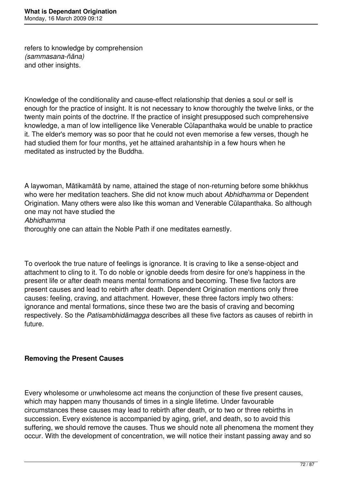refers to knowledge by comprehension *(sammasana-ñāna)*  and other insights.

Knowledge of the conditionality and cause-effect relationship that denies a soul or self is enough for the practice of insight. It is not necessary to know thoroughly the twelve links, or the twenty main points of the doctrine. If the practice of insight presupposed such comprehensive knowledge, a man of low intelligence like Venerable Cūlapanthaka would be unable to practice it. The elder's memory was so poor that he could not even memorise a few verses, though he had studied them for four months, yet he attained arahantship in a few hours when he meditated as instructed by the Buddha.

A laywoman, Mātikamātā by name, attained the stage of non-returning before some bhikkhus who were her meditation teachers. She did not know much about *Abhidhamma* or Dependent Origination. Many others were also like this woman and Venerable Cūlapanthaka. So although one may not have studied the

*Abhidhamma* 

thoroughly one can attain the Noble Path if one meditates earnestly.

To overlook the true nature of feelings is ignorance. It is craving to like a sense-object and attachment to cling to it. To do noble or ignoble deeds from desire for one's happiness in the present life or after death means mental formations and becoming. These five factors are present causes and lead to rebirth after death. Dependent Origination mentions only three causes: feeling, craving, and attachment. However, these three factors imply two others: ignorance and mental formations, since these two are the basis of craving and becoming respectively. So the *Patisambhidāmagga* describes all these five factors as causes of rebirth in future.

## **Removing the Present Causes**

Every wholesome or unwholesome act means the conjunction of these five present causes, which may happen many thousands of times in a single lifetime. Under favourable circumstances these causes may lead to rebirth after death, or to two or three rebirths in succession. Every existence is accompanied by aging, grief, and death, so to avoid this suffering, we should remove the causes. Thus we should note all phenomena the moment they occur. With the development of concentration, we will notice their instant passing away and so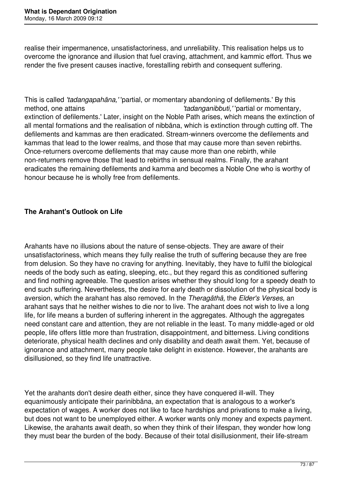realise their impermanence, unsatisfactoriness, and unreliability. This realisation helps us to overcome the ignorance and illusion that fuel craving, attachment, and kammic effort. Thus we render the five present causes inactive, forestalling rebirth and consequent suffering.

This is called *'tadangapahāna,'* 'partial, or momentary abandoning of defilements.' By this method, one attains *'tadanganibbuti,'* 'partial or momentary, extinction of defilements.' Later, insight on the Noble Path arises, which means the extinction of all mental formations and the realisation of nibbāna, which is extinction through cutting off. The defilements and kammas are then eradicated. Stream-winners overcome the defilements and kammas that lead to the lower realms, and those that may cause more than seven rebirths. Once-returners overcome defilements that may cause more than one rebirth, while non-returners remove those that lead to rebirths in sensual realms. Finally, the arahant eradicates the remaining defilements and kamma and becomes a Noble One who is worthy of honour because he is wholly free from defilements.

# **The Arahant's Outlook on Life**

Arahants have no illusions about the nature of sense-objects. They are aware of their unsatisfactoriness, which means they fully realise the truth of suffering because they are free from delusion. So they have no craving for anything. Inevitably, they have to fulfil the biological needs of the body such as eating, sleeping, etc., but they regard this as conditioned suffering and find nothing agreeable. The question arises whether they should long for a speedy death to end such suffering. Nevertheless, the desire for early death or dissolution of the physical body is aversion, which the arahant has also removed. In the *Theragāthā,* the *Elder's Verses,* an arahant says that he neither wishes to die nor to live. The arahant does not wish to live a long life, for life means a burden of suffering inherent in the aggregates. Although the aggregates need constant care and attention, they are not reliable in the least. To many middle-aged or old people, life offers little more than frustration, disappointment, and bitterness. Living conditions deteriorate, physical health declines and only disability and death await them. Yet, because of ignorance and attachment, many people take delight in existence. However, the arahants are disillusioned, so they find life unattractive.

Yet the arahants don't desire death either, since they have conquered ill-will. They equanimously anticipate their parinibbāna, an expectation that is analogous to a worker's expectation of wages. A worker does not like to face hardships and privations to make a living, but does not want to be unemployed either. A worker wants only money and expects payment. Likewise, the arahants await death, so when they think of their lifespan, they wonder how long they must bear the burden of the body. Because of their total disillusionment, their life-stream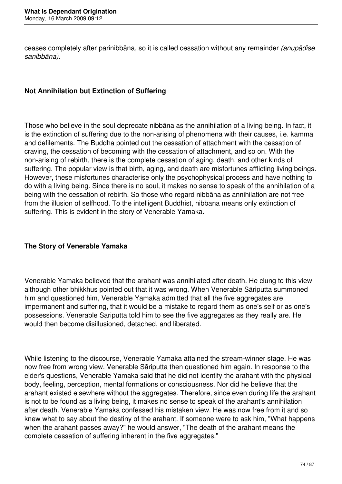ceases completely after parinibbāna, so it is called cessation without any remainder *(anupādise sanibbāna).* 

## **Not Annihilation but Extinction of Suffering**

Those who believe in the soul deprecate nibbāna as the annihilation of a living being. In fact, it is the extinction of suffering due to the non-arising of phenomena with their causes, i.e. kamma and defilements. The Buddha pointed out the cessation of attachment with the cessation of craving, the cessation of becoming with the cessation of attachment, and so on. With the non-arising of rebirth, there is the complete cessation of aging, death, and other kinds of suffering. The popular view is that birth, aging, and death are misfortunes afflicting living beings. However, these misfortunes characterise only the psychophysical process and have nothing to do with a living being. Since there is no soul, it makes no sense to speak of the annihilation of a being with the cessation of rebirth. So those who regard nibbāna as annihilation are not free from the illusion of selfhood. To the intelligent Buddhist, nibbāna means only extinction of suffering. This is evident in the story of Venerable Yamaka.

## **The Story of Venerable Yamaka**

Venerable Yamaka believed that the arahant was annihilated after death. He clung to this view although other bhikkhus pointed out that it was wrong. When Venerable Sāriputta summoned him and questioned him, Venerable Yamaka admitted that all the five aggregates are impermanent and suffering, that it would be a mistake to regard them as one's self or as one's possessions. Venerable Sāriputta told him to see the five aggregates as they really are. He would then become disillusioned, detached, and liberated.

While listening to the discourse, Venerable Yamaka attained the stream-winner stage. He was now free from wrong view. Venerable Sāriputta then questioned him again. In response to the elder's questions, Venerable Yamaka said that he did not identify the arahant with the physical body, feeling, perception, mental formations or consciousness. Nor did he believe that the arahant existed elsewhere without the aggregates. Therefore, since even during life the arahant is not to be found as a living being, it makes no sense to speak of the arahant's annihilation after death. Venerable Yamaka confessed his mistaken view. He was now free from it and so knew what to say about the destiny of the arahant. If someone were to ask him, "What happens when the arahant passes away?" he would answer, "The death of the arahant means the complete cessation of suffering inherent in the five aggregates."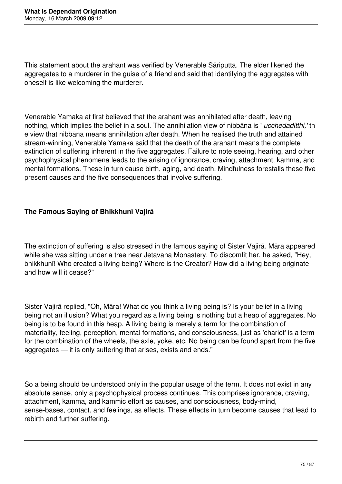This statement about the arahant was verified by Venerable Sāriputta. The elder likened the aggregates to a murderer in the guise of a friend and said that identifying the aggregates with oneself is like welcoming the murderer.

Venerable Yamaka at first believed that the arahant was annihilated after death, leaving nothing, which implies the belief in a soul. The annihilation view of nibbāna is ' *ucchedaditthi,'* th e view that nibbāna means annihilation after death. When he realised the truth and attained stream-winning, Venerable Yamaka said that the death of the arahant means the complete extinction of suffering inherent in the five aggregates. Failure to note seeing, hearing, and other psychophysical phenomena leads to the arising of ignorance, craving, attachment, kamma, and mental formations. These in turn cause birth, aging, and death. Mindfulness forestalls these five present causes and the five consequences that involve suffering.

# **The Famous Saying of Bhikkhunī Vajirā**

The extinction of suffering is also stressed in the famous saying of Sister Vajirā. Māra appeared while she was sitting under a tree near Jetavana Monastery. To discomfit her, he asked, "Hey, bhikkhunī! Who created a living being? Where is the Creator? How did a living being originate and how will it cease?"

Sister Vajirā replied, "Oh, Māra! What do you think a living being is? Is your belief in a living being not an illusion? What you regard as a living being is nothing but a heap of aggregates. No being is to be found in this heap. A living being is merely a term for the combination of materiality, feeling, perception, mental formations, and consciousness, just as 'chariot' is a term for the combination of the wheels, the axle, yoke, etc. No being can be found apart from the five aggregates — it is only suffering that arises, exists and ends."

So a being should be understood only in the popular usage of the term. It does not exist in any absolute sense, only a psychophysical process continues. This comprises ignorance, craving, attachment, kamma, and kammic effort as causes, and consciousness, body-mind, sense-bases, contact, and feelings, as effects. These effects in turn become causes that lead to rebirth and further suffering.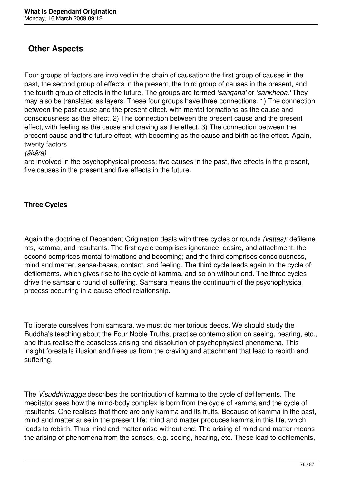# **Other Aspects**

Four groups of factors are involved in the chain of causation: the first group of causes in the past, the second group of effects in the present, the third group of causes in the present, and the fourth group of effects in the future. The groups are termed *'sangaha'* or *'sankhepa.'* They may also be translated as layers. These four groups have three connections. 1) The connection between the past cause and the present effect, with mental formations as the cause and consciousness as the effect. 2) The connection between the present cause and the present effect, with feeling as the cause and craving as the effect. 3) The connection between the present cause and the future effect, with becoming as the cause and birth as the effect. Again, twenty factors

#### *(ākāra)*

are involved in the psychophysical process: five causes in the past, five effects in the present, five causes in the present and five effects in the future.

# **Three Cycles**

Again the doctrine of Dependent Origination deals with three cycles or rounds *(vattas):* defileme nts, kamma, and resultants. The first cycle comprises ignorance, desire, and attachment; the second comprises mental formations and becoming; and the third comprises consciousness, mind and matter, sense-bases, contact, and feeling. The third cycle leads again to the cycle of defilements, which gives rise to the cycle of kamma, and so on without end. The three cycles drive the samsāric round of suffering. Samsāra means the continuum of the psychophysical process occurring in a cause-effect relationship.

To liberate ourselves from samsāra, we must do meritorious deeds. We should study the Buddha's teaching about the Four Noble Truths, practise contemplation on seeing, hearing, etc., and thus realise the ceaseless arising and dissolution of psychophysical phenomena. This insight forestalls illusion and frees us from the craving and attachment that lead to rebirth and suffering.

The *Visuddhimagga* describes the contribution of kamma to the cycle of defilements. The meditator sees how the mind-body complex is born from the cycle of kamma and the cycle of resultants. One realises that there are only kamma and its fruits. Because of kamma in the past, mind and matter arise in the present life; mind and matter produces kamma in this life, which leads to rebirth. Thus mind and matter arise without end. The arising of mind and matter means the arising of phenomena from the senses, e.g. seeing, hearing, etc. These lead to defilements,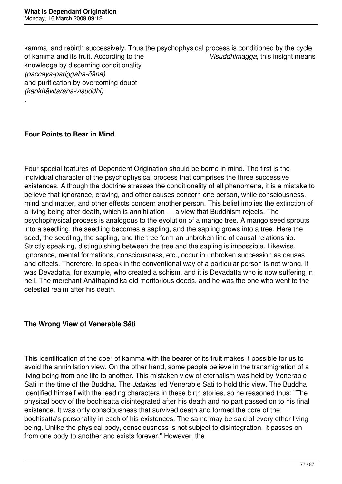kamma, and rebirth successively. Thus the psychophysical process is conditioned by the cycle<br>of kamma and its fruit. According to the Visuddhimagga, this insight means of kamma and its fruit. According to the knowledge by discerning conditionality *(paccaya-pariggaha-ñāna)*  and purification by overcoming doubt *(kankhāvitarana-visuddhi)* 

## **Four Points to Bear in Mind**

.

Four special features of Dependent Origination should be borne in mind. The first is the individual character of the psychophysical process that comprises the three successive existences. Although the doctrine stresses the conditionality of all phenomena, it is a mistake to believe that ignorance, craving, and other causes concern one person, while consciousness, mind and matter, and other effects concern another person. This belief implies the extinction of a living being after death, which is annihilation — a view that Buddhism rejects. The psychophysical process is analogous to the evolution of a mango tree. A mango seed sprouts into a seedling, the seedling becomes a sapling, and the sapling grows into a tree. Here the seed, the seedling, the sapling, and the tree form an unbroken line of causal relationship. Strictly speaking, distinguishing between the tree and the sapling is impossible. Likewise, ignorance, mental formations, consciousness, etc., occur in unbroken succession as causes and effects. Therefore, to speak in the conventional way of a particular person is not wrong. It was Devadatta, for example, who created a schism, and it is Devadatta who is now suffering in hell. The merchant Anāthapindika did meritorious deeds, and he was the one who went to the celestial realm after his death.

## **The Wrong View of Venerable Sāti**

This identification of the doer of kamma with the bearer of its fruit makes it possible for us to avoid the annihilation view. On the other hand, some people believe in the transmigration of a living being from one life to another. This mistaken view of eternalism was held by Venerable Sāti in the time of the Buddha. The *Jātakas* led Venerable Sāti to hold this view. The Buddha identified himself with the leading characters in these birth stories, so he reasoned thus: "The physical body of the bodhisatta disintegrated after his death and no part passed on to his final existence. It was only consciousness that survived death and formed the core of the bodhisatta's personality in each of his existences. The same may be said of every other living being. Unlike the physical body, consciousness is not subject to disintegration. It passes on from one body to another and exists forever." However, the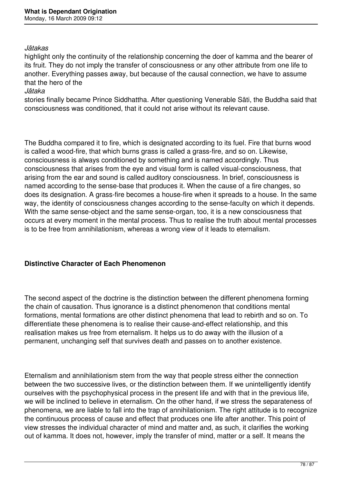#### *Jātakas*

highlight only the continuity of the relationship concerning the doer of kamma and the bearer of its fruit. They do not imply the transfer of consciousness or any other attribute from one life to another. Everything passes away, but because of the causal connection, we have to assume that the hero of the

#### *Jātaka*

stories finally became Prince Siddhattha. After questioning Venerable Sāti, the Buddha said that consciousness was conditioned, that it could not arise without its relevant cause.

The Buddha compared it to fire, which is designated according to its fuel. Fire that burns wood is called a wood-fire, that which burns grass is called a grass-fire, and so on. Likewise, consciousness is always conditioned by something and is named accordingly. Thus consciousness that arises from the eye and visual form is called visual-consciousness, that arising from the ear and sound is called auditory consciousness. In brief, consciousness is named according to the sense-base that produces it. When the cause of a fire changes, so does its designation. A grass-fire becomes a house-fire when it spreads to a house. In the same way, the identity of consciousness changes according to the sense-faculty on which it depends. With the same sense-object and the same sense-organ, too, it is a new consciousness that occurs at every moment in the mental process. Thus to realise the truth about mental processes is to be free from annihilationism, whereas a wrong view of it leads to eternalism.

## **Distinctive Character of Each Phenomenon**

The second aspect of the doctrine is the distinction between the different phenomena forming the chain of causation. Thus ignorance is a distinct phenomenon that conditions mental formations, mental formations are other distinct phenomena that lead to rebirth and so on. To differentiate these phenomena is to realise their cause-and-effect relationship, and this realisation makes us free from eternalism. It helps us to do away with the illusion of a permanent, unchanging self that survives death and passes on to another existence.

Eternalism and annihilationism stem from the way that people stress either the connection between the two successive lives, or the distinction between them. If we unintelligently identify ourselves with the psychophysical process in the present life and with that in the previous life, we will be inclined to believe in eternalism. On the other hand, if we stress the separateness of phenomena, we are liable to fall into the trap of annihilationism. The right attitude is to recognize the continuous process of cause and effect that produces one life after another. This point of view stresses the individual character of mind and matter and, as such, it clarifies the working out of kamma. It does not, however, imply the transfer of mind, matter or a self. It means the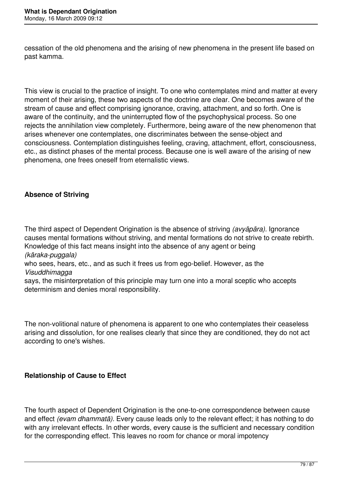cessation of the old phenomena and the arising of new phenomena in the present life based on past kamma.

This view is crucial to the practice of insight. To one who contemplates mind and matter at every moment of their arising, these two aspects of the doctrine are clear. One becomes aware of the stream of cause and effect comprising ignorance, craving, attachment, and so forth. One is aware of the continuity, and the uninterrupted flow of the psychophysical process. So one rejects the annihilation view completely. Furthermore, being aware of the new phenomenon that arises whenever one contemplates, one discriminates between the sense-object and consciousness. Contemplation distinguishes feeling, craving, attachment, effort, consciousness, etc., as distinct phases of the mental process. Because one is well aware of the arising of new phenomena, one frees oneself from eternalistic views.

# **Absence of Striving**

The third aspect of Dependent Origination is the absence of striving *(avyāpāra).* Ignorance causes mental formations without striving, and mental formations do not strive to create rebirth. Knowledge of this fact means insight into the absence of any agent or being *(kāraka-puggala)*  who sees, hears, etc., and as such it frees us from ego-belief. However, as the

*Visuddhimagga* 

says, the misinterpretation of this principle may turn one into a moral sceptic who accepts determinism and denies moral responsibility.

The non-volitional nature of phenomena is apparent to one who contemplates their ceaseless arising and dissolution, for one realises clearly that since they are conditioned, they do not act according to one's wishes.

## **Relationship of Cause to Effect**

The fourth aspect of Dependent Origination is the one-to-one correspondence between cause and effect *(evam dhammatā).* Every cause leads only to the relevant effect; it has nothing to do with any irrelevant effects. In other words, every cause is the sufficient and necessary condition for the corresponding effect. This leaves no room for chance or moral impotency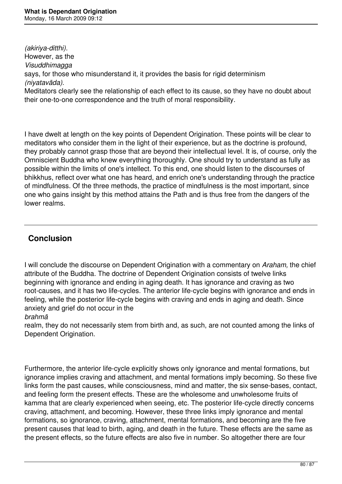*(akiriya-ditthi).*  However, as the *Visuddhimagga*  says, for those who misunderstand it, it provides the basis for rigid determinism *(niyatavāda).*  Meditators clearly see the relationship of each effect to its cause, so they have no doubt about

their one-to-one correspondence and the truth of moral responsibility.

I have dwelt at length on the key points of Dependent Origination. These points will be clear to meditators who consider them in the light of their experience, but as the doctrine is profound, they probably cannot grasp those that are beyond their intellectual level. It is, of course, only the Omniscient Buddha who knew everything thoroughly. One should try to understand as fully as possible within the limits of one's intellect. To this end, one should listen to the discourses of bhikkhus, reflect over what one has heard, and enrich one's understanding through the practice of mindfulness. Of the three methods, the practice of mindfulness is the most important, since one who gains insight by this method attains the Path and is thus free from the dangers of the lower realms.

# **Conclusion**

I will conclude the discourse on Dependent Origination with a commentary on *Araham,* the chief attribute of the Buddha. The doctrine of Dependent Origination consists of twelve links beginning with ignorance and ending in aging death. It has ignorance and craving as two root-causes, and it has two life-cycles. The anterior life-cycle begins with ignorance and ends in feeling, while the posterior life-cycle begins with craving and ends in aging and death. Since anxiety and grief do not occur in the

## *brahmā*

realm, they do not necessarily stem from birth and, as such, are not counted among the links of Dependent Origination.

Furthermore, the anterior life-cycle explicitly shows only ignorance and mental formations, but ignorance implies craving and attachment, and mental formations imply becoming. So these five links form the past causes, while consciousness, mind and matter, the six sense-bases, contact, and feeling form the present effects. These are the wholesome and unwholesome fruits of kamma that are clearly experienced when seeing, etc. The posterior life-cycle directly concerns craving, attachment, and becoming. However, these three links imply ignorance and mental formations, so ignorance, craving, attachment, mental formations, and becoming are the five present causes that lead to birth, aging, and death in the future. These effects are the same as the present effects, so the future effects are also five in number. So altogether there are four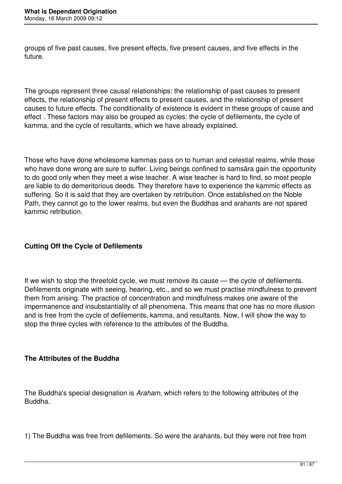groups of five past causes, five present effects, five present causes, and five effects in the future.

The groups represent three causal relationships: the relationship of past causes to present effects, the relationship of present effects to present causes, and the relationship of present causes to future effects. The conditionality of existence is evident in these groups of cause and effect *.* These factors may also be grouped as cycles: the cycle of defilements, the cycle of kamma, and the cycle of resultants, which we have already explained.

Those who have done wholesome kammas pass on to human and celestial realms, while those who have done wrong are sure to suffer. Living beings confined to samsara gain the opportunity to do good only when they meet a wise teacher. A wise teacher is hard to find, so most people are liable to do demeritorious deeds. They therefore have to experience the kammic effects as suffering. So it is said that they are overtaken by retribution. Once established on the Noble Path, they cannot go to the lower realms, but even the Buddhas and arahants are not spared kammic retribution.

# **Cutting Off the Cycle of Defilements**

If we wish to stop the threefold cycle, we must remove its cause — the cycle of defilements. Defilements originate with seeing, hearing, etc., and so we must practise mindfulness to prevent them from arising. The practice of concentration and mindfulness makes one aware of the impermanence and insubstantiality of all phenomena. This means that one has no more illusion and is free from the cycle of defilements, kamma, and resultants. Now, I will show the way to stop the three cycles with reference to the attributes of the Buddha.

## **The Attributes of the Buddha**

The Buddha's special designation is *Araham,* which refers to the following attributes of the Buddha.

1) The Buddha was free from defilements. So were the arahants, but they were not free from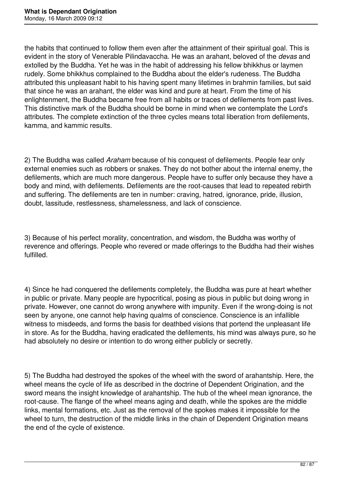the habits that continued to follow them even after the attainment of their spiritual goal. This is evident in the story of Venerable Pilindavaccha. He was an arahant, beloved of the *devas* and extolled by the Buddha. Yet he was in the habit of addressing his fellow bhikkhus or laymen rudely. Some bhikkhus complained to the Buddha about the elder's rudeness. The Buddha attributed this unpleasant habit to his having spent many lifetimes in brahmin families, but said that since he was an arahant, the elder was kind and pure at heart. From the time of his enlightenment, the Buddha became free from all habits or traces of defilements from past lives. This distinctive mark of the Buddha should be borne in mind when we contemplate the Lord's attributes. The complete extinction of the three cycles means total liberation from defilements, kamma, and kammic results.

2) The Buddha was called *Araham* because of his conquest of defilements. People fear only external enemies such as robbers or snakes. They do not bother about the internal enemy, the defilements, which are much more dangerous. People have to suffer only because they have a body and mind, with defilements. Defilements are the root-causes that lead to repeated rebirth and suffering. The defilements are ten in number: craving, hatred, ignorance, pride, illusion, doubt, lassitude, restlessness, shamelessness, and lack of conscience.

3) Because of his perfect morality, concentration, and wisdom, the Buddha was worthy of reverence and offerings. People who revered or made offerings to the Buddha had their wishes fulfilled.

4) Since he had conquered the defilements completely, the Buddha was pure at heart whether in public or private. Many people are hypocritical, posing as pious in public but doing wrong in private. However, one cannot do wrong anywhere with impunity. Even if the wrong-doing is not seen by anyone, one cannot help having qualms of conscience. Conscience is an infallible witness to misdeeds, and forms the basis for deathbed visions that portend the unpleasant life in store. As for the Buddha, having eradicated the defilements, his mind was always pure, so he had absolutely no desire or intention to do wrong either publicly or secretly.

5) The Buddha had destroyed the spokes of the wheel with the sword of arahantship. Here, the wheel means the cycle of life as described in the doctrine of Dependent Origination, and the sword means the insight knowledge of arahantship. The hub of the wheel mean ignorance, the root-cause. The flange of the wheel means aging and death, while the spokes are the middle links, mental formations, etc. Just as the removal of the spokes makes it impossible for the wheel to turn, the destruction of the middle links in the chain of Dependent Origination means the end of the cycle of existence.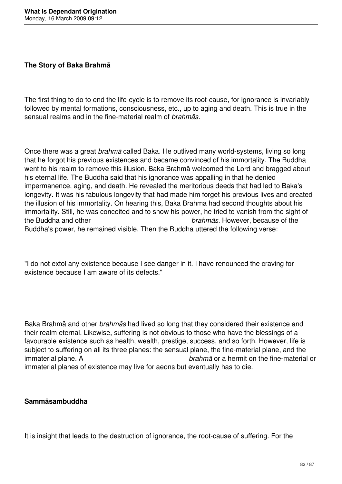## **The Story of Baka Brahmā**

The first thing to do to end the life-cycle is to remove its root-cause, for ignorance is invariably followed by mental formations, consciousness, etc., up to aging and death. This is true in the sensual realms and in the fine-material realm of *brahmās.* 

Once there was a great *brahmā* called Baka. He outlived many world-systems, living so long that he forgot his previous existences and became convinced of his immortality. The Buddha went to his realm to remove this illusion. Baka Brahmā welcomed the Lord and bragged about his eternal life. The Buddha said that his ignorance was appalling in that he denied impermanence, aging, and death. He revealed the meritorious deeds that had led to Baka's longevity. It was his fabulous longevity that had made him forget his previous lives and created the illusion of his immortality. On hearing this, Baka Brahmā had second thoughts about his immortality. Still, he was conceited and to show his power, he tried to vanish from the sight of the Buddha and other *brahmās.* However, because of the Buddha's power, he remained visible. Then the Buddha uttered the following verse:

"I do not extol any existence because I see danger in it. I have renounced the craving for existence because I am aware of its defects."

Baka Brahmā and other *brahmās* had lived so long that they considered their existence and their realm eternal. Likewise, suffering is not obvious to those who have the blessings of a favourable existence such as health, wealth, prestige, success, and so forth. However, life is subject to suffering on all its three planes: the sensual plane, the fine-material plane, and the immaterial plane. A *brahmā* or a hermit on the fine-material or immaterial planes of existence may live for aeons but eventually has to die.

#### **Sammāsambuddha**

It is insight that leads to the destruction of ignorance, the root-cause of suffering. For the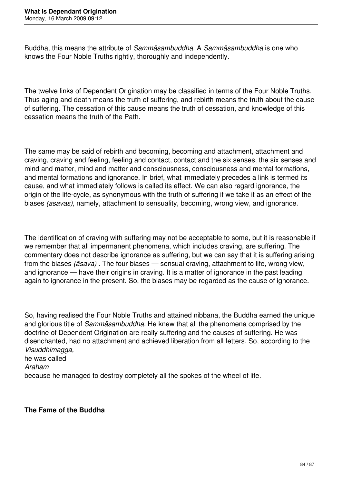Buddha, this means the attribute of *Sammāsambuddha.* A *Sammāsambuddha* is one who knows the Four Noble Truths rightly, thoroughly and independently.

The twelve links of Dependent Origination may be classified in terms of the Four Noble Truths. Thus aging and death means the truth of suffering, and rebirth means the truth about the cause of suffering. The cessation of this cause means the truth of cessation, and knowledge of this cessation means the truth of the Path.

The same may be said of rebirth and becoming, becoming and attachment, attachment and craving, craving and feeling, feeling and contact, contact and the six senses, the six senses and mind and matter, mind and matter and consciousness, consciousness and mental formations, and mental formations and ignorance. In brief, what immediately precedes a link is termed its cause, and what immediately follows is called its effect. We can also regard ignorance, the origin of the life-cycle, as synonymous with the truth of suffering if we take it as an effect of the biases *(āsavas),* namely, attachment to sensuality, becoming, wrong view, and ignorance.

The identification of craving with suffering may not be acceptable to some, but it is reasonable if we remember that all impermanent phenomena, which includes craving, are suffering. The commentary does not describe ignorance as suffering, but we can say that it is suffering arising from the biases *(āsava)* . The four biases — sensual craving, attachment to life, wrong view, and ignorance — have their origins in craving. It is a matter of ignorance in the past leading again to ignorance in the present. So, the biases may be regarded as the cause of ignorance.

So, having realised the Four Noble Truths and attained nibbāna, the Buddha earned the unique and glorious title of *Sammāsambuddha.* He knew that all the phenomena comprised by the doctrine of Dependent Origination are really suffering and the causes of suffering. He was disenchanted, had no attachment and achieved liberation from all fetters. So, according to the *Visuddhimagga,*  he was called *Araham*  because he managed to destroy completely all the spokes of the wheel of life.

## **The Fame of the Buddha**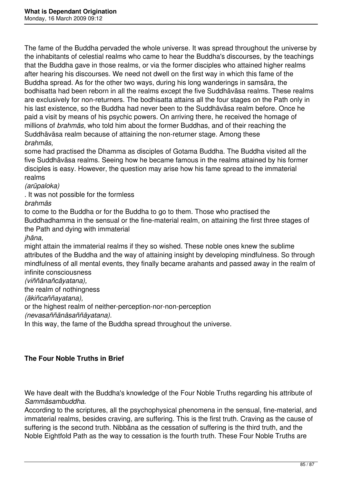The fame of the Buddha pervaded the whole universe. It was spread throughout the universe by the inhabitants of celestial realms who came to hear the Buddha's discourses, by the teachings that the Buddha gave in those realms, or via the former disciples who attained higher realms after hearing his discourses. We need not dwell on the first way in which this fame of the Buddha spread. As for the other two ways, during his long wanderings in samsāra, the bodhisatta had been reborn in all the realms except the five Suddhāvāsa realms. These realms are exclusively for non-returners. The bodhisatta attains all the four stages on the Path only in his last existence, so the Buddha had never been to the Suddhāvāsa realm before. Once he paid a visit by means of his psychic powers. On arriving there, he received the homage of millions of *brahmās,* who told him about the former Buddhas, and of their reaching the Suddhāvāsa realm because of attaining the non-returner stage. Among these *brahmās,* 

some had practised the Dhamma as disciples of Gotama Buddha. The Buddha visited all the five Suddhāvāsa realms. Seeing how he became famous in the realms attained by his former disciples is easy. However, the question may arise how his fame spread to the immaterial realms

*(arūpaloka)* 

. It was not possible for the formless

*brahmās* 

to come to the Buddha or for the Buddha to go to them. Those who practised the Buddhadhamma in the sensual or the fine-material realm, on attaining the first three stages of the Path and dying with immaterial

*jhāna,* 

might attain the immaterial realms if they so wished. These noble ones knew the sublime attributes of the Buddha and the way of attaining insight by developing mindfulness. So through mindfulness of all mental events, they finally became arahants and passed away in the realm of infinite consciousness

#### *(viññānañcāyatana),*

the realm of nothingness

*(ākiñcaññayatana),* 

or the highest realm of neither-perception-nor-non-perception

*(nevasaññānāsaññāyatana).* 

In this way, the fame of the Buddha spread throughout the universe.

## **The Four Noble Truths in Brief**

We have dealt with the Buddha's knowledge of the Four Noble Truths regarding his attribute of *Sammāsambuddha.* 

According to the scriptures, all the psychophysical phenomena in the sensual, fine-material, and immaterial realms, besides craving, are suffering. This is the first truth. Craving as the cause of suffering is the second truth. Nibbāna as the cessation of suffering is the third truth, and the Noble Eightfold Path as the way to cessation is the fourth truth. These Four Noble Truths are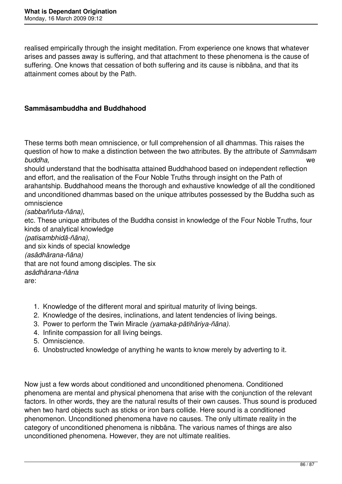realised empirically through the insight meditation. From experience one knows that whatever arises and passes away is suffering, and that attachment to these phenomena is the cause of suffering. One knows that cessation of both suffering and its cause is nibbāna, and that its attainment comes about by the Path.

## **Sammāsambuddha and Buddhahood**

These terms both mean omniscience, or full comprehension of all dhammas. This raises the question of how to make a distinction between the two attributes. By the attribute of *Sammāsam buddha,* we

should understand that the bodhisatta attained Buddhahood based on independent reflection and effort, and the realisation of the Four Noble Truths through insight on the Path of arahantship. Buddhahood means the thorough and exhaustive knowledge of all the conditioned and unconditioned dhammas based on the unique attributes possessed by the Buddha such as omniscience

*(sabbaññuta-ñāna),* 

etc. These unique attributes of the Buddha consist in knowledge of the Four Noble Truths, four kinds of analytical knowledge

*(patisambhidā-ñāna),* 

and six kinds of special knowledge *(asādhārana-ñāna)* 

that are not found among disciples. The six

*asādhārana-ñāna* 

are:

- 1. Knowledge of the different moral and spiritual maturity of living beings.
- 2. Knowledge of the desires, inclinations, and latent tendencies of living beings.
- 3. Power to perform the Twin Miracle *(yamaka-pātihāriya-ñāna).*
- 4. Infinite compassion for all living beings.
- 5. Omniscience.
- 6. Unobstructed knowledge of anything he wants to know merely by adverting to it.

Now just a few words about conditioned and unconditioned phenomena. Conditioned phenomena are mental and physical phenomena that arise with the conjunction of the relevant factors. In other words, they are the natural results of their own causes. Thus sound is produced when two hard objects such as sticks or iron bars collide. Here sound is a conditioned phenomenon. Unconditioned phenomena have no causes. The only ultimate reality in the category of unconditioned phenomena is nibbāna. The various names of things are also unconditioned phenomena. However, they are not ultimate realities.